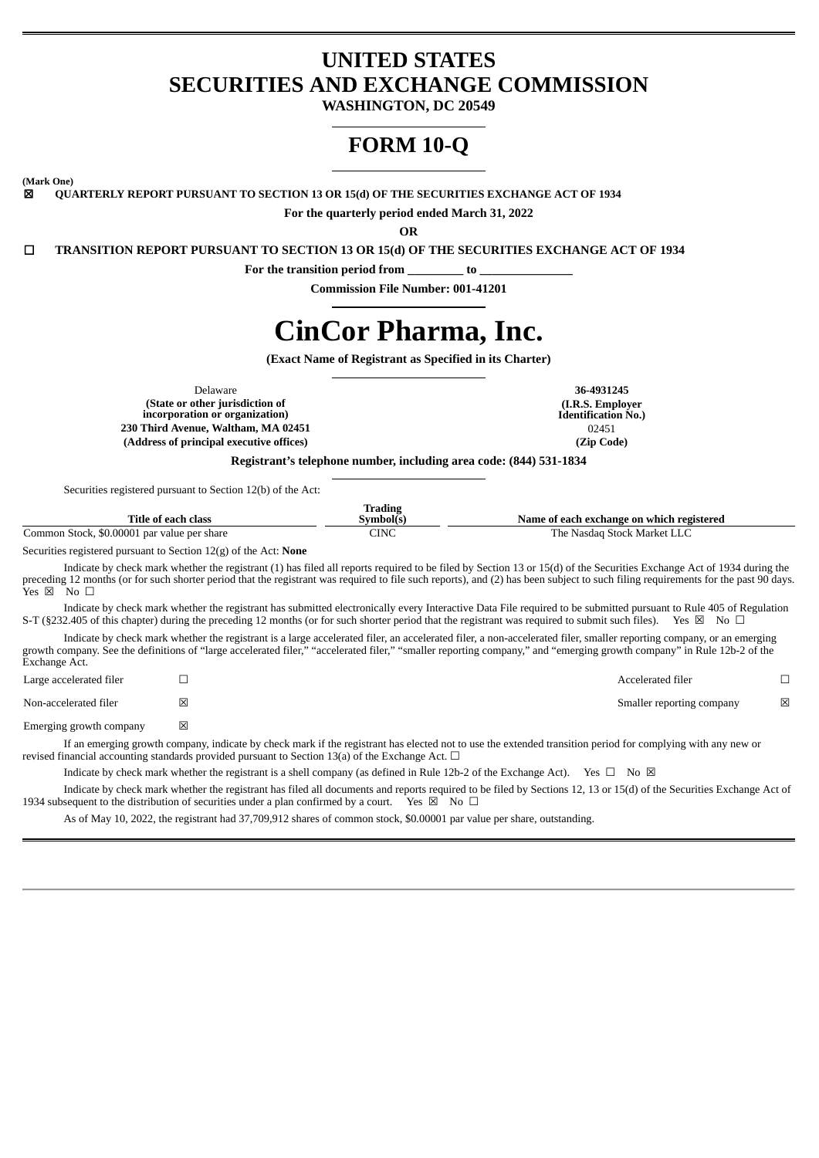# **UNITED STATES SECURITIES AND EXCHANGE COMMISSION**

**WASHINGTON, DC 20549**

# **FORM 10-Q**

**(Mark One)**

☒ **QUARTERLY REPORT PURSUANT TO SECTION 13 OR 15(d) OF THE SECURITIES EXCHANGE ACT OF 1934**

**For the quarterly period ended March 31, 2022**

**OR**

☐ **TRANSITION REPORT PURSUANT TO SECTION 13 OR 15(d) OF THE SECURITIES EXCHANGE ACT OF 1934**

**For the transition period from \_\_\_\_\_\_\_\_\_ to \_\_\_\_\_\_\_\_\_\_\_\_\_\_\_**

**Commission File Number: 001-41201**

# **CinCor Pharma, Inc.**

**(Exact Name of Registrant as Specified in its Charter)**

Delaware **36-4931245 (State or other jurisdiction of incorporation or organization) 230 Third Avenue, Waltham, MA 02451** 02451 **(Address of principal executive offices) (Zip Code)**

**(I.R.S. Employer Identification No.)**

**Registrant's telephone number, including area code: (844) 531-1834**

Securities registered pursuant to Section 12(b) of the Act:

| Title of each class                         | Trading<br>svmbol(s` | Name of each exchange on which registered |
|---------------------------------------------|----------------------|-------------------------------------------|
| Common Stock, \$0.00001 par value per share | CINC                 | The Nasdag Stock Market LLC               |

Securities registered pursuant to Section 12(g) of the Act: **None**

Indicate by check mark whether the registrant (1) has filed all reports required to be filed by Section 13 or 15(d) of the Securities Exchange Act of 1934 during the preceding 12 months (or for such shorter period that the registrant was required to file such reports), and (2) has been subject to such filing requirements for the past 90 days.<br>Ves  $\boxtimes$  No  $\Box$  $\check{}$ No  $\Box$ 

Indicate by check mark whether the registrant has submitted electronically every Interactive Data File required to be submitted pursuant to Rule 405 of Regulation S-T (§232.405 of this chapter) during the preceding 12 months (or for such shorter period that the registrant was required to submit such files). Yes  $\boxtimes$  No  $\Box$ 

Indicate by check mark whether the registrant is a large accelerated filer, an accelerated filer, a non-accelerated filer, smaller reporting company, or an emerging growth company. See the definitions of "large accelerated filer," "accelerated filer," "smaller reporting company," and "emerging growth company" in Rule 12b-2 of the Exchange Act.

|  | 区                                              |
|--|------------------------------------------------|
|  | Accelerated filer<br>Smaller reporting company |

Emerging growth company  $\boxtimes$ 

If an emerging growth company, indicate by check mark if the registrant has elected not to use the extended transition period for complying with any new or revised financial accounting standards provided pursuant to Section 13(a) of the Exchange Act.  $\Box$ 

Indicate by check mark whether the registrant is a shell company (as defined in Rule 12b-2 of the Exchange Act). Yes  $\Box$  No  $\boxtimes$ 

Indicate by check mark whether the registrant has filed all documents and reports required to be filed by Sections 12, 13 or 15(d) of the Securities Exchange Act of securities under a plan confirmed by a court. Yes  $\boxtimes$  1934 subsequent to the distribution of securities under a plan confirmed by a court.

As of May 10, 2022, the registrant had 37,709,912 shares of common stock, \$0.00001 par value per share, outstanding.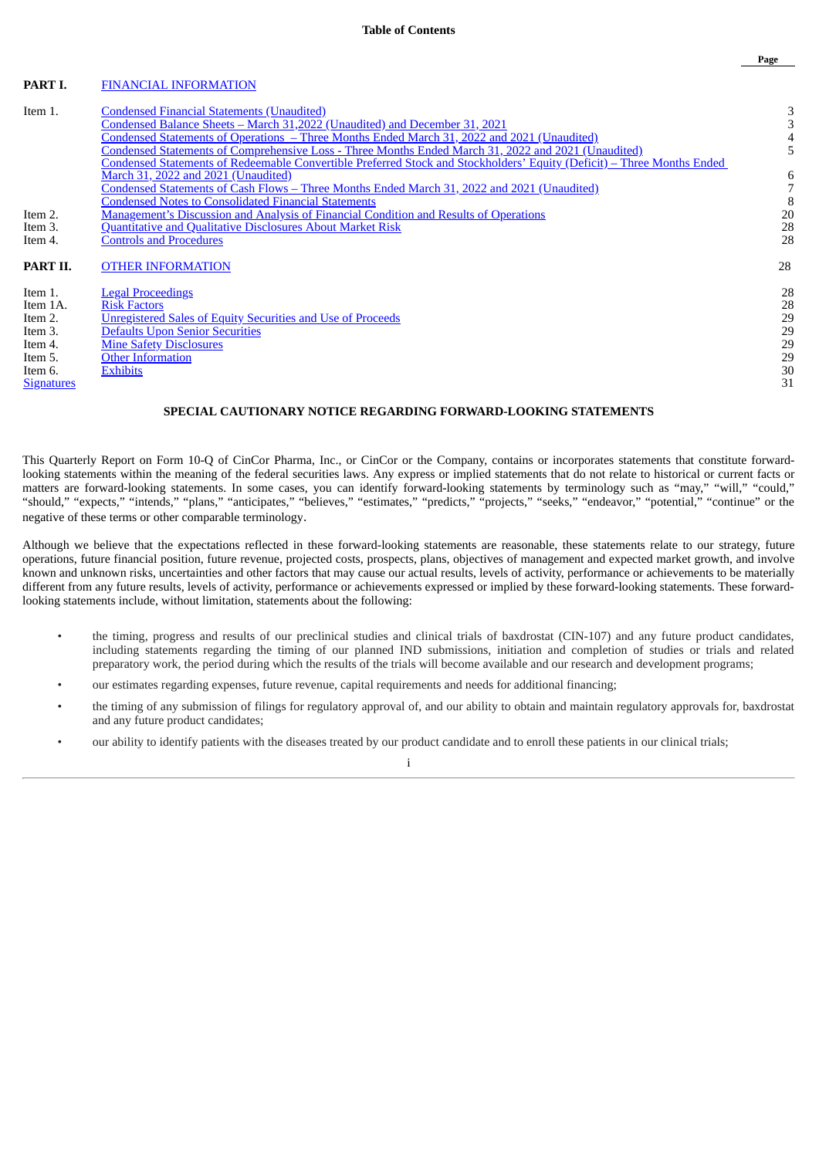# **Table of Contents**

|                   |                                                                                                                        | Page |
|-------------------|------------------------------------------------------------------------------------------------------------------------|------|
| PART I.           | <b>FINANCIAL INFORMATION</b>                                                                                           |      |
| Item 1.           | <b>Condensed Financial Statements (Unaudited)</b>                                                                      | 3    |
|                   | Condensed Balance Sheets - March 31,2022 (Unaudited) and December 31, 2021                                             |      |
|                   | Condensed Statements of Operations - Three Months Ended March 31, 2022 and 2021 (Unaudited)                            |      |
|                   | Condensed Statements of Comprehensive Loss - Three Months Ended March 31, 2022 and 2021 (Unaudited)                    |      |
|                   | Condensed Statements of Redeemable Convertible Preferred Stock and Stockholders' Equity (Deficit) – Three Months Ended |      |
|                   | March 31, 2022 and 2021 (Unaudited)                                                                                    | 6    |
|                   | Condensed Statements of Cash Flows – Three Months Ended March 31, 2022 and 2021 (Unaudited)                            |      |
|                   | Condensed Notes to Consolidated Financial Statements                                                                   | 8    |
| Item 2.           | Management's Discussion and Analysis of Financial Condition and Results of Operations                                  | 20   |
| Item 3.           | <b>Quantitative and Qualitative Disclosures About Market Risk</b>                                                      | 28   |
| Item 4.           | <b>Controls and Procedures</b>                                                                                         | 28   |
| PART II.          | <b>OTHER INFORMATION</b>                                                                                               | 28   |
| Item 1.           | <b>Legal Proceedings</b>                                                                                               | 28   |
| Item 1A.          | <b>Risk Factors</b>                                                                                                    | 28   |
| Item 2.           | Unregistered Sales of Equity Securities and Use of Proceeds                                                            | 29   |
| Item 3.           | <b>Defaults Upon Senior Securities</b>                                                                                 | 29   |
| Item 4.           | <b>Mine Safety Disclosures</b>                                                                                         | 29   |
| Item 5.           | <b>Other Information</b>                                                                                               | 29   |
| Item 6.           | <b>Exhibits</b>                                                                                                        | 30   |
| <b>Signatures</b> |                                                                                                                        | 31   |
|                   |                                                                                                                        |      |

# **SPECIAL CAUTIONARY NOTICE REGARDING FORWARD-LOOKING STATEMENTS**

This Quarterly Report on Form 10-Q of CinCor Pharma, Inc., or CinCor or the Company, contains or incorporates statements that constitute forwardlooking statements within the meaning of the federal securities laws. Any express or implied statements that do not relate to historical or current facts or matters are forward-looking statements. In some cases, you can identify forward-looking statements by terminology such as "may," "will," "could," "should," "expects," "intends," "plans," "anticipates," "believes," "estimates," "predicts," "projects," "seeks," "endeavor," "potential," "continue" or the negative of these terms or other comparable terminology.

Although we believe that the expectations reflected in these forward-looking statements are reasonable, these statements relate to our strategy, future operations, future financial position, future revenue, projected costs, prospects, plans, objectives of management and expected market growth, and involve known and unknown risks, uncertainties and other factors that may cause our actual results, levels of activity, performance or achievements to be materially different from any future results, levels of activity, performance or achievements expressed or implied by these forward-looking statements. These forwardlooking statements include, without limitation, statements about the following:

- the timing, progress and results of our preclinical studies and clinical trials of baxdrostat (CIN-107) and any future product candidates, including statements regarding the timing of our planned IND submissions, initiation and completion of studies or trials and related preparatory work, the period during which the results of the trials will become available and our research and development programs;
- our estimates regarding expenses, future revenue, capital requirements and needs for additional financing;
- the timing of any submission of filings for regulatory approval of, and our ability to obtain and maintain regulatory approvals for, baxdrostat and any future product candidates;
- our ability to identify patients with the diseases treated by our product candidate and to enroll these patients in our clinical trials;

i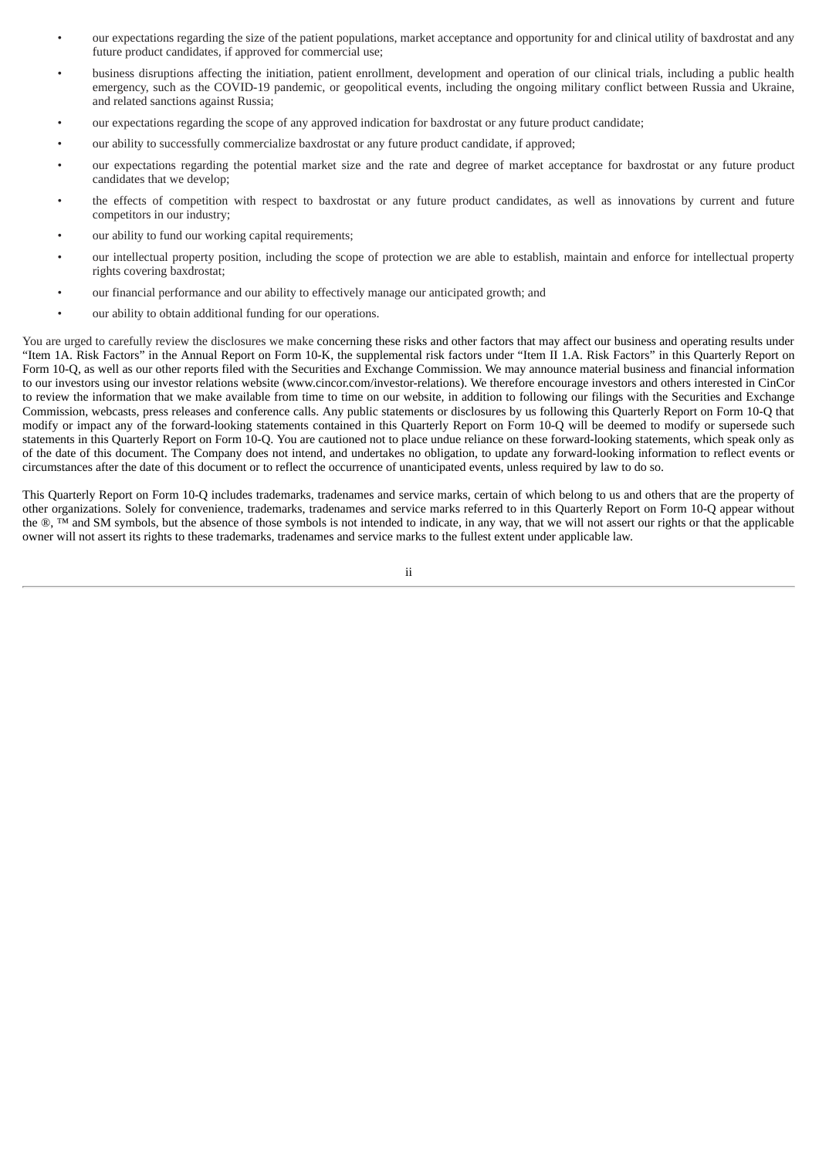- our expectations regarding the size of the patient populations, market acceptance and opportunity for and clinical utility of baxdrostat and any future product candidates, if approved for commercial use;
- business disruptions affecting the initiation, patient enrollment, development and operation of our clinical trials, including a public health emergency, such as the COVID-19 pandemic, or geopolitical events, including the ongoing military conflict between Russia and Ukraine, and related sanctions against Russia;
- our expectations regarding the scope of any approved indication for baxdrostat or any future product candidate;
- our ability to successfully commercialize baxdrostat or any future product candidate, if approved;
- our expectations regarding the potential market size and the rate and degree of market acceptance for baxdrostat or any future product candidates that we develop;
- the effects of competition with respect to baxdrostat or any future product candidates, as well as innovations by current and future competitors in our industry;
- our ability to fund our working capital requirements;
- our intellectual property position, including the scope of protection we are able to establish, maintain and enforce for intellectual property rights covering baxdrostat;
- our financial performance and our ability to effectively manage our anticipated growth; and
- our ability to obtain additional funding for our operations.

You are urged to carefully review the disclosures we make concerning these risks and other factors that may affect our business and operating results under "Item 1A. Risk Factors" in the Annual Report on Form 10-K, the supplemental risk factors under "Item II 1.A. Risk Factors" in this Quarterly Report on Form 10-Q, as well as our other reports filed with the Securities and Exchange Commission. We may announce material business and financial information to our investors using our investor relations website (www.cincor.com/investor-relations). We therefore encourage investors and others interested in CinCor to review the information that we make available from time to time on our website, in addition to following our filings with the Securities and Exchange Commission, webcasts, press releases and conference calls. Any public statements or disclosures by us following this Quarterly Report on Form 10-Q that modify or impact any of the forward-looking statements contained in this Quarterly Report on Form 10-Q will be deemed to modify or supersede such statements in this Quarterly Report on Form 10-Q. You are cautioned not to place undue reliance on these forward-looking statements, which speak only as of the date of this document. The Company does not intend, and undertakes no obligation, to update any forward-looking information to reflect events or circumstances after the date of this document or to reflect the occurrence of unanticipated events, unless required by law to do so.

This Quarterly Report on Form 10-Q includes trademarks, tradenames and service marks, certain of which belong to us and others that are the property of other organizations. Solely for convenience, trademarks, tradenames and service marks referred to in this Quarterly Report on Form 10-Q appear without the ®, ™ and SM symbols, but the absence of those symbols is not intended to indicate, in any way, that we will not assert our rights or that the applicable owner will not assert its rights to these trademarks, tradenames and service marks to the fullest extent under applicable law.

ii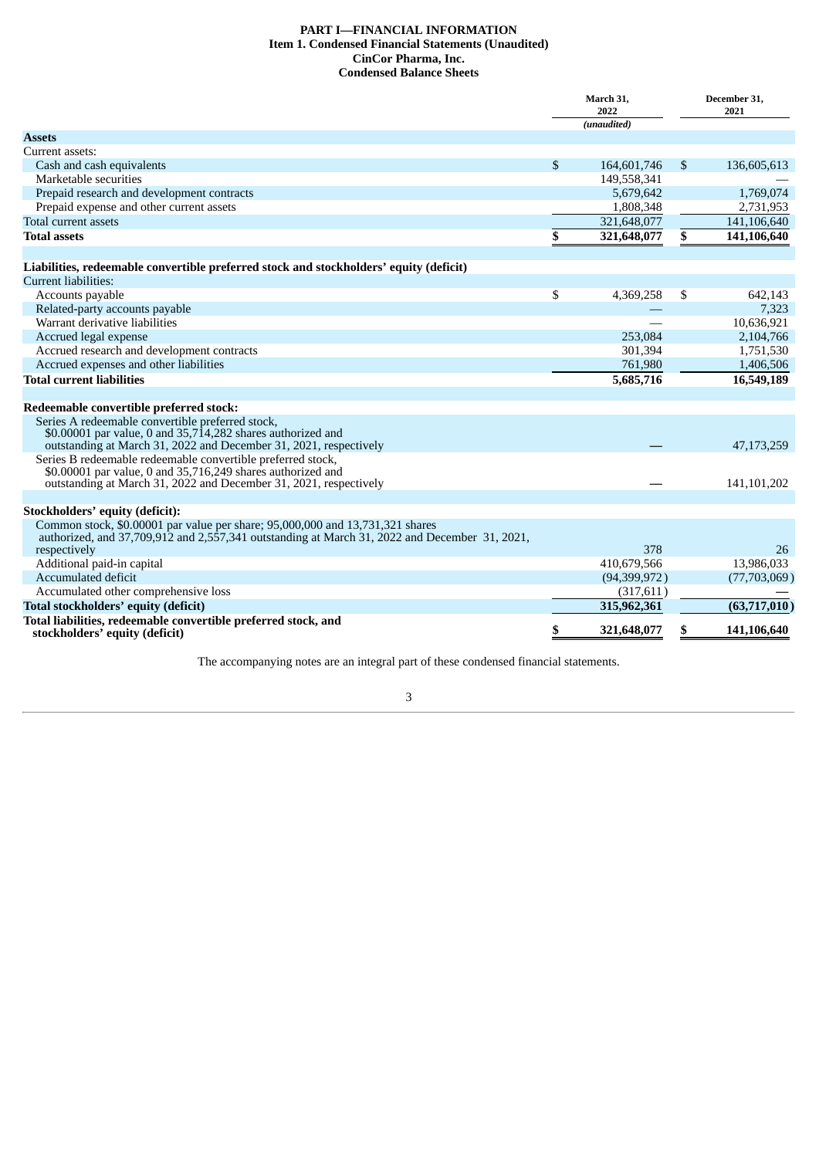# **PART I—FINANCIAL INFORMATION Item 1. Condensed Financial Statements (Unaudited) CinCor Pharma, Inc. Condensed Balance Sheets**

<span id="page-3-2"></span><span id="page-3-1"></span><span id="page-3-0"></span>

|                                                                                                                                                                                | March 31,<br>2022<br>(unaudited) |    | December 31,<br>2021 |
|--------------------------------------------------------------------------------------------------------------------------------------------------------------------------------|----------------------------------|----|----------------------|
| <b>Assets</b>                                                                                                                                                                  |                                  |    |                      |
| Current assets:                                                                                                                                                                |                                  |    |                      |
| Cash and cash equivalents                                                                                                                                                      | \$<br>164,601,746                | \$ | 136,605,613          |
| Marketable securities                                                                                                                                                          | 149,558,341                      |    |                      |
| Prepaid research and development contracts                                                                                                                                     | 5,679,642                        |    | 1,769,074            |
| Prepaid expense and other current assets                                                                                                                                       | 1,808,348                        |    | 2,731,953            |
| Total current assets                                                                                                                                                           | 321,648,077                      |    | 141,106,640          |
| <b>Total assets</b>                                                                                                                                                            | \$<br>321,648,077                | \$ | 141,106,640          |
| Liabilities, redeemable convertible preferred stock and stockholders' equity (deficit)                                                                                         |                                  |    |                      |
| Current liabilities:                                                                                                                                                           |                                  |    |                      |
| Accounts payable                                                                                                                                                               | \$<br>4,369,258                  | \$ | 642,143              |
| Related-party accounts payable                                                                                                                                                 |                                  |    | 7,323                |
| Warrant derivative liabilities                                                                                                                                                 |                                  |    | 10,636,921           |
| Accrued legal expense                                                                                                                                                          | 253,084                          |    | 2,104,766            |
| Accrued research and development contracts                                                                                                                                     | 301,394                          |    | 1,751,530            |
| Accrued expenses and other liabilities                                                                                                                                         | 761,980                          |    | 1,406,506            |
| <b>Total current liabilities</b>                                                                                                                                               | 5,685,716                        |    | 16,549,189           |
|                                                                                                                                                                                |                                  |    |                      |
| Redeemable convertible preferred stock:                                                                                                                                        |                                  |    |                      |
| Series A redeemable convertible preferred stock,                                                                                                                               |                                  |    |                      |
| \$0.00001 par value, 0 and $35,7\overline{1}4,282$ shares authorized and                                                                                                       |                                  |    |                      |
| outstanding at March 31, 2022 and December 31, 2021, respectively                                                                                                              |                                  |    | 47,173,259           |
| Series B redeemable redeemable convertible preferred stock,                                                                                                                    |                                  |    |                      |
| \$0.00001 par value, 0 and 35,716,249 shares authorized and                                                                                                                    |                                  |    |                      |
| outstanding at March 31, 2022 and December 31, 2021, respectively                                                                                                              |                                  |    | 141,101,202          |
|                                                                                                                                                                                |                                  |    |                      |
| Stockholders' equity (deficit):                                                                                                                                                |                                  |    |                      |
| Common stock, \$0.00001 par value per share; 95,000,000 and 13,731,321 shares<br>authorized, and 37,709,912 and 2,557,341 outstanding at March 31, 2022 and December 31, 2021, | 378                              |    | 26                   |
| respectively<br>Additional paid-in capital                                                                                                                                     | 410,679,566                      |    | 13,986,033           |
| Accumulated deficit                                                                                                                                                            | (94,399,972)                     |    | (77,703,069)         |
| Accumulated other comprehensive loss                                                                                                                                           | (317, 611)                       |    |                      |
|                                                                                                                                                                                | 315,962,361                      |    | (63,717,010)         |
| Total stockholders' equity (deficit)                                                                                                                                           |                                  |    |                      |
| Total liabilities, redeemable convertible preferred stock, and<br>stockholders' equity (deficit)                                                                               | 321,648,077                      | S  | 141,106,640          |

The accompanying notes are an integral part of these condensed financial statements.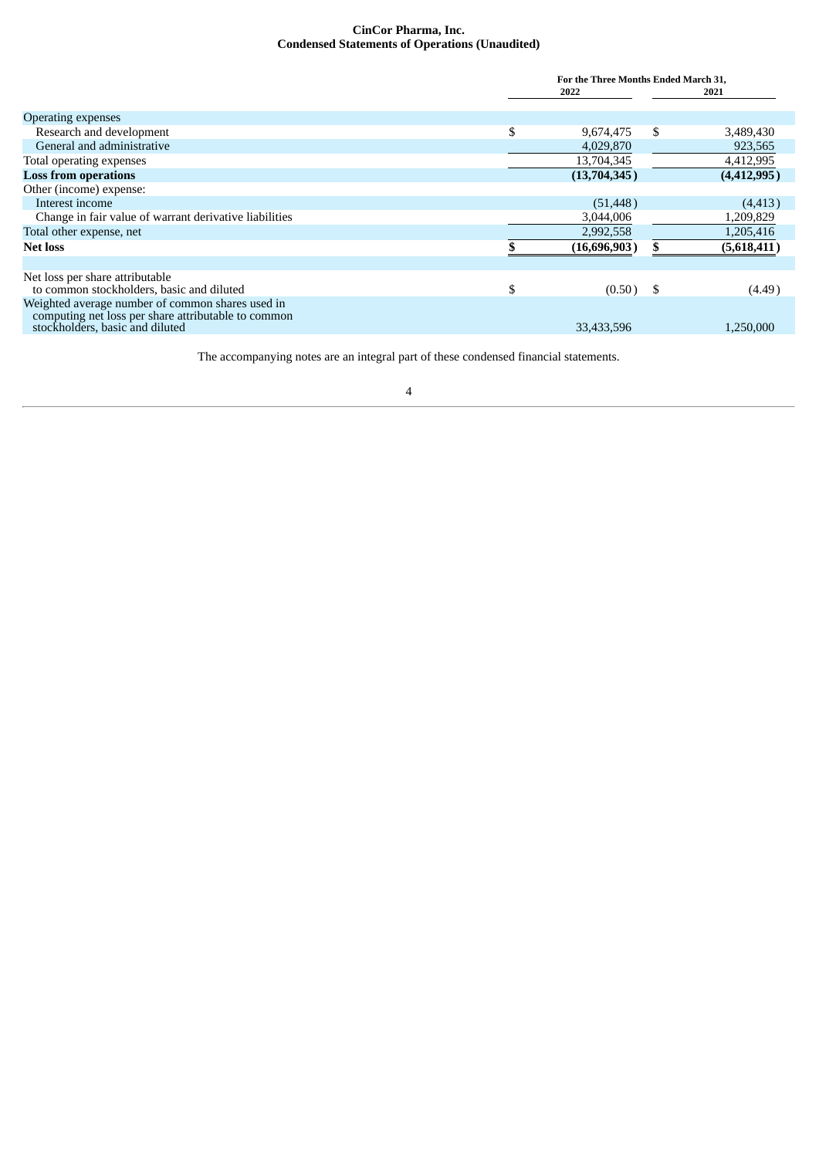# **CinCor Pharma, Inc. Condensed Statements of Operations (Unaudited)**

<span id="page-4-0"></span>

|                                                                                                         | For the Three Months Ended March 31.<br>2022<br>2021 |    |             |  |  |
|---------------------------------------------------------------------------------------------------------|------------------------------------------------------|----|-------------|--|--|
|                                                                                                         |                                                      |    |             |  |  |
| <b>Operating expenses</b>                                                                               |                                                      |    |             |  |  |
| Research and development                                                                                | \$<br>9,674,475                                      | \$ | 3,489,430   |  |  |
| General and administrative                                                                              | 4,029,870                                            |    | 923,565     |  |  |
| Total operating expenses                                                                                | 13,704,345                                           |    | 4,412,995   |  |  |
| <b>Loss from operations</b>                                                                             | (13,704,345)                                         |    | (4,412,995) |  |  |
| Other (income) expense:                                                                                 |                                                      |    |             |  |  |
| Interest income                                                                                         | (51, 448)                                            |    | (4, 413)    |  |  |
| Change in fair value of warrant derivative liabilities                                                  | 3,044,006                                            |    | 1,209,829   |  |  |
| Total other expense, net                                                                                | 2,992,558                                            |    | 1,205,416   |  |  |
| <b>Net loss</b>                                                                                         | (16,696,903)                                         |    | (5,618,411) |  |  |
| Net loss per share attributable                                                                         |                                                      |    |             |  |  |
| to common stockholders, basic and diluted                                                               | \$<br>$(0.50)$ \$                                    |    | (4.49)      |  |  |
| Weighted average number of common shares used in<br>computing net loss per share attributable to common |                                                      |    |             |  |  |
| stockholders, basic and diluted                                                                         | 33,433,596                                           |    | 1.250,000   |  |  |

The accompanying notes are an integral part of these condensed financial statements.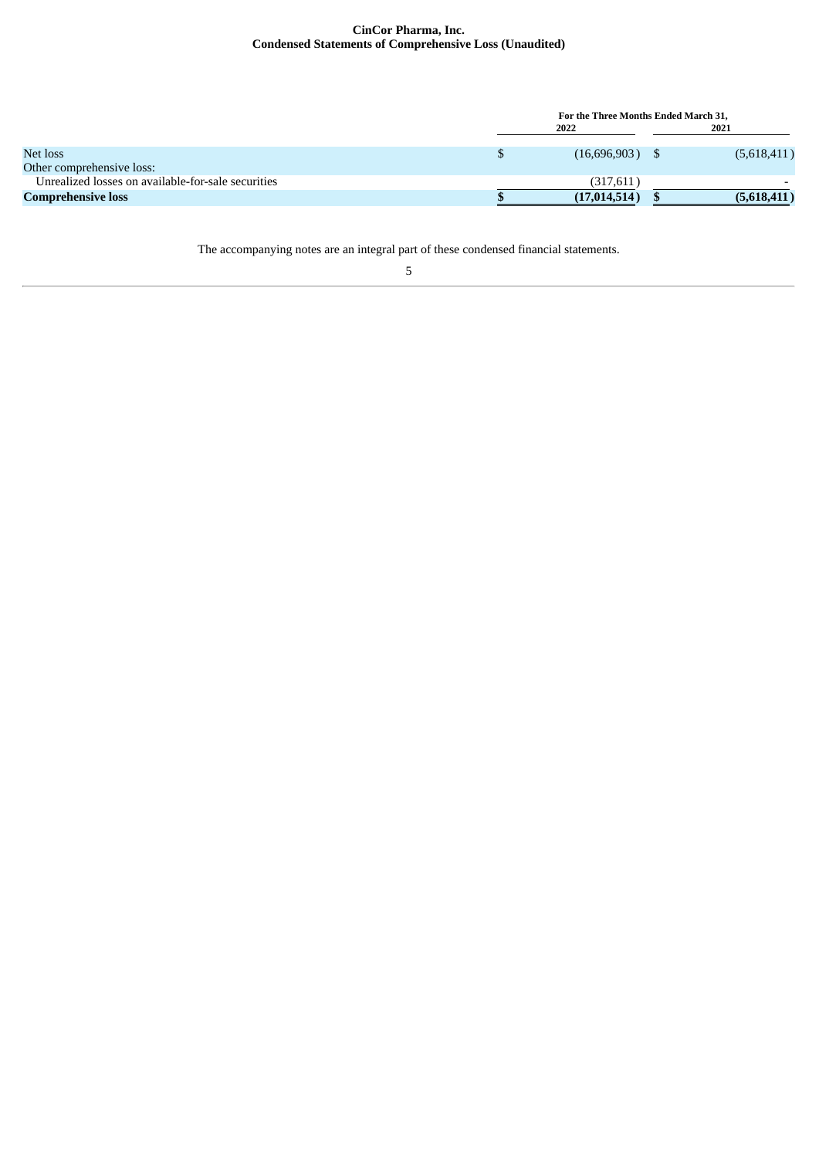# **CinCor Pharma, Inc. Condensed Statements of Comprehensive Loss (Unaudited)**

<span id="page-5-0"></span>

|                                                    | For the Three Months Ended March 31, |                |  |             |  |
|----------------------------------------------------|--------------------------------------|----------------|--|-------------|--|
|                                                    | 2022                                 |                |  | 2021        |  |
|                                                    |                                      |                |  |             |  |
| Net loss                                           |                                      | (16,696,903)   |  | (5,618,411) |  |
| Other comprehensive loss:                          |                                      |                |  |             |  |
| Unrealized losses on available-for-sale securities |                                      | (317, 611)     |  |             |  |
| <b>Comprehensive loss</b>                          |                                      | (17, 014, 514) |  | (5,618,411) |  |

The accompanying notes are an integral part of these condensed financial statements.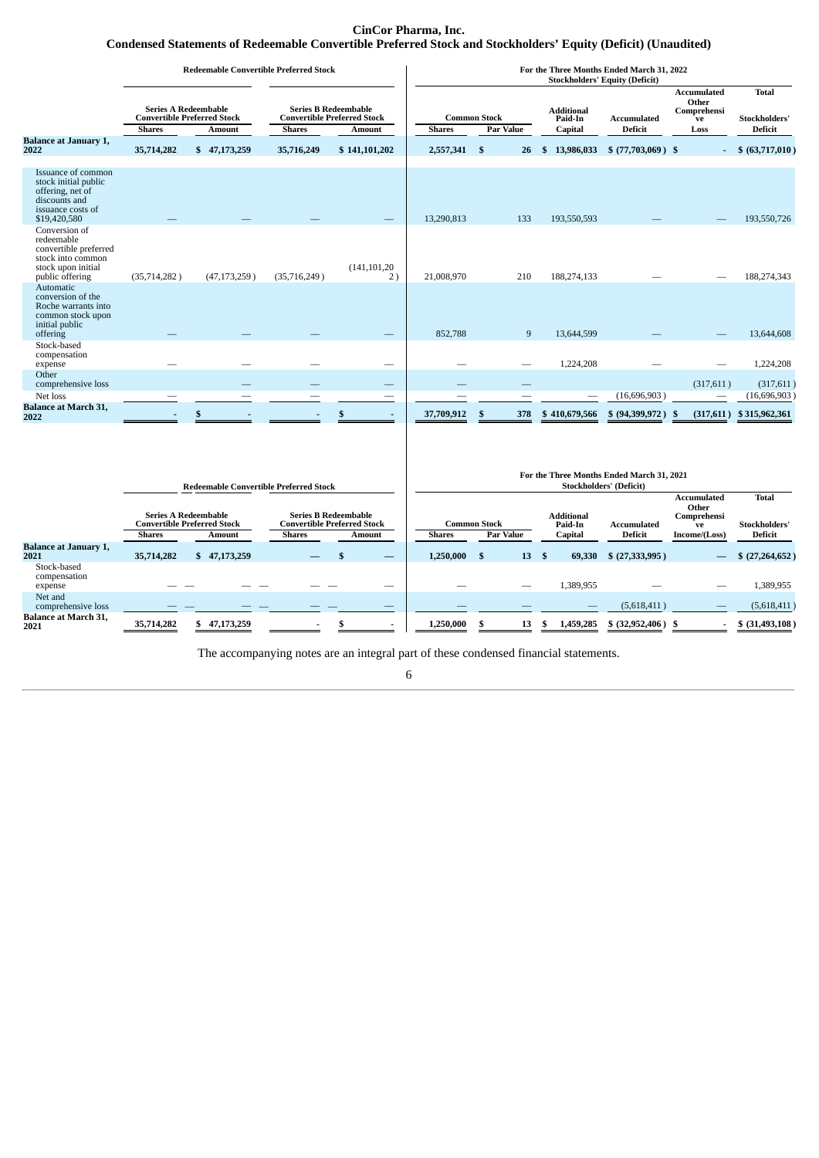# <span id="page-6-0"></span>**CinCor Pharma, Inc. Condensed Statements of Redeemable Convertible Preferred Stock and Stockholders' Equity (Deficit) (Unaudited)**

|                                                                                                                      |                                              | <b>Redeemable Convertible Preferred Stock</b>                               |               |                                                                                    | For the Three Months Ended March 31, 2022<br><b>Stockholders' Equity (Deficit)</b> |    |           |                                                |                                                                             |                                                                   |                                                 |
|----------------------------------------------------------------------------------------------------------------------|----------------------------------------------|-----------------------------------------------------------------------------|---------------|------------------------------------------------------------------------------------|------------------------------------------------------------------------------------|----|-----------|------------------------------------------------|-----------------------------------------------------------------------------|-------------------------------------------------------------------|-------------------------------------------------|
|                                                                                                                      | <b>Shares</b>                                | <b>Series A Redeembable</b><br><b>Convertible Preferred Stock</b><br>Amount | <b>Shares</b> | <b>Series B Redeembable</b><br><b>Convertible Preferred Stock</b><br><b>Amount</b> | <b>Common Stock</b><br><b>Shares</b>                                               |    | Par Value | <b>Additional</b><br>Paid-In<br><b>Capital</b> | <b>Accumulated</b><br><b>Deficit</b>                                        | <b>Accumulated</b><br>Other<br>Comprehensi<br>ve<br>Loss          | <b>Total</b><br>Stockholders'<br><b>Deficit</b> |
| <b>Balance at January 1,</b><br>2022                                                                                 | 35,714,282                                   | \$47,173,259                                                                | 35,716,249    | \$141,101,202                                                                      | 2,557,341 \$                                                                       |    | 26        | 13,986,033<br>\$                               | $$$ (77,703,069) \$                                                         |                                                                   | \$ (63,717,010)                                 |
| Issuance of common<br>stock initial public<br>offering, net of<br>discounts and<br>issuance costs of<br>\$19,420,580 |                                              |                                                                             |               |                                                                                    | 13,290,813                                                                         |    | 133       | 193,550,593                                    |                                                                             |                                                                   | 193,550,726                                     |
| Conversion of<br>redeemable<br>convertible preferred<br>stock into common<br>stock upon initial<br>public offering   | (35,714,282)                                 | (47, 173, 259)                                                              | (35,716,249)  | (141, 101, 20)<br>2)                                                               | 21,008,970                                                                         |    | 210       | 188,274,133                                    |                                                                             |                                                                   | 188,274,343                                     |
| Automatic<br>conversion of the<br>Roche warrants into<br>common stock upon<br>initial public<br>offering             |                                              |                                                                             |               |                                                                                    | 852,788                                                                            |    | 9         | 13,644,599                                     |                                                                             |                                                                   | 13,644,608                                      |
| Stock-based<br>compensation<br>expense                                                                               |                                              |                                                                             |               |                                                                                    |                                                                                    |    |           | 1,224,208                                      |                                                                             |                                                                   | 1,224,208                                       |
| Other<br>comprehensive loss                                                                                          |                                              |                                                                             |               |                                                                                    |                                                                                    |    |           |                                                |                                                                             | (317, 611)                                                        | (317, 611)                                      |
| Net loss                                                                                                             |                                              |                                                                             |               |                                                                                    |                                                                                    |    |           |                                                | (16,696,903)                                                                |                                                                   | (16,696,903)                                    |
| <b>Balance at March 31,</b><br>2022                                                                                  |                                              |                                                                             |               |                                                                                    | 37,709,912                                                                         | \$ | 378       | \$410,679,566                                  | \$ (94,399,972)                                                             | (317,611)<br>- \$                                                 | \$315,962,361                                   |
|                                                                                                                      |                                              | <b>Redeemable Convertible Preferred Stock</b>                               |               |                                                                                    |                                                                                    |    |           |                                                | For the Three Months Ended March 31, 2021<br><b>Stockholders' (Deficit)</b> |                                                                   |                                                 |
|                                                                                                                      | <b>Series A Redeembable</b><br><b>Shares</b> | <b>Convertible Preferred Stock</b><br><b>Amount</b>                         | <b>Shares</b> | <b>Series B Redeembable</b><br><b>Convertible Preferred Stock</b><br><b>Amount</b> | <b>Common Stock</b><br><b>Shares</b>                                               |    | Par Value | <b>Additional</b><br>Paid-In<br>Capital        | Accumulated<br>Deficit                                                      | <b>Accumulated</b><br>Other<br>Comprehensi<br>ve<br>Income/(Loss) | <b>Total</b><br>Stockholders'<br>Deficit        |
| <b>Balance at January 1,</b><br>2021                                                                                 | 35,714,282                                   | \$47,173,259                                                                |               | S                                                                                  | 1,250,000                                                                          | \$ | 13S       | 69,330                                         | $$^{(27,333,995)}$                                                          |                                                                   | \$(27,264,652)                                  |
| Stock-based<br>compensation<br>expense                                                                               |                                              |                                                                             |               |                                                                                    |                                                                                    |    |           | 1,389,955                                      |                                                                             |                                                                   | 1,389,955                                       |
| Net and<br>comprehensive loss                                                                                        |                                              |                                                                             |               |                                                                                    |                                                                                    |    |           |                                                | (5,618,411)                                                                 |                                                                   | (5,618,411)                                     |

The accompanying notes are an integral part of these condensed financial statements.

**Balance at March 31, 2021 35,714,282 \$ 47,173,259 - \$ - 1,250,000 \$ 13 \$ 1,459,285 \$ (32,952,406 ) \$ - \$ (31,493,108 )**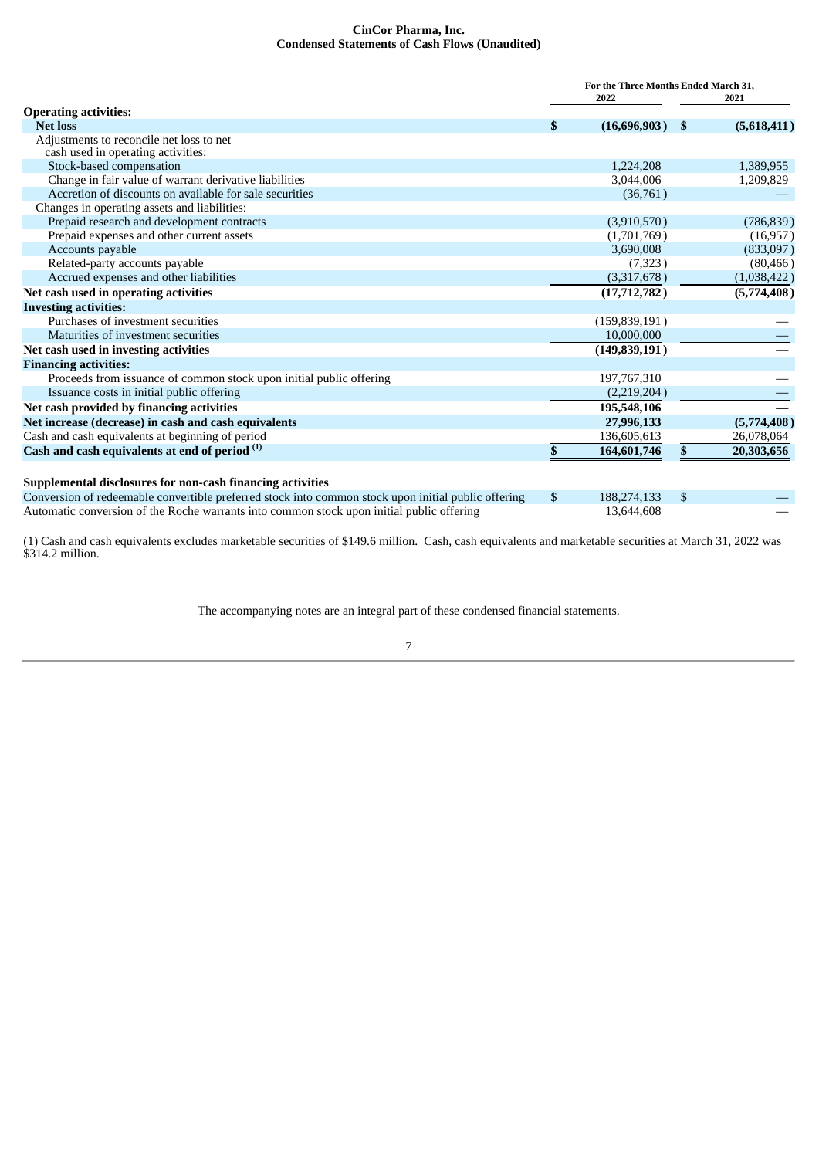# **CinCor Pharma, Inc. Condensed Statements of Cash Flows (Unaudited)**

<span id="page-7-0"></span>

|                                                                                                     | For the Three Months Ended March 31,<br>2022 | 2021              |
|-----------------------------------------------------------------------------------------------------|----------------------------------------------|-------------------|
| <b>Operating activities:</b>                                                                        |                                              |                   |
| <b>Net loss</b>                                                                                     | \$<br>(16,696,903)                           | \$<br>(5,618,411) |
| Adjustments to reconcile net loss to net<br>cash used in operating activities:                      |                                              |                   |
| Stock-based compensation                                                                            | 1,224,208                                    | 1,389,955         |
| Change in fair value of warrant derivative liabilities                                              | 3,044,006                                    | 1,209,829         |
| Accretion of discounts on available for sale securities                                             | (36,761)                                     |                   |
| Changes in operating assets and liabilities:                                                        |                                              |                   |
| Prepaid research and development contracts                                                          | (3,910,570)                                  | (786, 839)        |
| Prepaid expenses and other current assets                                                           | (1,701,769)                                  | (16, 957)         |
| Accounts payable                                                                                    | 3,690,008                                    | (833,097)         |
| Related-party accounts payable                                                                      | (7,323)                                      | (80, 466)         |
| Accrued expenses and other liabilities                                                              | (3,317,678)                                  | (1,038,422)       |
| Net cash used in operating activities                                                               | (17, 712, 782)                               | (5,774,408)       |
| <b>Investing activities:</b>                                                                        |                                              |                   |
| Purchases of investment securities                                                                  | (159, 839, 191)                              |                   |
| Maturities of investment securities                                                                 | 10,000,000                                   |                   |
| Net cash used in investing activities                                                               | (149, 839, 191)                              |                   |
| <b>Financing activities:</b>                                                                        |                                              |                   |
| Proceeds from issuance of common stock upon initial public offering                                 | 197,767,310                                  |                   |
| Issuance costs in initial public offering                                                           | (2,219,204)                                  |                   |
| Net cash provided by financing activities                                                           | 195,548,106                                  |                   |
| Net increase (decrease) in cash and cash equivalents                                                | 27,996,133                                   | (5,774,408)       |
| Cash and cash equivalents at beginning of period                                                    | 136,605,613                                  | 26,078,064        |
| Cash and cash equivalents at end of period <sup>(1)</sup>                                           | \$<br>164,601,746                            | \$<br>20,303,656  |
| Supplemental disclosures for non-cash financing activities                                          |                                              |                   |
| Conversion of redeemable convertible preferred stock into common stock upon initial public offering | \$<br>188,274,133                            | \$                |
| Automatic conversion of the Roche warrants into common stock upon initial public offering           | 13.644.608                                   |                   |

(1) Cash and cash equivalents excludes marketable securities of \$149.6 million. Cash, cash equivalents and marketable securities at March 31, 2022 was \$314.2 million.

The accompanying notes are an integral part of these condensed financial statements.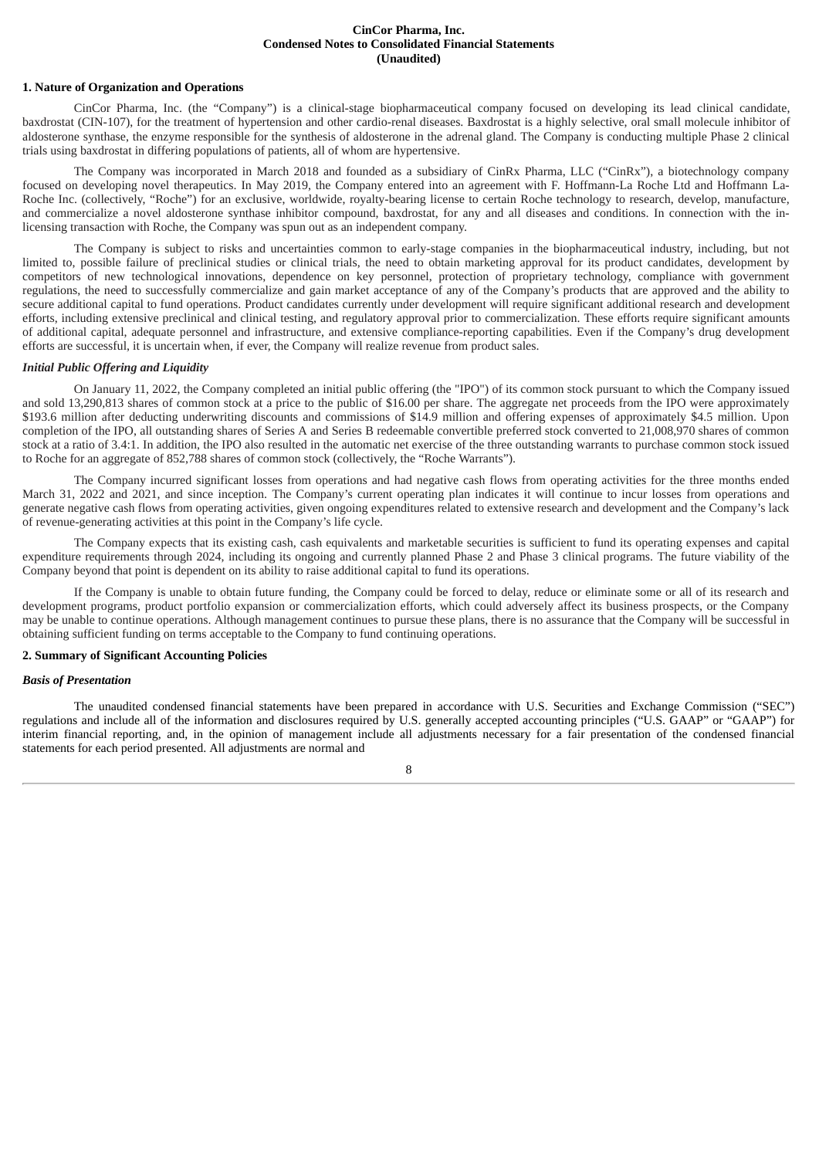# **CinCor Pharma, Inc. Condensed Notes to Consolidated Financial Statements (Unaudited)**

#### <span id="page-8-0"></span>**1. Nature of Organization and Operations**

CinCor Pharma, Inc. (the "Company") is a clinical-stage biopharmaceutical company focused on developing its lead clinical candidate, baxdrostat (CIN-107), for the treatment of hypertension and other cardio-renal diseases. Baxdrostat is a highly selective, oral small molecule inhibitor of aldosterone synthase, the enzyme responsible for the synthesis of aldosterone in the adrenal gland. The Company is conducting multiple Phase 2 clinical trials using baxdrostat in differing populations of patients, all of whom are hypertensive.

The Company was incorporated in March 2018 and founded as a subsidiary of CinRx Pharma, LLC ("CinRx"), a biotechnology company focused on developing novel therapeutics. In May 2019, the Company entered into an agreement with F. Hoffmann-La Roche Ltd and Hoffmann La-Roche Inc. (collectively, "Roche") for an exclusive, worldwide, royalty-bearing license to certain Roche technology to research, develop, manufacture, and commercialize a novel aldosterone synthase inhibitor compound, baxdrostat, for any and all diseases and conditions. In connection with the inlicensing transaction with Roche, the Company was spun out as an independent company.

The Company is subject to risks and uncertainties common to early-stage companies in the biopharmaceutical industry, including, but not limited to, possible failure of preclinical studies or clinical trials, the need to obtain marketing approval for its product candidates, development by competitors of new technological innovations, dependence on key personnel, protection of proprietary technology, compliance with government regulations, the need to successfully commercialize and gain market acceptance of any of the Company's products that are approved and the ability to secure additional capital to fund operations. Product candidates currently under development will require significant additional research and development efforts, including extensive preclinical and clinical testing, and regulatory approval prior to commercialization. These efforts require significant amounts of additional capital, adequate personnel and infrastructure, and extensive compliance-reporting capabilities. Even if the Company's drug development efforts are successful, it is uncertain when, if ever, the Company will realize revenue from product sales.

# *Initial Public Offering and Liquidity*

On January 11, 2022, the Company completed an initial public offering (the "IPO") of its common stock pursuant to which the Company issued and sold 13,290,813 shares of common stock at a price to the public of \$16.00 per share. The aggregate net proceeds from the IPO were approximately \$193.6 million after deducting underwriting discounts and commissions of \$14.9 million and offering expenses of approximately \$4.5 million. Upon completion of the IPO, all outstanding shares of Series A and Series B redeemable convertible preferred stock converted to 21,008,970 shares of common stock at a ratio of 3.4:1. In addition, the IPO also resulted in the automatic net exercise of the three outstanding warrants to purchase common stock issued to Roche for an aggregate of 852,788 shares of common stock (collectively, the "Roche Warrants").

The Company incurred significant losses from operations and had negative cash flows from operating activities for the three months ended March 31, 2022 and 2021, and since inception. The Company's current operating plan indicates it will continue to incur losses from operations and generate negative cash flows from operating activities, given ongoing expenditures related to extensive research and development and the Company's lack of revenue-generating activities at this point in the Company's life cycle.

The Company expects that its existing cash, cash equivalents and marketable securities is sufficient to fund its operating expenses and capital expenditure requirements through 2024, including its ongoing and currently planned Phase 2 and Phase 3 clinical programs. The future viability of the Company beyond that point is dependent on its ability to raise additional capital to fund its operations.

If the Company is unable to obtain future funding, the Company could be forced to delay, reduce or eliminate some or all of its research and development programs, product portfolio expansion or commercialization efforts, which could adversely affect its business prospects, or the Company may be unable to continue operations. Although management continues to pursue these plans, there is no assurance that the Company will be successful in obtaining sufficient funding on terms acceptable to the Company to fund continuing operations.

# **2. Summary of Significant Accounting Policies**

#### *Basis of Presentation*

The unaudited condensed financial statements have been prepared in accordance with U.S. Securities and Exchange Commission ("SEC") regulations and include all of the information and disclosures required by U.S. generally accepted accounting principles ("U.S. GAAP" or "GAAP") for interim financial reporting, and, in the opinion of management include all adjustments necessary for a fair presentation of the condensed financial statements for each period presented. All adjustments are normal and

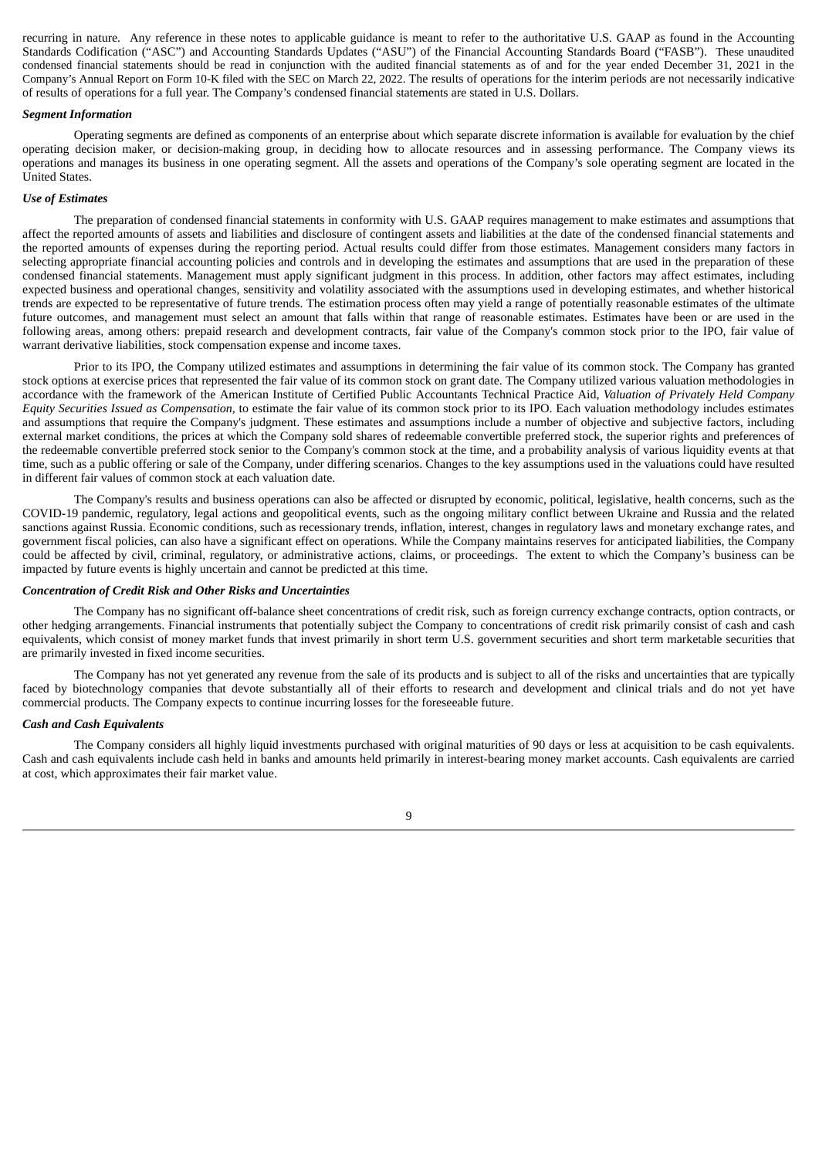recurring in nature. Any reference in these notes to applicable guidance is meant to refer to the authoritative U.S. GAAP as found in the Accounting Standards Codification ("ASC") and Accounting Standards Updates ("ASU") of the Financial Accounting Standards Board ("FASB"). These unaudited condensed financial statements should be read in conjunction with the audited financial statements as of and for the year ended December 31, 2021 in the Company's Annual Report on Form 10-K filed with the SEC on March 22, 2022. The results of operations for the interim periods are not necessarily indicative of results of operations for a full year. The Company's condensed financial statements are stated in U.S. Dollars.

#### *Segment Information*

Operating segments are defined as components of an enterprise about which separate discrete information is available for evaluation by the chief operating decision maker, or decision-making group, in deciding how to allocate resources and in assessing performance. The Company views its operations and manages its business in one operating segment. All the assets and operations of the Company's sole operating segment are located in the United States.

#### *Use of Estimates*

The preparation of condensed financial statements in conformity with U.S. GAAP requires management to make estimates and assumptions that affect the reported amounts of assets and liabilities and disclosure of contingent assets and liabilities at the date of the condensed financial statements and the reported amounts of expenses during the reporting period. Actual results could differ from those estimates. Management considers many factors in selecting appropriate financial accounting policies and controls and in developing the estimates and assumptions that are used in the preparation of these condensed financial statements. Management must apply significant judgment in this process. In addition, other factors may affect estimates, including expected business and operational changes, sensitivity and volatility associated with the assumptions used in developing estimates, and whether historical trends are expected to be representative of future trends. The estimation process often may yield a range of potentially reasonable estimates of the ultimate future outcomes, and management must select an amount that falls within that range of reasonable estimates. Estimates have been or are used in the following areas, among others: prepaid research and development contracts, fair value of the Company's common stock prior to the IPO, fair value of warrant derivative liabilities, stock compensation expense and income taxes.

Prior to its IPO, the Company utilized estimates and assumptions in determining the fair value of its common stock. The Company has granted stock options at exercise prices that represented the fair value of its common stock on grant date. The Company utilized various valuation methodologies in accordance with the framework of the American Institute of Certified Public Accountants Technical Practice Aid, *Valuation of Privately Held Company Equity Securities Issued as Compensation,* to estimate the fair value of its common stock prior to its IPO. Each valuation methodology includes estimates and assumptions that require the Company's judgment. These estimates and assumptions include a number of objective and subjective factors, including external market conditions, the prices at which the Company sold shares of redeemable convertible preferred stock, the superior rights and preferences of the redeemable convertible preferred stock senior to the Company's common stock at the time, and a probability analysis of various liquidity events at that time, such as a public offering or sale of the Company, under differing scenarios. Changes to the key assumptions used in the valuations could have resulted in different fair values of common stock at each valuation date.

The Company's results and business operations can also be affected or disrupted by economic, political, legislative, health concerns, such as the COVID-19 pandemic, regulatory, legal actions and geopolitical events, such as the ongoing military conflict between Ukraine and Russia and the related sanctions against Russia. Economic conditions, such as recessionary trends, inflation, interest, changes in regulatory laws and monetary exchange rates, and government fiscal policies, can also have a significant effect on operations. While the Company maintains reserves for anticipated liabilities, the Company could be affected by civil, criminal, regulatory, or administrative actions, claims, or proceedings. The extent to which the Company's business can be impacted by future events is highly uncertain and cannot be predicted at this time.

#### *Concentration of Credit Risk and Other Risks and Uncertainties*

The Company has no significant off-balance sheet concentrations of credit risk, such as foreign currency exchange contracts, option contracts, or other hedging arrangements. Financial instruments that potentially subject the Company to concentrations of credit risk primarily consist of cash and cash equivalents, which consist of money market funds that invest primarily in short term U.S. government securities and short term marketable securities that are primarily invested in fixed income securities.

The Company has not yet generated any revenue from the sale of its products and is subject to all of the risks and uncertainties that are typically faced by biotechnology companies that devote substantially all of their efforts to research and development and clinical trials and do not yet have commercial products. The Company expects to continue incurring losses for the foreseeable future.

# *Cash and Cash Equivalents*

The Company considers all highly liquid investments purchased with original maturities of 90 days or less at acquisition to be cash equivalents. Cash and cash equivalents include cash held in banks and amounts held primarily in interest-bearing money market accounts. Cash equivalents are carried at cost, which approximates their fair market value.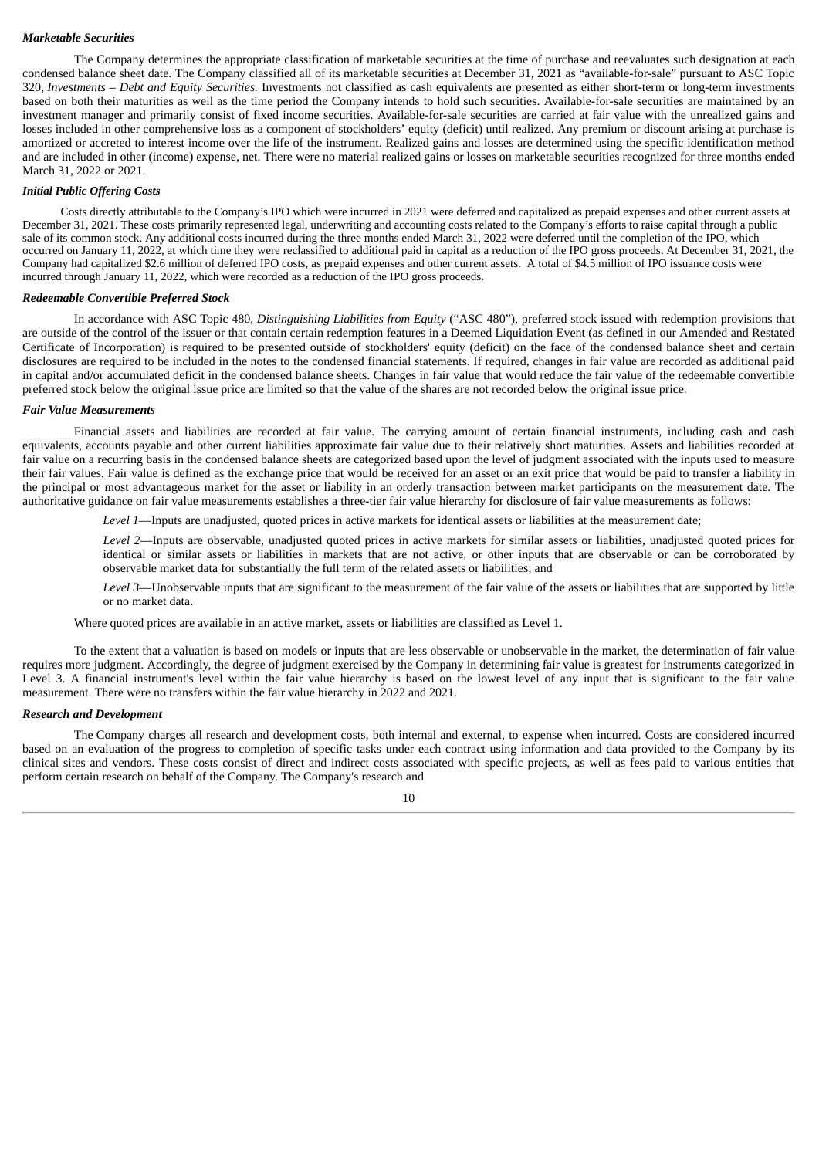# *Marketable Securities*

The Company determines the appropriate classification of marketable securities at the time of purchase and reevaluates such designation at each condensed balance sheet date. The Company classified all of its marketable securities at December 31, 2021 as "available-for-sale" pursuant to ASC Topic 320, *Investments – Debt and Equity Securities.* Investments not classified as cash equivalents are presented as either short-term or long-term investments based on both their maturities as well as the time period the Company intends to hold such securities. Available-for-sale securities are maintained by an investment manager and primarily consist of fixed income securities. Available-for-sale securities are carried at fair value with the unrealized gains and losses included in other comprehensive loss as a component of stockholders' equity (deficit) until realized. Any premium or discount arising at purchase is amortized or accreted to interest income over the life of the instrument. Realized gains and losses are determined using the specific identification method and are included in other (income) expense, net. There were no material realized gains or losses on marketable securities recognized for three months ended March 31, 2022 or 2021.

# *Initial Public Offering Costs*

Costs directly attributable to the Company's IPO which were incurred in 2021 were deferred and capitalized as prepaid expenses and other current assets at December 31, 2021. These costs primarily represented legal, underwriting and accounting costs related to the Company's efforts to raise capital through a public sale of its common stock. Any additional costs incurred during the three months ended March 31, 2022 were deferred until the completion of the IPO, which occurred on January 11, 2022, at which time they were reclassified to additional paid in capital as a reduction of the IPO gross proceeds. At December 31, 2021, the Company had capitalized \$2.6 million of deferred IPO costs, as prepaid expenses and other current assets. A total of \$4.5 million of IPO issuance costs were incurred through January 11, 2022, which were recorded as a reduction of the IPO gross proceeds.

## *Redeemable Convertible Preferred Stock*

In accordance with ASC Topic 480, *Distinguishing Liabilities from Equity* ("ASC 480"), preferred stock issued with redemption provisions that are outside of the control of the issuer or that contain certain redemption features in a Deemed Liquidation Event (as defined in our Amended and Restated Certificate of Incorporation) is required to be presented outside of stockholders' equity (deficit) on the face of the condensed balance sheet and certain disclosures are required to be included in the notes to the condensed financial statements. If required, changes in fair value are recorded as additional paid in capital and/or accumulated deficit in the condensed balance sheets. Changes in fair value that would reduce the fair value of the redeemable convertible preferred stock below the original issue price are limited so that the value of the shares are not recorded below the original issue price.

#### *Fair Value Measurements*

Financial assets and liabilities are recorded at fair value. The carrying amount of certain financial instruments, including cash and cash equivalents, accounts payable and other current liabilities approximate fair value due to their relatively short maturities. Assets and liabilities recorded at fair value on a recurring basis in the condensed balance sheets are categorized based upon the level of judgment associated with the inputs used to measure their fair values. Fair value is defined as the exchange price that would be received for an asset or an exit price that would be paid to transfer a liability in the principal or most advantageous market for the asset or liability in an orderly transaction between market participants on the measurement date. The authoritative guidance on fair value measurements establishes a three-tier fair value hierarchy for disclosure of fair value measurements as follows:

*Level 1*—Inputs are unadjusted, quoted prices in active markets for identical assets or liabilities at the measurement date;

*Level 2*—Inputs are observable, unadjusted quoted prices in active markets for similar assets or liabilities, unadjusted quoted prices for identical or similar assets or liabilities in markets that are not active, or other inputs that are observable or can be corroborated by observable market data for substantially the full term of the related assets or liabilities; and

*Level 3*—Unobservable inputs that are significant to the measurement of the fair value of the assets or liabilities that are supported by little or no market data.

Where quoted prices are available in an active market, assets or liabilities are classified as Level 1.

To the extent that a valuation is based on models or inputs that are less observable or unobservable in the market, the determination of fair value requires more judgment. Accordingly, the degree of judgment exercised by the Company in determining fair value is greatest for instruments categorized in Level 3. A financial instrument's level within the fair value hierarchy is based on the lowest level of any input that is significant to the fair value measurement. There were no transfers within the fair value hierarchy in 2022 and 2021.

# *Research and Development*

The Company charges all research and development costs, both internal and external, to expense when incurred. Costs are considered incurred based on an evaluation of the progress to completion of specific tasks under each contract using information and data provided to the Company by its clinical sites and vendors. These costs consist of direct and indirect costs associated with specific projects, as well as fees paid to various entities that perform certain research on behalf of the Company. The Company's research and

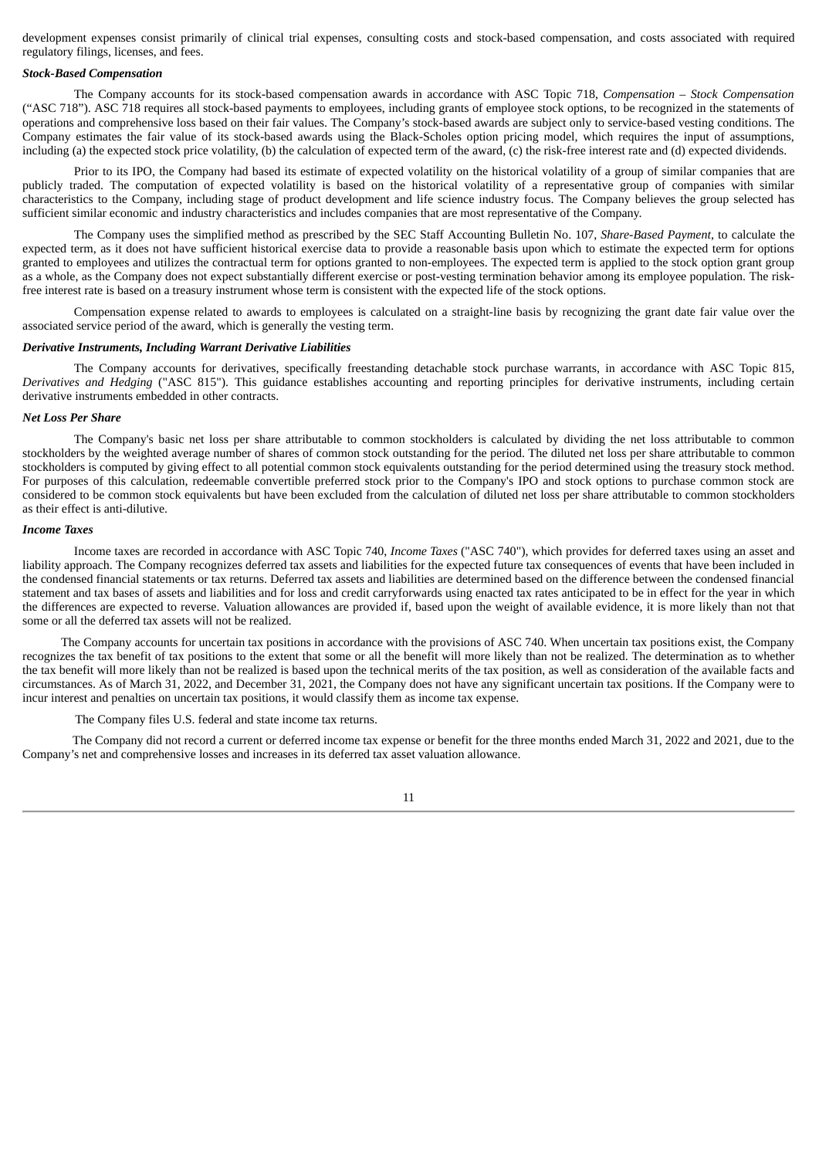development expenses consist primarily of clinical trial expenses, consulting costs and stock-based compensation, and costs associated with required regulatory filings, licenses, and fees.

## *Stock-Based Compensation*

The Company accounts for its stock-based compensation awards in accordance with ASC Topic 718, *Compensation – Stock Compensation* ("ASC 718"). ASC 718 requires all stock-based payments to employees, including grants of employee stock options, to be recognized in the statements of operations and comprehensive loss based on their fair values. The Company's stock-based awards are subject only to service-based vesting conditions. The Company estimates the fair value of its stock-based awards using the Black-Scholes option pricing model, which requires the input of assumptions, including (a) the expected stock price volatility, (b) the calculation of expected term of the award, (c) the risk-free interest rate and (d) expected dividends.

Prior to its IPO, the Company had based its estimate of expected volatility on the historical volatility of a group of similar companies that are publicly traded. The computation of expected volatility is based on the historical volatility of a representative group of companies with similar characteristics to the Company, including stage of product development and life science industry focus. The Company believes the group selected has sufficient similar economic and industry characteristics and includes companies that are most representative of the Company.

The Company uses the simplified method as prescribed by the SEC Staff Accounting Bulletin No. 107, *Share-Based Payment*, to calculate the expected term, as it does not have sufficient historical exercise data to provide a reasonable basis upon which to estimate the expected term for options granted to employees and utilizes the contractual term for options granted to non-employees. The expected term is applied to the stock option grant group as a whole, as the Company does not expect substantially different exercise or post-vesting termination behavior among its employee population. The riskfree interest rate is based on a treasury instrument whose term is consistent with the expected life of the stock options.

Compensation expense related to awards to employees is calculated on a straight-line basis by recognizing the grant date fair value over the associated service period of the award, which is generally the vesting term.

#### *Derivative Instruments, Including Warrant Derivative Liabilities*

The Company accounts for derivatives, specifically freestanding detachable stock purchase warrants, in accordance with ASC Topic 815, *Derivatives and Hedging* ("ASC 815"). This guidance establishes accounting and reporting principles for derivative instruments, including certain derivative instruments embedded in other contracts.

# *Net Loss Per Share*

The Company's basic net loss per share attributable to common stockholders is calculated by dividing the net loss attributable to common stockholders by the weighted average number of shares of common stock outstanding for the period. The diluted net loss per share attributable to common stockholders is computed by giving effect to all potential common stock equivalents outstanding for the period determined using the treasury stock method. For purposes of this calculation, redeemable convertible preferred stock prior to the Company's IPO and stock options to purchase common stock are considered to be common stock equivalents but have been excluded from the calculation of diluted net loss per share attributable to common stockholders as their effect is anti-dilutive.

#### *Income Taxes*

Income taxes are recorded in accordance with ASC Topic 740, *Income Taxes* ("ASC 740"), which provides for deferred taxes using an asset and liability approach. The Company recognizes deferred tax assets and liabilities for the expected future tax consequences of events that have been included in the condensed financial statements or tax returns. Deferred tax assets and liabilities are determined based on the difference between the condensed financial statement and tax bases of assets and liabilities and for loss and credit carryforwards using enacted tax rates anticipated to be in effect for the year in which the differences are expected to reverse. Valuation allowances are provided if, based upon the weight of available evidence, it is more likely than not that some or all the deferred tax assets will not be realized.

The Company accounts for uncertain tax positions in accordance with the provisions of ASC 740. When uncertain tax positions exist, the Company recognizes the tax benefit of tax positions to the extent that some or all the benefit will more likely than not be realized. The determination as to whether the tax benefit will more likely than not be realized is based upon the technical merits of the tax position, as well as consideration of the available facts and circumstances. As of March 31, 2022, and December 31, 2021, the Company does not have any significant uncertain tax positions. If the Company were to incur interest and penalties on uncertain tax positions, it would classify them as income tax expense.

The Company files U.S. federal and state income tax returns.

The Company did not record a current or deferred income tax expense or benefit for the three months ended March 31, 2022 and 2021, due to the Company's net and comprehensive losses and increases in its deferred tax asset valuation allowance.

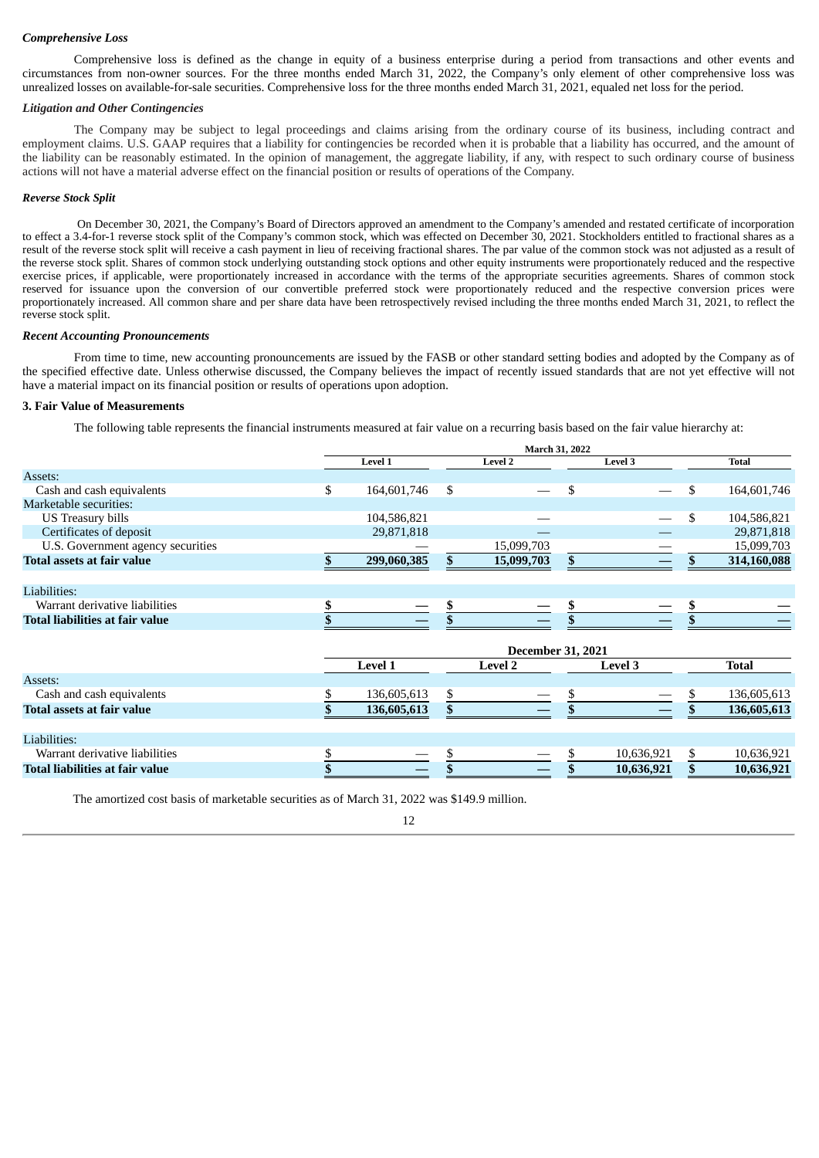# *Comprehensive Loss*

Comprehensive loss is defined as the change in equity of a business enterprise during a period from transactions and other events and circumstances from non-owner sources. For the three months ended March 31, 2022, the Company's only element of other comprehensive loss was unrealized losses on available-for-sale securities. Comprehensive loss for the three months ended March 31, 2021, equaled net loss for the period.

# *Litigation and Other Contingencies*

The Company may be subject to legal proceedings and claims arising from the ordinary course of its business, including contract and employment claims. U.S. GAAP requires that a liability for contingencies be recorded when it is probable that a liability has occurred, and the amount of the liability can be reasonably estimated. In the opinion of management, the aggregate liability, if any, with respect to such ordinary course of business actions will not have a material adverse effect on the financial position or results of operations of the Company.

#### *Reverse Stock Split*

On December 30, 2021, the Company's Board of Directors approved an amendment to the Company's amended and restated certificate of incorporation to effect a 3.4-for-1 reverse stock split of the Company's common stock, which was effected on December 30, 2021. Stockholders entitled to fractional shares as a result of the reverse stock split will receive a cash payment in lieu of receiving fractional shares. The par value of the common stock was not adjusted as a result of the reverse stock split. Shares of common stock underlying outstanding stock options and other equity instruments were proportionately reduced and the respective exercise prices, if applicable, were proportionately increased in accordance with the terms of the appropriate securities agreements. Shares of common stock reserved for issuance upon the conversion of our convertible preferred stock were proportionately reduced and the respective conversion prices were proportionately increased. All common share and per share data have been retrospectively revised including the three months ended March 31, 2021, to reflect the reverse stock split.

#### *Recent Accounting Pronouncements*

From time to time, new accounting pronouncements are issued by the FASB or other standard setting bodies and adopted by the Company as of the specified effective date. Unless otherwise discussed, the Company believes the impact of recently issued standards that are not yet effective will not have a material impact on its financial position or results of operations upon adoption.

# **3. Fair Value of Measurements**

The following table represents the financial instruments measured at fair value on a recurring basis based on the fair value hierarchy at:

|                                        | March 31, 2022 |             |    |                          |    |                |    |              |
|----------------------------------------|----------------|-------------|----|--------------------------|----|----------------|----|--------------|
|                                        |                | Level 1     |    | Level 2                  |    | Level 3        |    | <b>Total</b> |
| Assets:                                |                |             |    |                          |    |                |    |              |
| Cash and cash equivalents              | \$             | 164,601,746 | \$ |                          | \$ |                | \$ | 164,601,746  |
| Marketable securities:                 |                |             |    |                          |    |                |    |              |
| US Treasury bills                      |                | 104,586,821 |    |                          |    |                | \$ | 104,586,821  |
| Certificates of deposit                |                | 29,871,818  |    |                          |    |                |    | 29,871,818   |
| U.S. Government agency securities      |                |             |    | 15,099,703               |    |                |    | 15,099,703   |
| <b>Total assets at fair value</b>      |                | 299,060,385 | \$ | 15,099,703               | \$ |                |    | 314,160,088  |
|                                        |                |             |    |                          |    |                |    |              |
| Liabilities:                           |                |             |    |                          |    |                |    |              |
| Warrant derivative liabilities         | \$             | —           | \$ |                          | \$ |                |    |              |
| <b>Total liabilities at fair value</b> |                |             |    |                          |    |                |    |              |
|                                        |                |             |    |                          |    |                |    |              |
|                                        |                |             |    | <b>December 31, 2021</b> |    |                |    |              |
|                                        |                | Level 1     |    | <b>Level 2</b>           |    | <b>Level 3</b> |    | <b>Total</b> |
| Assets:                                |                |             |    |                          |    |                |    |              |
| Cash and cash equivalents              |                | 136,605,613 | \$ |                          |    |                |    | 136,605,613  |
| <b>Total assets at fair value</b>      |                | 136,605,613 | \$ |                          |    |                |    | 136,605,613  |
|                                        |                |             |    |                          |    |                |    |              |
| Liabilities:                           |                |             |    |                          |    |                |    |              |
| Warrant derivative liabilities         |                |             |    |                          |    | 10,636,921     | \$ | 10,636,921   |
| <b>Total liabilities at fair value</b> |                |             |    |                          |    | 10,636,921     |    | 10,636,921   |

The amortized cost basis of marketable securities as of March 31, 2022 was \$149.9 million.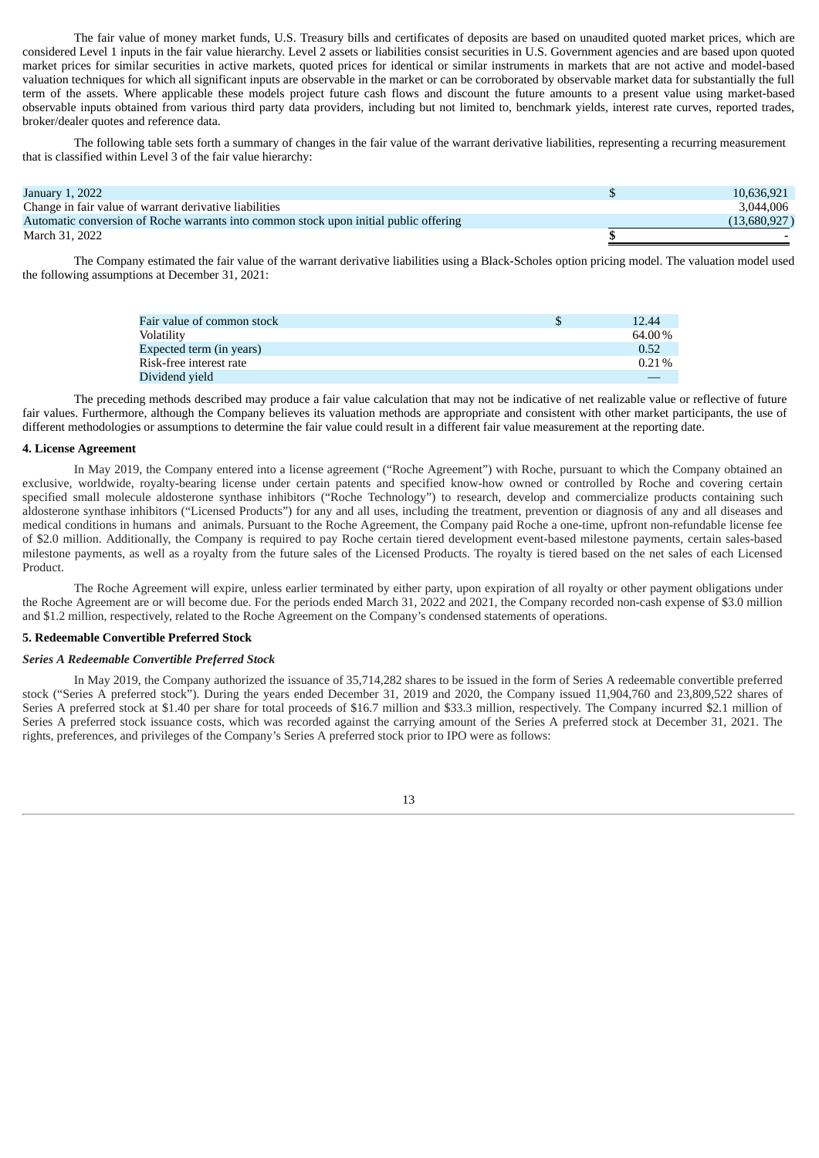The fair value of money market funds, U.S. Treasury bills and certificates of deposits are based on unaudited quoted market prices, which are considered Level 1 inputs in the fair value hierarchy. Level 2 assets or liabilities consist securities in U.S. Government agencies and are based upon quoted market prices for similar securities in active markets, quoted prices for identical or similar instruments in markets that are not active and model-based valuation techniques for which all significant inputs are observable in the market or can be corroborated by observable market data for substantially the full term of the assets. Where applicable these models project future cash flows and discount the future amounts to a present value using market-based observable inputs obtained from various third party data providers, including but not limited to, benchmark yields, interest rate curves, reported trades, broker/dealer quotes and reference data.

The following table sets forth a summary of changes in the fair value of the warrant derivative liabilities, representing a recurring measurement that is classified within Level 3 of the fair value hierarchy:

| January 1, 2022                                                                       | 10,636,921   |
|---------------------------------------------------------------------------------------|--------------|
| Change in fair value of warrant derivative liabilities                                | 3.044.006    |
| Automatic conversion of Roche warrants into common stock upon initial public offering | (13,680,927) |
| March 31, 2022                                                                        |              |

The Company estimated the fair value of the warrant derivative liabilities using a Black-Scholes option pricing model. The valuation model used the following assumptions at December 31, 2021:

| Fair value of common stock | 12.44    |
|----------------------------|----------|
| Volatility                 | 64.00%   |
| Expected term (in years)   | 0.52     |
| Risk-free interest rate    | $0.21\%$ |
| Dividend vield             |          |

The preceding methods described may produce a fair value calculation that may not be indicative of net realizable value or reflective of future fair values. Furthermore, although the Company believes its valuation methods are appropriate and consistent with other market participants, the use of different methodologies or assumptions to determine the fair value could result in a different fair value measurement at the reporting date.

# **4. License Agreement**

In May 2019, the Company entered into a license agreement ("Roche Agreement") with Roche, pursuant to which the Company obtained an exclusive, worldwide, royalty-bearing license under certain patents and specified know-how owned or controlled by Roche and covering certain specified small molecule aldosterone synthase inhibitors ("Roche Technology") to research, develop and commercialize products containing such aldosterone synthase inhibitors ("Licensed Products") for any and all uses, including the treatment, prevention or diagnosis of any and all diseases and medical conditions in humans and animals. Pursuant to the Roche Agreement, the Company paid Roche a one-time, upfront non-refundable license fee of \$2.0 million. Additionally, the Company is required to pay Roche certain tiered development event-based milestone payments, certain sales-based milestone payments, as well as a royalty from the future sales of the Licensed Products. The royalty is tiered based on the net sales of each Licensed Product.

The Roche Agreement will expire, unless earlier terminated by either party, upon expiration of all royalty or other payment obligations under the Roche Agreement are or will become due. For the periods ended March 31, 2022 and 2021, the Company recorded non-cash expense of \$3.0 million and \$1.2 million, respectively, related to the Roche Agreement on the Company's condensed statements of operations.

# **5. Redeemable Convertible Preferred Stock**

#### *Series A Redeemable Convertible Preferred Stock*

In May 2019, the Company authorized the issuance of 35,714,282 shares to be issued in the form of Series A redeemable convertible preferred stock ("Series A preferred stock"). During the years ended December 31, 2019 and 2020, the Company issued 11,904,760 and 23,809,522 shares of Series A preferred stock at \$1.40 per share for total proceeds of \$16.7 million and \$33.3 million, respectively. The Company incurred \$2.1 million of Series A preferred stock issuance costs, which was recorded against the carrying amount of the Series A preferred stock at December 31, 2021. The rights, preferences, and privileges of the Company's Series A preferred stock prior to IPO were as follows:

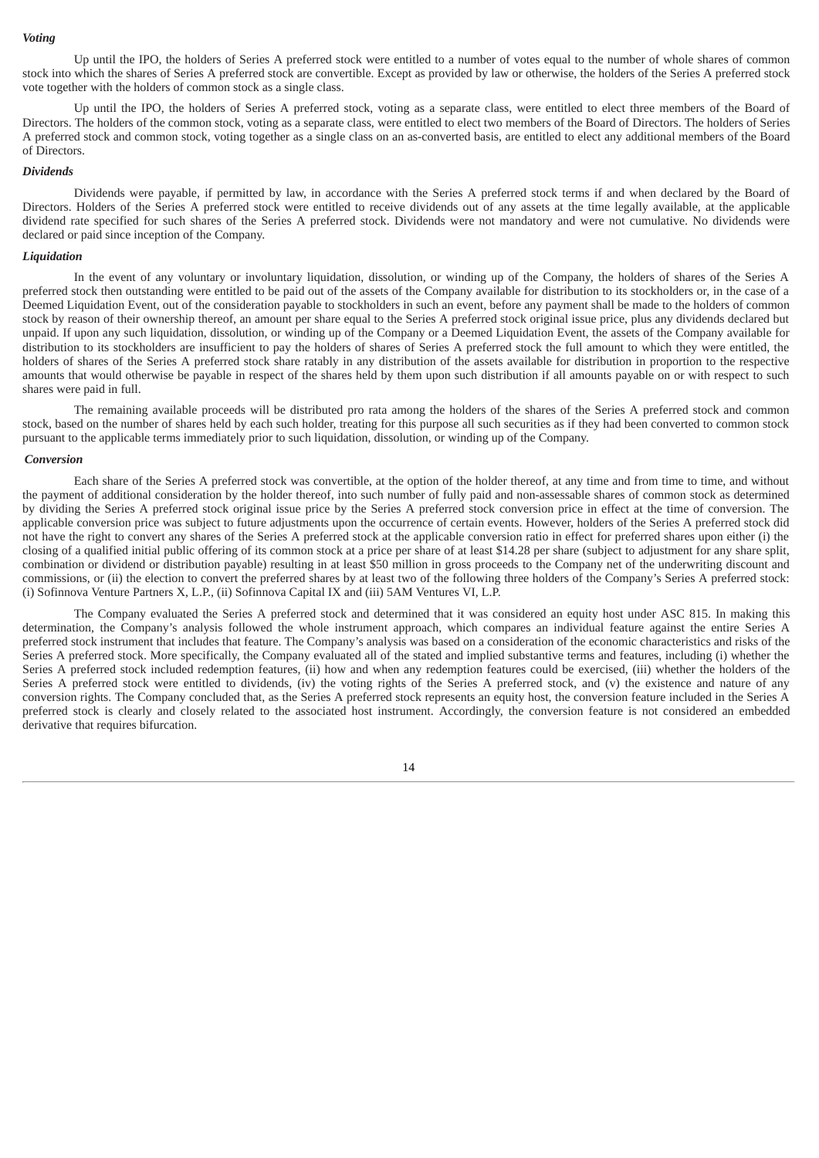# *Voting*

Up until the IPO, the holders of Series A preferred stock were entitled to a number of votes equal to the number of whole shares of common stock into which the shares of Series A preferred stock are convertible. Except as provided by law or otherwise, the holders of the Series A preferred stock vote together with the holders of common stock as a single class.

Up until the IPO, the holders of Series A preferred stock, voting as a separate class, were entitled to elect three members of the Board of Directors. The holders of the common stock, voting as a separate class, were entitled to elect two members of the Board of Directors. The holders of Series A preferred stock and common stock, voting together as a single class on an as-converted basis, are entitled to elect any additional members of the Board of Directors.

# *Dividends*

Dividends were payable, if permitted by law, in accordance with the Series A preferred stock terms if and when declared by the Board of Directors. Holders of the Series A preferred stock were entitled to receive dividends out of any assets at the time legally available, at the applicable dividend rate specified for such shares of the Series A preferred stock. Dividends were not mandatory and were not cumulative. No dividends were declared or paid since inception of the Company.

#### *Liquidation*

In the event of any voluntary or involuntary liquidation, dissolution, or winding up of the Company, the holders of shares of the Series A preferred stock then outstanding were entitled to be paid out of the assets of the Company available for distribution to its stockholders or, in the case of a Deemed Liquidation Event, out of the consideration payable to stockholders in such an event, before any payment shall be made to the holders of common stock by reason of their ownership thereof, an amount per share equal to the Series A preferred stock original issue price, plus any dividends declared but unpaid. If upon any such liquidation, dissolution, or winding up of the Company or a Deemed Liquidation Event, the assets of the Company available for distribution to its stockholders are insufficient to pay the holders of shares of Series A preferred stock the full amount to which they were entitled, the holders of shares of the Series A preferred stock share ratably in any distribution of the assets available for distribution in proportion to the respective amounts that would otherwise be payable in respect of the shares held by them upon such distribution if all amounts payable on or with respect to such shares were paid in full.

The remaining available proceeds will be distributed pro rata among the holders of the shares of the Series A preferred stock and common stock, based on the number of shares held by each such holder, treating for this purpose all such securities as if they had been converted to common stock pursuant to the applicable terms immediately prior to such liquidation, dissolution, or winding up of the Company.

# *Conversion*

Each share of the Series A preferred stock was convertible, at the option of the holder thereof, at any time and from time to time, and without the payment of additional consideration by the holder thereof, into such number of fully paid and non-assessable shares of common stock as determined by dividing the Series A preferred stock original issue price by the Series A preferred stock conversion price in effect at the time of conversion. The applicable conversion price was subject to future adjustments upon the occurrence of certain events. However, holders of the Series A preferred stock did not have the right to convert any shares of the Series A preferred stock at the applicable conversion ratio in effect for preferred shares upon either (i) the closing of a qualified initial public offering of its common stock at a price per share of at least \$14.28 per share (subject to adjustment for any share split, combination or dividend or distribution payable) resulting in at least \$50 million in gross proceeds to the Company net of the underwriting discount and commissions, or (ii) the election to convert the preferred shares by at least two of the following three holders of the Company's Series A preferred stock: (i) Sofinnova Venture Partners X, L.P., (ii) Sofinnova Capital IX and (iii) 5AM Ventures VI, L.P.

The Company evaluated the Series A preferred stock and determined that it was considered an equity host under ASC 815. In making this determination, the Company's analysis followed the whole instrument approach, which compares an individual feature against the entire Series A preferred stock instrument that includes that feature. The Company's analysis was based on a consideration of the economic characteristics and risks of the Series A preferred stock. More specifically, the Company evaluated all of the stated and implied substantive terms and features, including (i) whether the Series A preferred stock included redemption features, (ii) how and when any redemption features could be exercised, (iii) whether the holders of the Series A preferred stock were entitled to dividends, (iv) the voting rights of the Series A preferred stock, and (v) the existence and nature of any conversion rights. The Company concluded that, as the Series A preferred stock represents an equity host, the conversion feature included in the Series A preferred stock is clearly and closely related to the associated host instrument. Accordingly, the conversion feature is not considered an embedded derivative that requires bifurcation.

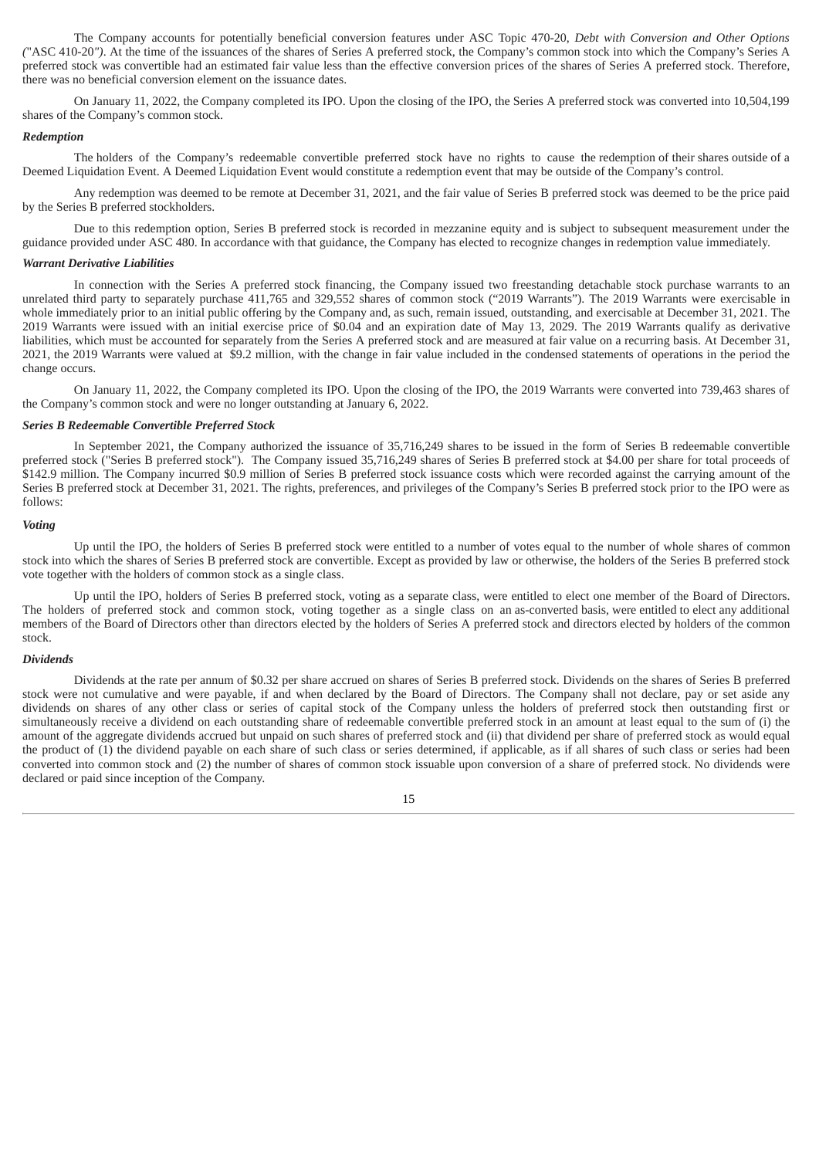The Company accounts for potentially beneficial conversion features under ASC Topic 470-20, *Debt with Conversion and Other Options (*"ASC 410-20*")*. At the time of the issuances of the shares of Series A preferred stock, the Company's common stock into which the Company's Series A preferred stock was convertible had an estimated fair value less than the effective conversion prices of the shares of Series A preferred stock. Therefore, there was no beneficial conversion element on the issuance dates.

On January 11, 2022, the Company completed its IPO. Upon the closing of the IPO, the Series A preferred stock was converted into 10,504,199 shares of the Company's common stock.

# *Redemption*

The holders of the Company's redeemable convertible preferred stock have no rights to cause the redemption of their shares outside of a Deemed Liquidation Event. A Deemed Liquidation Event would constitute a redemption event that may be outside of the Company's control.

Any redemption was deemed to be remote at December 31, 2021, and the fair value of Series B preferred stock was deemed to be the price paid by the Series B preferred stockholders.

Due to this redemption option, Series B preferred stock is recorded in mezzanine equity and is subject to subsequent measurement under the guidance provided under ASC 480. In accordance with that guidance, the Company has elected to recognize changes in redemption value immediately.

# *Warrant Derivative Liabilities*

In connection with the Series A preferred stock financing, the Company issued two freestanding detachable stock purchase warrants to an unrelated third party to separately purchase 411,765 and 329,552 shares of common stock ("2019 Warrants"). The 2019 Warrants were exercisable in whole immediately prior to an initial public offering by the Company and, as such, remain issued, outstanding, and exercisable at December 31, 2021. The 2019 Warrants were issued with an initial exercise price of \$0.04 and an expiration date of May 13, 2029. The 2019 Warrants qualify as derivative liabilities, which must be accounted for separately from the Series A preferred stock and are measured at fair value on a recurring basis. At December 31, 2021, the 2019 Warrants were valued at \$9.2 million, with the change in fair value included in the condensed statements of operations in the period the change occurs.

On January 11, 2022, the Company completed its IPO. Upon the closing of the IPO, the 2019 Warrants were converted into 739,463 shares of the Company's common stock and were no longer outstanding at January 6, 2022.

# *Series B Redeemable Convertible Preferred Stock*

In September 2021, the Company authorized the issuance of 35,716,249 shares to be issued in the form of Series B redeemable convertible preferred stock ("Series B preferred stock"). The Company issued 35,716,249 shares of Series B preferred stock at \$4.00 per share for total proceeds of \$142.9 million. The Company incurred \$0.9 million of Series B preferred stock issuance costs which were recorded against the carrying amount of the Series B preferred stock at December 31, 2021. The rights, preferences, and privileges of the Company's Series B preferred stock prior to the IPO were as follows:

#### *Voting*

Up until the IPO, the holders of Series B preferred stock were entitled to a number of votes equal to the number of whole shares of common stock into which the shares of Series B preferred stock are convertible. Except as provided by law or otherwise, the holders of the Series B preferred stock vote together with the holders of common stock as a single class.

Up until the IPO, holders of Series B preferred stock, voting as a separate class, were entitled to elect one member of the Board of Directors. The holders of preferred stock and common stock, voting together as a single class on an as-converted basis, were entitled to elect any additional members of the Board of Directors other than directors elected by the holders of Series A preferred stock and directors elected by holders of the common stock.

# *Dividends*

Dividends at the rate per annum of \$0.32 per share accrued on shares of Series B preferred stock. Dividends on the shares of Series B preferred stock were not cumulative and were payable, if and when declared by the Board of Directors. The Company shall not declare, pay or set aside any dividends on shares of any other class or series of capital stock of the Company unless the holders of preferred stock then outstanding first or simultaneously receive a dividend on each outstanding share of redeemable convertible preferred stock in an amount at least equal to the sum of (i) the amount of the aggregate dividends accrued but unpaid on such shares of preferred stock and (ii) that dividend per share of preferred stock as would equal the product of (1) the dividend payable on each share of such class or series determined, if applicable, as if all shares of such class or series had been converted into common stock and (2) the number of shares of common stock issuable upon conversion of a share of preferred stock. No dividends were declared or paid since inception of the Company.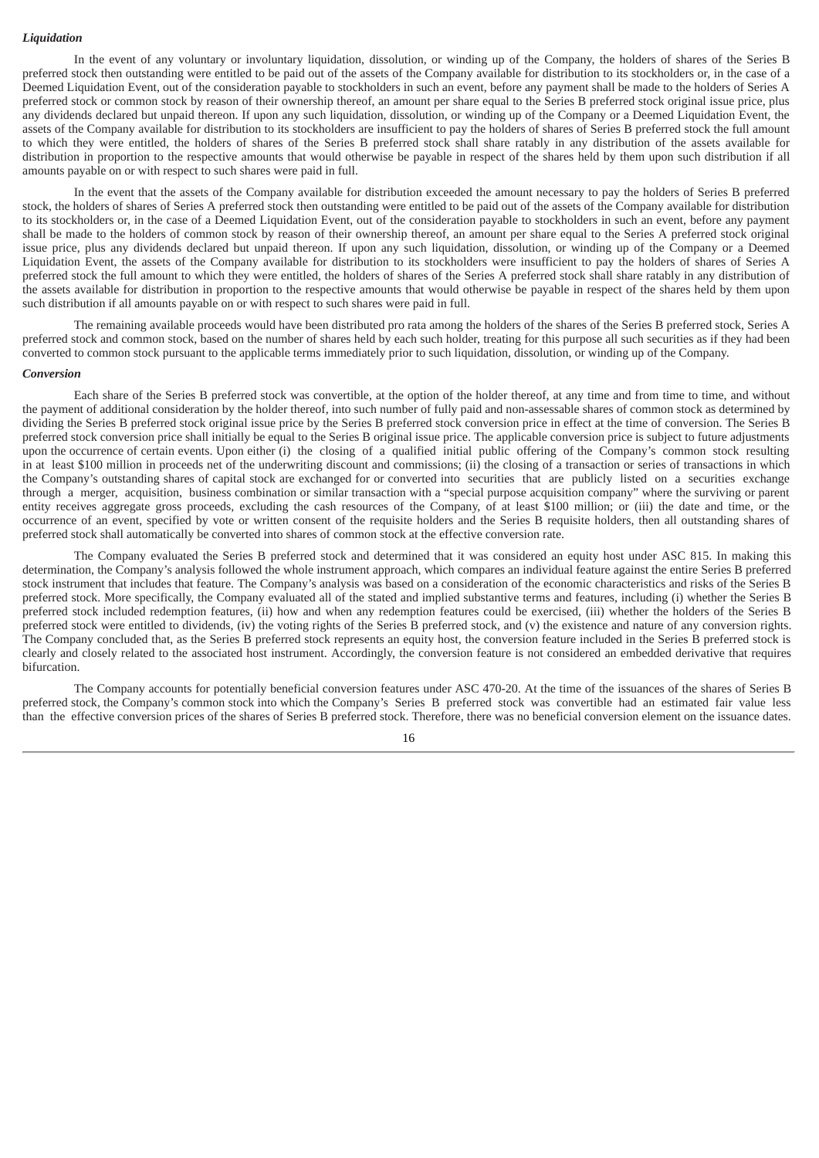#### *Liquidation*

In the event of any voluntary or involuntary liquidation, dissolution, or winding up of the Company, the holders of shares of the Series B preferred stock then outstanding were entitled to be paid out of the assets of the Company available for distribution to its stockholders or, in the case of a Deemed Liquidation Event, out of the consideration payable to stockholders in such an event, before any payment shall be made to the holders of Series A preferred stock or common stock by reason of their ownership thereof, an amount per share equal to the Series B preferred stock original issue price, plus any dividends declared but unpaid thereon. If upon any such liquidation, dissolution, or winding up of the Company or a Deemed Liquidation Event, the assets of the Company available for distribution to its stockholders are insufficient to pay the holders of shares of Series B preferred stock the full amount to which they were entitled, the holders of shares of the Series B preferred stock shall share ratably in any distribution of the assets available for distribution in proportion to the respective amounts that would otherwise be payable in respect of the shares held by them upon such distribution if all amounts payable on or with respect to such shares were paid in full.

In the event that the assets of the Company available for distribution exceeded the amount necessary to pay the holders of Series B preferred stock, the holders of shares of Series A preferred stock then outstanding were entitled to be paid out of the assets of the Company available for distribution to its stockholders or, in the case of a Deemed Liquidation Event, out of the consideration payable to stockholders in such an event, before any payment shall be made to the holders of common stock by reason of their ownership thereof, an amount per share equal to the Series A preferred stock original issue price, plus any dividends declared but unpaid thereon. If upon any such liquidation, dissolution, or winding up of the Company or a Deemed Liquidation Event, the assets of the Company available for distribution to its stockholders were insufficient to pay the holders of shares of Series A preferred stock the full amount to which they were entitled, the holders of shares of the Series A preferred stock shall share ratably in any distribution of the assets available for distribution in proportion to the respective amounts that would otherwise be payable in respect of the shares held by them upon such distribution if all amounts payable on or with respect to such shares were paid in full.

The remaining available proceeds would have been distributed pro rata among the holders of the shares of the Series B preferred stock, Series A preferred stock and common stock, based on the number of shares held by each such holder, treating for this purpose all such securities as if they had been converted to common stock pursuant to the applicable terms immediately prior to such liquidation, dissolution, or winding up of the Company.

#### *Conversion*

Each share of the Series B preferred stock was convertible, at the option of the holder thereof, at any time and from time to time, and without the payment of additional consideration by the holder thereof, into such number of fully paid and non-assessable shares of common stock as determined by dividing the Series B preferred stock original issue price by the Series B preferred stock conversion price in effect at the time of conversion. The Series B preferred stock conversion price shall initially be equal to the Series B original issue price. The applicable conversion price is subject to future adjustments upon the occurrence of certain events. Upon either (i) the closing of a qualified initial public offering of the Company's common stock resulting in at least \$100 million in proceeds net of the underwriting discount and commissions; (ii) the closing of a transaction or series of transactions in which the Company's outstanding shares of capital stock are exchanged for or converted into securities that are publicly listed on a securities exchange through a merger, acquisition, business combination or similar transaction with a "special purpose acquisition company" where the surviving or parent entity receives aggregate gross proceeds, excluding the cash resources of the Company, of at least \$100 million; or (iii) the date and time, or the occurrence of an event, specified by vote or written consent of the requisite holders and the Series B requisite holders, then all outstanding shares of preferred stock shall automatically be converted into shares of common stock at the effective conversion rate.

The Company evaluated the Series B preferred stock and determined that it was considered an equity host under ASC 815. In making this determination, the Company's analysis followed the whole instrument approach, which compares an individual feature against the entire Series B preferred stock instrument that includes that feature. The Company's analysis was based on a consideration of the economic characteristics and risks of the Series B preferred stock. More specifically, the Company evaluated all of the stated and implied substantive terms and features, including (i) whether the Series B preferred stock included redemption features, (ii) how and when any redemption features could be exercised, (iii) whether the holders of the Series B preferred stock were entitled to dividends, (iv) the voting rights of the Series B preferred stock, and (v) the existence and nature of any conversion rights. The Company concluded that, as the Series B preferred stock represents an equity host, the conversion feature included in the Series B preferred stock is clearly and closely related to the associated host instrument. Accordingly, the conversion feature is not considered an embedded derivative that requires bifurcation.

The Company accounts for potentially beneficial conversion features under ASC 470-20. At the time of the issuances of the shares of Series B preferred stock, the Company's common stock into which the Company's Series B preferred stock was convertible had an estimated fair value less than the effective conversion prices of the shares of Series B preferred stock. Therefore, there was no beneficial conversion element on the issuance dates.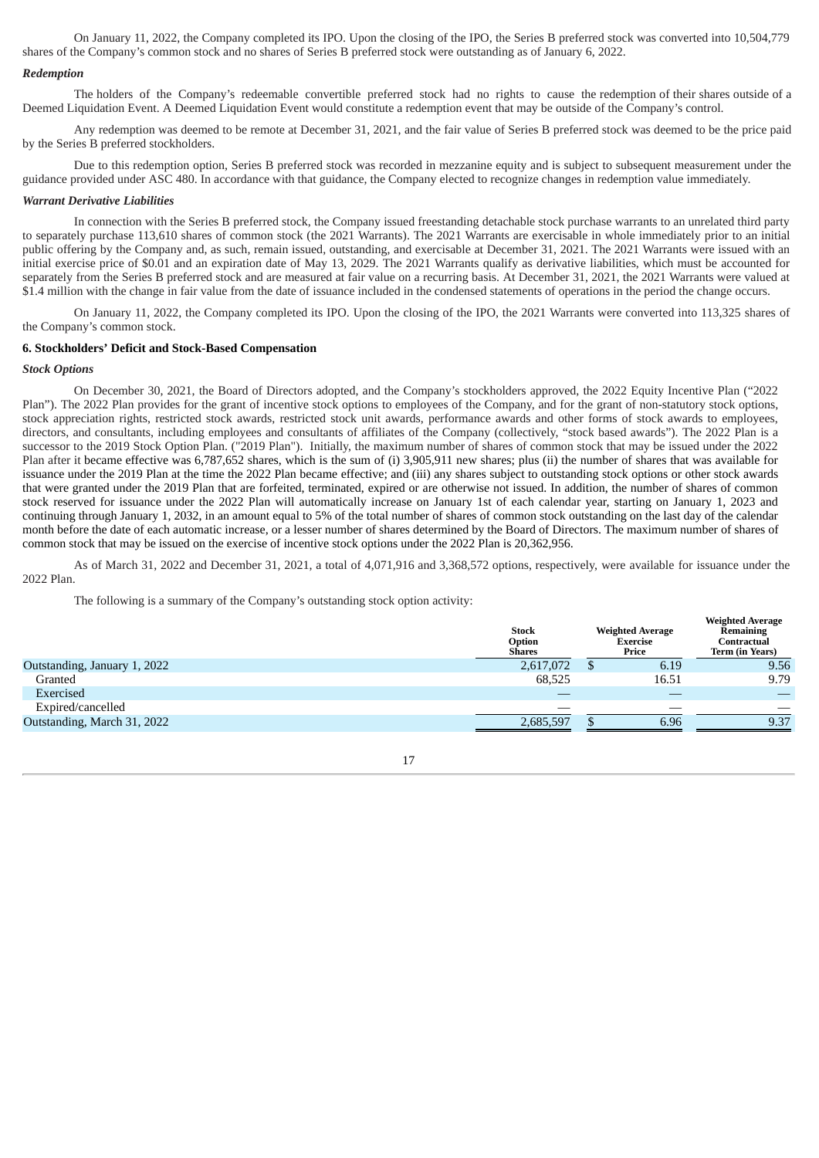On January 11, 2022, the Company completed its IPO. Upon the closing of the IPO, the Series B preferred stock was converted into 10,504,779 shares of the Company's common stock and no shares of Series B preferred stock were outstanding as of January 6, 2022.

#### *Redemption*

The holders of the Company's redeemable convertible preferred stock had no rights to cause the redemption of their shares outside of a Deemed Liquidation Event. A Deemed Liquidation Event would constitute a redemption event that may be outside of the Company's control.

Any redemption was deemed to be remote at December 31, 2021, and the fair value of Series B preferred stock was deemed to be the price paid by the Series B preferred stockholders.

Due to this redemption option, Series B preferred stock was recorded in mezzanine equity and is subject to subsequent measurement under the guidance provided under ASC 480. In accordance with that guidance, the Company elected to recognize changes in redemption value immediately.

#### *Warrant Derivative Liabilities*

In connection with the Series B preferred stock, the Company issued freestanding detachable stock purchase warrants to an unrelated third party to separately purchase 113,610 shares of common stock (the 2021 Warrants). The 2021 Warrants are exercisable in whole immediately prior to an initial public offering by the Company and, as such, remain issued, outstanding, and exercisable at December 31, 2021. The 2021 Warrants were issued with an initial exercise price of \$0.01 and an expiration date of May 13, 2029. The 2021 Warrants qualify as derivative liabilities, which must be accounted for separately from the Series B preferred stock and are measured at fair value on a recurring basis. At December 31, 2021, the 2021 Warrants were valued at \$1.4 million with the change in fair value from the date of issuance included in the condensed statements of operations in the period the change occurs.

On January 11, 2022, the Company completed its IPO. Upon the closing of the IPO, the 2021 Warrants were converted into 113,325 shares of the Company's common stock.

# **6. Stockholders' Deficit and Stock-Based Compensation**

# *Stock Options*

On December 30, 2021, the Board of Directors adopted, and the Company's stockholders approved, the 2022 Equity Incentive Plan ("2022 Plan"). The 2022 Plan provides for the grant of incentive stock options to employees of the Company, and for the grant of non-statutory stock options, stock appreciation rights, restricted stock awards, restricted stock unit awards, performance awards and other forms of stock awards to employees, directors, and consultants, including employees and consultants of affiliates of the Company (collectively, "stock based awards"). The 2022 Plan is a successor to the 2019 Stock Option Plan. ("2019 Plan"). Initially, the maximum number of shares of common stock that may be issued under the 2022 Plan after it became effective was 6,787,652 shares, which is the sum of (i) 3,905,911 new shares; plus (ii) the number of shares that was available for issuance under the 2019 Plan at the time the 2022 Plan became effective; and (iii) any shares subject to outstanding stock options or other stock awards that were granted under the 2019 Plan that are forfeited, terminated, expired or are otherwise not issued. In addition, the number of shares of common stock reserved for issuance under the 2022 Plan will automatically increase on January 1st of each calendar year, starting on January 1, 2023 and continuing through January 1, 2032, in an amount equal to 5% of the total number of shares of common stock outstanding on the last day of the calendar month before the date of each automatic increase, or a lesser number of shares determined by the Board of Directors. The maximum number of shares of common stock that may be issued on the exercise of incentive stock options under the 2022 Plan is 20,362,956.

As of March 31, 2022 and December 31, 2021, a total of 4,071,916 and 3,368,572 options, respectively, were available for issuance under the 2022 Plan.

The following is a summary of the Company's outstanding stock option activity:

|                              | Stock<br>Option<br><b>Shares</b> | <b>Weighted Average</b><br>Exercise<br>Price | <b>Weighted Average</b><br><b>Remaining</b><br>Contractual<br><b>Term (in Years)</b> |
|------------------------------|----------------------------------|----------------------------------------------|--------------------------------------------------------------------------------------|
| Outstanding, January 1, 2022 | 2,617,072                        | 6.19                                         | 9.56                                                                                 |
| Granted                      | 68,525                           | 16.51                                        | 9.79                                                                                 |
| Exercised                    | __                               |                                              |                                                                                      |
| Expired/cancelled            |                                  |                                              |                                                                                      |
| Outstanding, March 31, 2022  | 2.685.597                        | 6.96                                         | 9.37                                                                                 |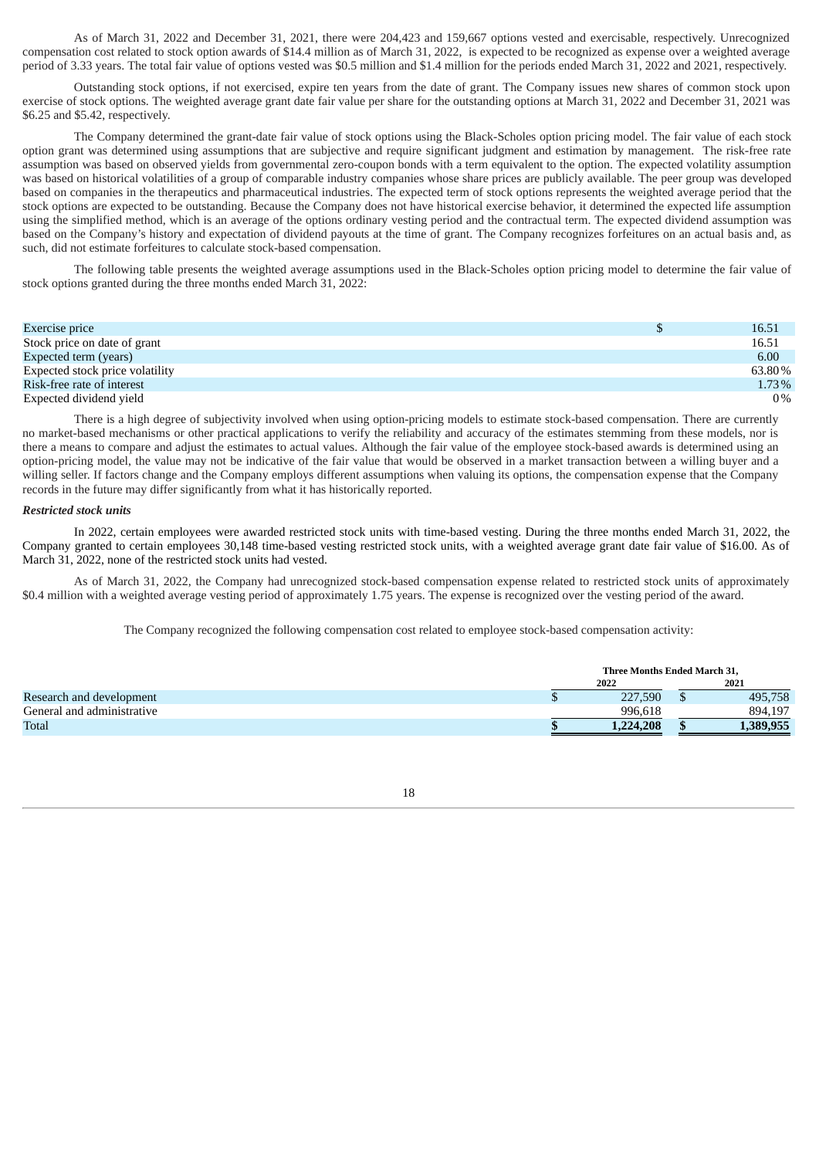As of March 31, 2022 and December 31, 2021, there were 204,423 and 159,667 options vested and exercisable, respectively. Unrecognized compensation cost related to stock option awards of \$14.4 million as of March 31, 2022, is expected to be recognized as expense over a weighted average period of 3.33 years. The total fair value of options vested was \$0.5 million and \$1.4 million for the periods ended March 31, 2022 and 2021, respectively.

Outstanding stock options, if not exercised, expire ten years from the date of grant. The Company issues new shares of common stock upon exercise of stock options. The weighted average grant date fair value per share for the outstanding options at March 31, 2022 and December 31, 2021 was \$6.25 and \$5.42, respectively.

The Company determined the grant-date fair value of stock options using the Black-Scholes option pricing model. The fair value of each stock option grant was determined using assumptions that are subjective and require significant judgment and estimation by management. The risk-free rate assumption was based on observed yields from governmental zero-coupon bonds with a term equivalent to the option. The expected volatility assumption was based on historical volatilities of a group of comparable industry companies whose share prices are publicly available. The peer group was developed based on companies in the therapeutics and pharmaceutical industries. The expected term of stock options represents the weighted average period that the stock options are expected to be outstanding. Because the Company does not have historical exercise behavior, it determined the expected life assumption using the simplified method, which is an average of the options ordinary vesting period and the contractual term. The expected dividend assumption was based on the Company's history and expectation of dividend payouts at the time of grant. The Company recognizes forfeitures on an actual basis and, as such, did not estimate forfeitures to calculate stock-based compensation.

The following table presents the weighted average assumptions used in the Black-Scholes option pricing model to determine the fair value of stock options granted during the three months ended March 31, 2022:

| Exercise price                  | 16.51  |
|---------------------------------|--------|
| Stock price on date of grant    | 16.51  |
| Expected term (years)           | 6.00   |
| Expected stock price volatility | 63.80% |
| Risk-free rate of interest      | 1.73%  |
| Expected dividend yield         | $0\%$  |

There is a high degree of subjectivity involved when using option-pricing models to estimate stock-based compensation. There are currently no market-based mechanisms or other practical applications to verify the reliability and accuracy of the estimates stemming from these models, nor is there a means to compare and adjust the estimates to actual values. Although the fair value of the employee stock-based awards is determined using an option-pricing model, the value may not be indicative of the fair value that would be observed in a market transaction between a willing buyer and a willing seller. If factors change and the Company employs different assumptions when valuing its options, the compensation expense that the Company records in the future may differ significantly from what it has historically reported.

# *Restricted stock units*

In 2022, certain employees were awarded restricted stock units with time-based vesting. During the three months ended March 31, 2022, the Company granted to certain employees 30,148 time-based vesting restricted stock units, with a weighted average grant date fair value of \$16.00. As of March 31, 2022, none of the restricted stock units had vested.

As of March 31, 2022, the Company had unrecognized stock-based compensation expense related to restricted stock units of approximately \$0.4 million with a weighted average vesting period of approximately 1.75 years. The expense is recognized over the vesting period of the award.

The Company recognized the following compensation cost related to employee stock-based compensation activity:

|                            | <b>Three Months Ended March 31.</b> |           |  |           |
|----------------------------|-------------------------------------|-----------|--|-----------|
|                            |                                     | 2022      |  | 2021      |
| Research and development   |                                     | 227,590   |  | 495.758   |
| General and administrative |                                     | 996.618   |  | 894.197   |
| <b>Total</b>               |                                     | 1,224,208 |  | 1,389,955 |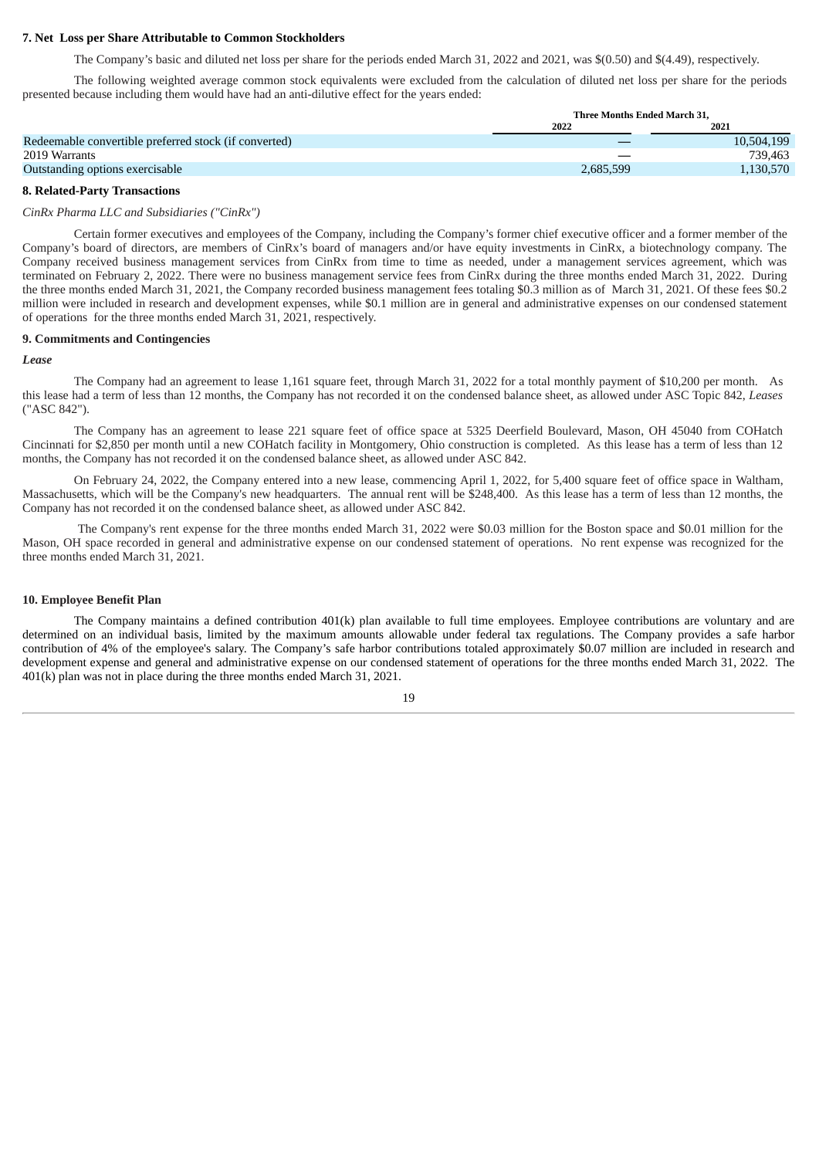#### **7. Net Loss per Share Attributable to Common Stockholders**

The Company's basic and diluted net loss per share for the periods ended March 31, 2022 and 2021, was \$(0.50) and \$(4.49), respectively.

The following weighted average common stock equivalents were excluded from the calculation of diluted net loss per share for the periods presented because including them would have had an anti-dilutive effect for the years ended:

|                                                       | <b>Three Months Ended March 31.</b> |            |  |
|-------------------------------------------------------|-------------------------------------|------------|--|
|                                                       | 2022                                | 2021       |  |
| Redeemable convertible preferred stock (if converted) |                                     | 10,504,199 |  |
| 2019 Warrants                                         |                                     | 739.463    |  |
| Outstanding options exercisable                       | 2.685.599                           | 1.130.570  |  |
|                                                       |                                     |            |  |

# **8. Related-Party Transactions**

# *CinRx Pharma LLC and Subsidiaries ("CinRx")*

Certain former executives and employees of the Company, including the Company's former chief executive officer and a former member of the Company's board of directors, are members of CinRx's board of managers and/or have equity investments in CinRx, a biotechnology company. The Company received business management services from CinRx from time to time as needed, under a management services agreement, which was terminated on February 2, 2022. There were no business management service fees from CinRx during the three months ended March 31, 2022. During the three months ended March 31, 2021, the Company recorded business management fees totaling \$0.3 million as of March 31, 2021. Of these fees \$0.2 million were included in research and development expenses, while \$0.1 million are in general and administrative expenses on our condensed statement of operations for the three months ended March 31, 2021, respectively.

# **9. Commitments and Contingencies**

#### *Lease*

The Company had an agreement to lease 1,161 square feet, through March 31, 2022 for a total monthly payment of \$10,200 per month. As this lease had a term of less than 12 months, the Company has not recorded it on the condensed balance sheet, as allowed under ASC Topic 842, *Leases* ("ASC 842").

The Company has an agreement to lease 221 square feet of office space at 5325 Deerfield Boulevard, Mason, OH 45040 from COHatch Cincinnati for \$2,850 per month until a new COHatch facility in Montgomery, Ohio construction is completed. As this lease has a term of less than 12 months, the Company has not recorded it on the condensed balance sheet, as allowed under ASC 842.

On February 24, 2022, the Company entered into a new lease, commencing April 1, 2022, for 5,400 square feet of office space in Waltham, Massachusetts, which will be the Company's new headquarters. The annual rent will be \$248,400. As this lease has a term of less than 12 months, the Company has not recorded it on the condensed balance sheet, as allowed under ASC 842.

The Company's rent expense for the three months ended March 31, 2022 were \$0.03 million for the Boston space and \$0.01 million for the Mason, OH space recorded in general and administrative expense on our condensed statement of operations. No rent expense was recognized for the three months ended March 31, 2021.

# **10. Employee Benefit Plan**

The Company maintains a defined contribution 401(k) plan available to full time employees. Employee contributions are voluntary and are determined on an individual basis, limited by the maximum amounts allowable under federal tax regulations. The Company provides a safe harbor contribution of 4% of the employee's salary. The Company's safe harbor contributions totaled approximately \$0.07 million are included in research and development expense and general and administrative expense on our condensed statement of operations for the three months ended March 31, 2022. The 401(k) plan was not in place during the three months ended March 31, 2021.

19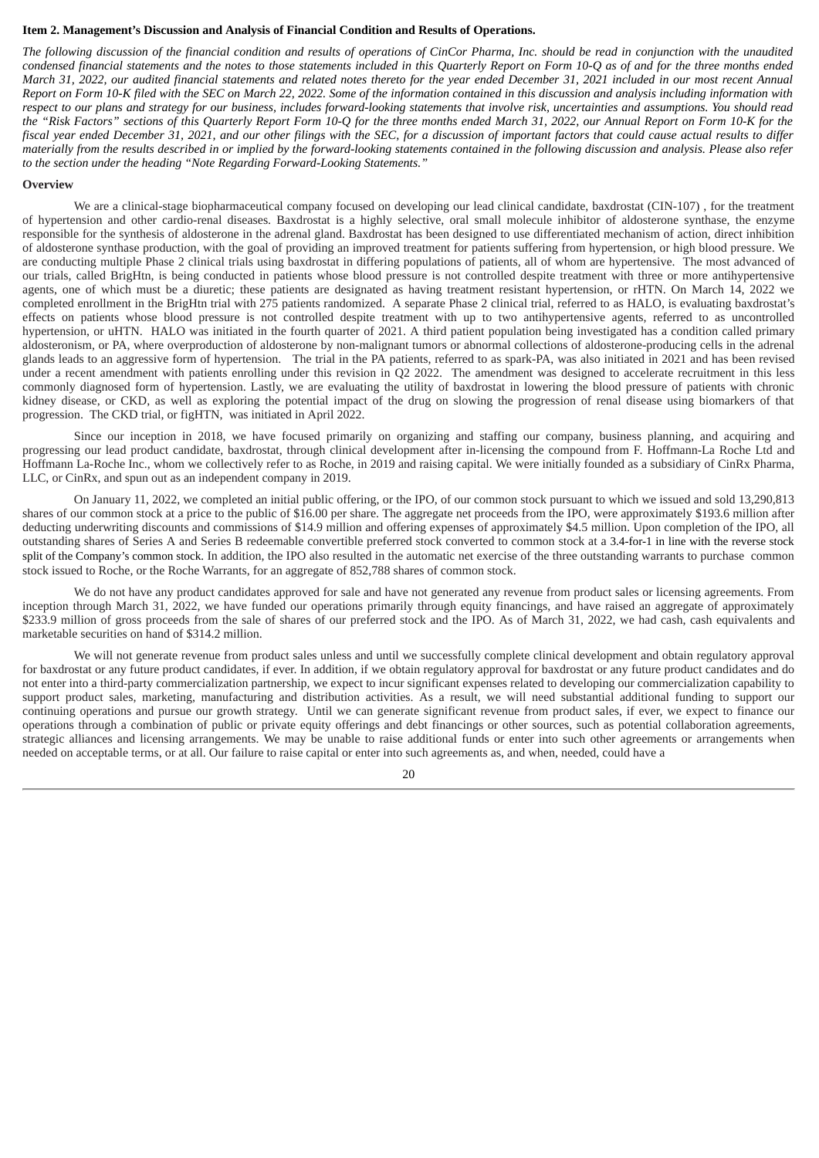#### <span id="page-20-0"></span>**Item 2. Management's Discussion and Analysis of Financial Condition and Results of Operations.**

The following discussion of the financial condition and results of operations of CinCor Pharma, Inc. should be read in conjunction with the unaudited condensed financial statements and the notes to those statements included in this Quarterly Report on Form 10-Q as of and for the three months ended March 31, 2022, our audited financial statements and related notes thereto for the year ended December 31, 2021 included in our most recent Annual Report on Form 10-K filed with the SEC on March 22, 2022. Some of the information contained in this discussion and analysis including information with respect to our plans and strategy for our business, includes forward-looking statements that involve risk, uncertainties and assumptions. You should read the "Risk Factors" sections of this Quarterly Report Form 10-Q for the three months ended March 31, 2022, our Annual Report on Form 10-K for the fiscal vear ended December 31, 2021, and our other filings with the SEC, for a discussion of important factors that could cause actual results to differ materially from the results described in or implied by the forward-looking statements contained in the following discussion and analysis. Please also refer *to the section under the heading "Note Regarding Forward-Looking Statements."*

#### **Overview**

We are a clinical-stage biopharmaceutical company focused on developing our lead clinical candidate, baxdrostat (CIN-107) , for the treatment of hypertension and other cardio-renal diseases. Baxdrostat is a highly selective, oral small molecule inhibitor of aldosterone synthase, the enzyme responsible for the synthesis of aldosterone in the adrenal gland. Baxdrostat has been designed to use differentiated mechanism of action, direct inhibition of aldosterone synthase production, with the goal of providing an improved treatment for patients suffering from hypertension, or high blood pressure. We are conducting multiple Phase 2 clinical trials using baxdrostat in differing populations of patients, all of whom are hypertensive. The most advanced of our trials, called BrigHtn, is being conducted in patients whose blood pressure is not controlled despite treatment with three or more antihypertensive agents, one of which must be a diuretic; these patients are designated as having treatment resistant hypertension, or rHTN. On March 14, 2022 we completed enrollment in the BrigHtn trial with 275 patients randomized. A separate Phase 2 clinical trial, referred to as HALO, is evaluating baxdrostat's effects on patients whose blood pressure is not controlled despite treatment with up to two antihypertensive agents, referred to as uncontrolled hypertension, or uHTN. HALO was initiated in the fourth quarter of 2021. A third patient population being investigated has a condition called primary aldosteronism, or PA, where overproduction of aldosterone by non-malignant tumors or abnormal collections of aldosterone-producing cells in the adrenal glands leads to an aggressive form of hypertension. The trial in the PA patients, referred to as spark-PA, was also initiated in 2021 and has been revised under a recent amendment with patients enrolling under this revision in Q2 2022. The amendment was designed to accelerate recruitment in this less commonly diagnosed form of hypertension. Lastly, we are evaluating the utility of baxdrostat in lowering the blood pressure of patients with chronic kidney disease, or CKD, as well as exploring the potential impact of the drug on slowing the progression of renal disease using biomarkers of that progression. The CKD trial, or figHTN, was initiated in April 2022.

Since our inception in 2018, we have focused primarily on organizing and staffing our company, business planning, and acquiring and progressing our lead product candidate, baxdrostat, through clinical development after in-licensing the compound from F. Hoffmann-La Roche Ltd and Hoffmann La-Roche Inc., whom we collectively refer to as Roche, in 2019 and raising capital. We were initially founded as a subsidiary of CinRx Pharma, LLC, or CinRx, and spun out as an independent company in 2019.

On January 11, 2022, we completed an initial public offering, or the IPO, of our common stock pursuant to which we issued and sold 13,290,813 shares of our common stock at a price to the public of \$16.00 per share. The aggregate net proceeds from the IPO, were approximately \$193.6 million after deducting underwriting discounts and commissions of \$14.9 million and offering expenses of approximately \$4.5 million. Upon completion of the IPO, all outstanding shares of Series A and Series B redeemable convertible preferred stock converted to common stock at a 3.4-for-1 in line with the reverse stock split of the Company's common stock. In addition, the IPO also resulted in the automatic net exercise of the three outstanding warrants to purchase common stock issued to Roche, or the Roche Warrants, for an aggregate of 852,788 shares of common stock.

We do not have any product candidates approved for sale and have not generated any revenue from product sales or licensing agreements. From inception through March 31, 2022, we have funded our operations primarily through equity financings, and have raised an aggregate of approximately \$233.9 million of gross proceeds from the sale of shares of our preferred stock and the IPO. As of March 31, 2022, we had cash, cash equivalents and marketable securities on hand of \$314.2 million.

We will not generate revenue from product sales unless and until we successfully complete clinical development and obtain regulatory approval for baxdrostat or any future product candidates, if ever. In addition, if we obtain regulatory approval for baxdrostat or any future product candidates and do not enter into a third-party commercialization partnership, we expect to incur significant expenses related to developing our commercialization capability to support product sales, marketing, manufacturing and distribution activities. As a result, we will need substantial additional funding to support our continuing operations and pursue our growth strategy. Until we can generate significant revenue from product sales, if ever, we expect to finance our operations through a combination of public or private equity offerings and debt financings or other sources, such as potential collaboration agreements, strategic alliances and licensing arrangements. We may be unable to raise additional funds or enter into such other agreements or arrangements when needed on acceptable terms, or at all. Our failure to raise capital or enter into such agreements as, and when, needed, could have a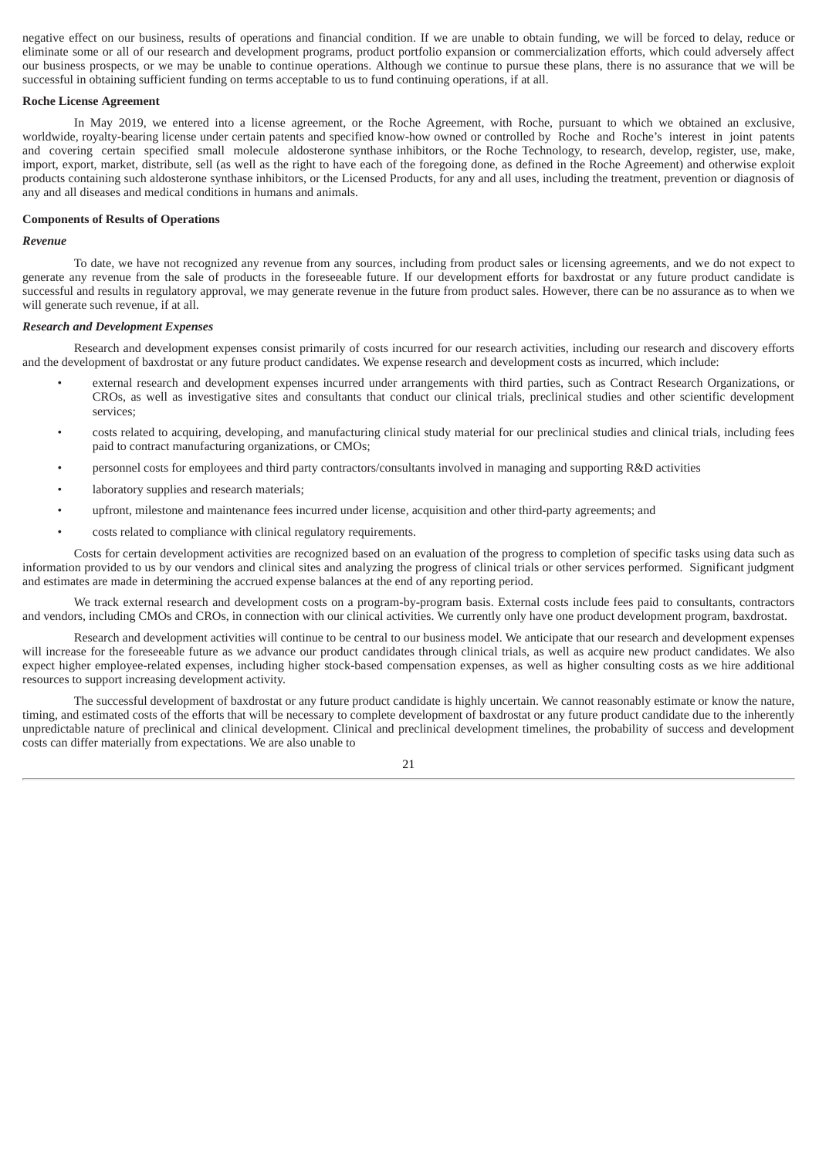negative effect on our business, results of operations and financial condition. If we are unable to obtain funding, we will be forced to delay, reduce or eliminate some or all of our research and development programs, product portfolio expansion or commercialization efforts, which could adversely affect our business prospects, or we may be unable to continue operations. Although we continue to pursue these plans, there is no assurance that we will be successful in obtaining sufficient funding on terms acceptable to us to fund continuing operations, if at all.

# **Roche License Agreement**

In May 2019, we entered into a license agreement, or the Roche Agreement, with Roche, pursuant to which we obtained an exclusive, worldwide, royalty-bearing license under certain patents and specified know-how owned or controlled by Roche and Roche's interest in joint patents and covering certain specified small molecule aldosterone synthase inhibitors, or the Roche Technology, to research, develop, register, use, make, import, export, market, distribute, sell (as well as the right to have each of the foregoing done, as defined in the Roche Agreement) and otherwise exploit products containing such aldosterone synthase inhibitors, or the Licensed Products, for any and all uses, including the treatment, prevention or diagnosis of any and all diseases and medical conditions in humans and animals.

#### **Components of Results of Operations**

#### *Revenue*

To date, we have not recognized any revenue from any sources, including from product sales or licensing agreements, and we do not expect to generate any revenue from the sale of products in the foreseeable future. If our development efforts for baxdrostat or any future product candidate is successful and results in regulatory approval, we may generate revenue in the future from product sales. However, there can be no assurance as to when we will generate such revenue, if at all.

#### *Research and Development Expenses*

Research and development expenses consist primarily of costs incurred for our research activities, including our research and discovery efforts and the development of baxdrostat or any future product candidates. We expense research and development costs as incurred, which include:

- external research and development expenses incurred under arrangements with third parties, such as Contract Research Organizations, or CROs, as well as investigative sites and consultants that conduct our clinical trials, preclinical studies and other scientific development services;
- costs related to acquiring, developing, and manufacturing clinical study material for our preclinical studies and clinical trials, including fees paid to contract manufacturing organizations, or CMOs;
- personnel costs for employees and third party contractors/consultants involved in managing and supporting R&D activities
- laboratory supplies and research materials;
- upfront, milestone and maintenance fees incurred under license, acquisition and other third-party agreements; and
- costs related to compliance with clinical regulatory requirements.

Costs for certain development activities are recognized based on an evaluation of the progress to completion of specific tasks using data such as information provided to us by our vendors and clinical sites and analyzing the progress of clinical trials or other services performed. Significant judgment and estimates are made in determining the accrued expense balances at the end of any reporting period.

We track external research and development costs on a program-by-program basis. External costs include fees paid to consultants, contractors and vendors, including CMOs and CROs, in connection with our clinical activities. We currently only have one product development program, baxdrostat.

Research and development activities will continue to be central to our business model. We anticipate that our research and development expenses will increase for the foreseeable future as we advance our product candidates through clinical trials, as well as acquire new product candidates. We also expect higher employee-related expenses, including higher stock-based compensation expenses, as well as higher consulting costs as we hire additional resources to support increasing development activity.

The successful development of baxdrostat or any future product candidate is highly uncertain. We cannot reasonably estimate or know the nature, timing, and estimated costs of the efforts that will be necessary to complete development of baxdrostat or any future product candidate due to the inherently unpredictable nature of preclinical and clinical development. Clinical and preclinical development timelines, the probability of success and development costs can differ materially from expectations. We are also unable to

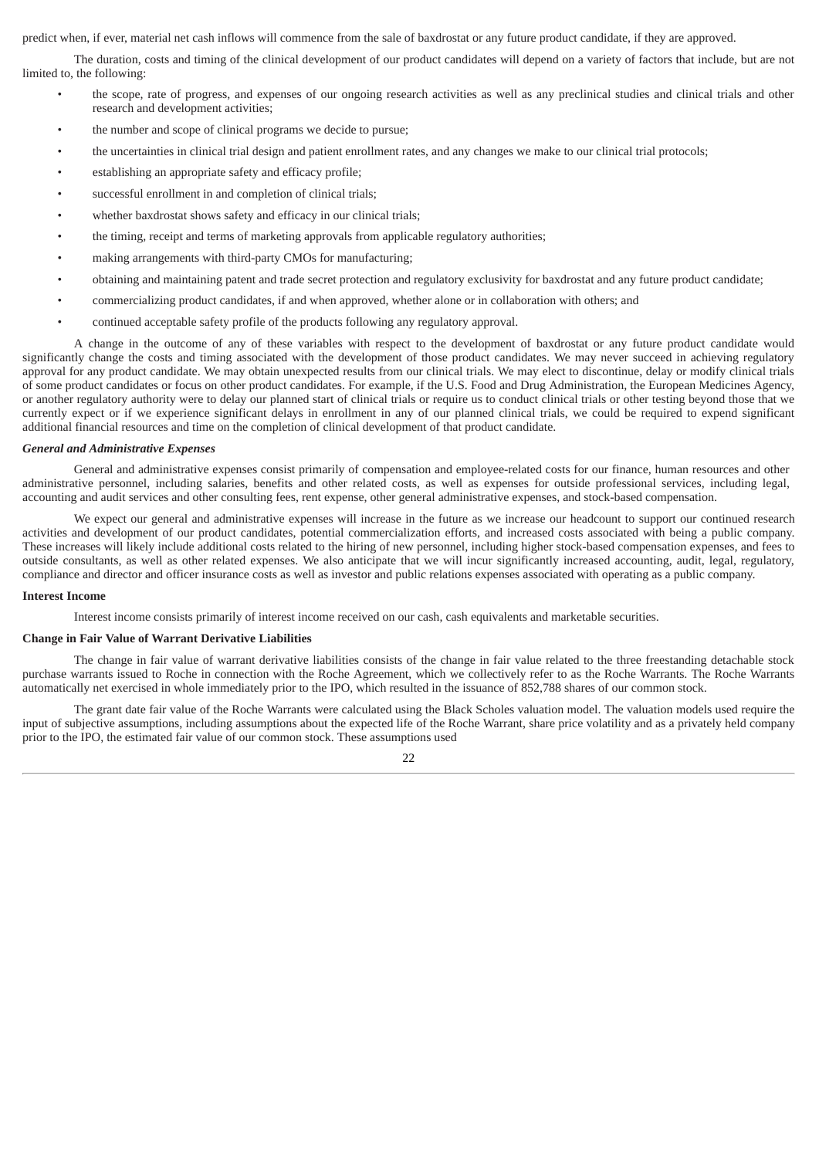predict when, if ever, material net cash inflows will commence from the sale of baxdrostat or any future product candidate, if they are approved.

The duration, costs and timing of the clinical development of our product candidates will depend on a variety of factors that include, but are not limited to, the following:

- the scope, rate of progress, and expenses of our ongoing research activities as well as any preclinical studies and clinical trials and other research and development activities;
- the number and scope of clinical programs we decide to pursue;
- the uncertainties in clinical trial design and patient enrollment rates, and any changes we make to our clinical trial protocols;
- establishing an appropriate safety and efficacy profile;
- successful enrollment in and completion of clinical trials;
- whether baxdrostat shows safety and efficacy in our clinical trials;
- the timing, receipt and terms of marketing approvals from applicable regulatory authorities;
- making arrangements with third-party CMOs for manufacturing;
- obtaining and maintaining patent and trade secret protection and regulatory exclusivity for baxdrostat and any future product candidate;
- commercializing product candidates, if and when approved, whether alone or in collaboration with others; and
- continued acceptable safety profile of the products following any regulatory approval.

A change in the outcome of any of these variables with respect to the development of baxdrostat or any future product candidate would significantly change the costs and timing associated with the development of those product candidates. We may never succeed in achieving regulatory approval for any product candidate. We may obtain unexpected results from our clinical trials. We may elect to discontinue, delay or modify clinical trials of some product candidates or focus on other product candidates. For example, if the U.S. Food and Drug Administration, the European Medicines Agency, or another regulatory authority were to delay our planned start of clinical trials or require us to conduct clinical trials or other testing beyond those that we currently expect or if we experience significant delays in enrollment in any of our planned clinical trials, we could be required to expend significant additional financial resources and time on the completion of clinical development of that product candidate.

# *General and Administrative Expenses*

General and administrative expenses consist primarily of compensation and employee-related costs for our finance, human resources and other administrative personnel, including salaries, benefits and other related costs, as well as expenses for outside professional services, including legal, accounting and audit services and other consulting fees, rent expense, other general administrative expenses, and stock-based compensation.

We expect our general and administrative expenses will increase in the future as we increase our headcount to support our continued research activities and development of our product candidates, potential commercialization efforts, and increased costs associated with being a public company. These increases will likely include additional costs related to the hiring of new personnel, including higher stock-based compensation expenses, and fees to outside consultants, as well as other related expenses. We also anticipate that we will incur significantly increased accounting, audit, legal, regulatory, compliance and director and officer insurance costs as well as investor and public relations expenses associated with operating as a public company.

# **Interest Income**

Interest income consists primarily of interest income received on our cash, cash equivalents and marketable securities.

# **Change in Fair Value of Warrant Derivative Liabilities**

The change in fair value of warrant derivative liabilities consists of the change in fair value related to the three freestanding detachable stock purchase warrants issued to Roche in connection with the Roche Agreement, which we collectively refer to as the Roche Warrants. The Roche Warrants automatically net exercised in whole immediately prior to the IPO, which resulted in the issuance of 852,788 shares of our common stock.

The grant date fair value of the Roche Warrants were calculated using the Black Scholes valuation model. The valuation models used require the input of subjective assumptions, including assumptions about the expected life of the Roche Warrant, share price volatility and as a privately held company prior to the IPO, the estimated fair value of our common stock. These assumptions used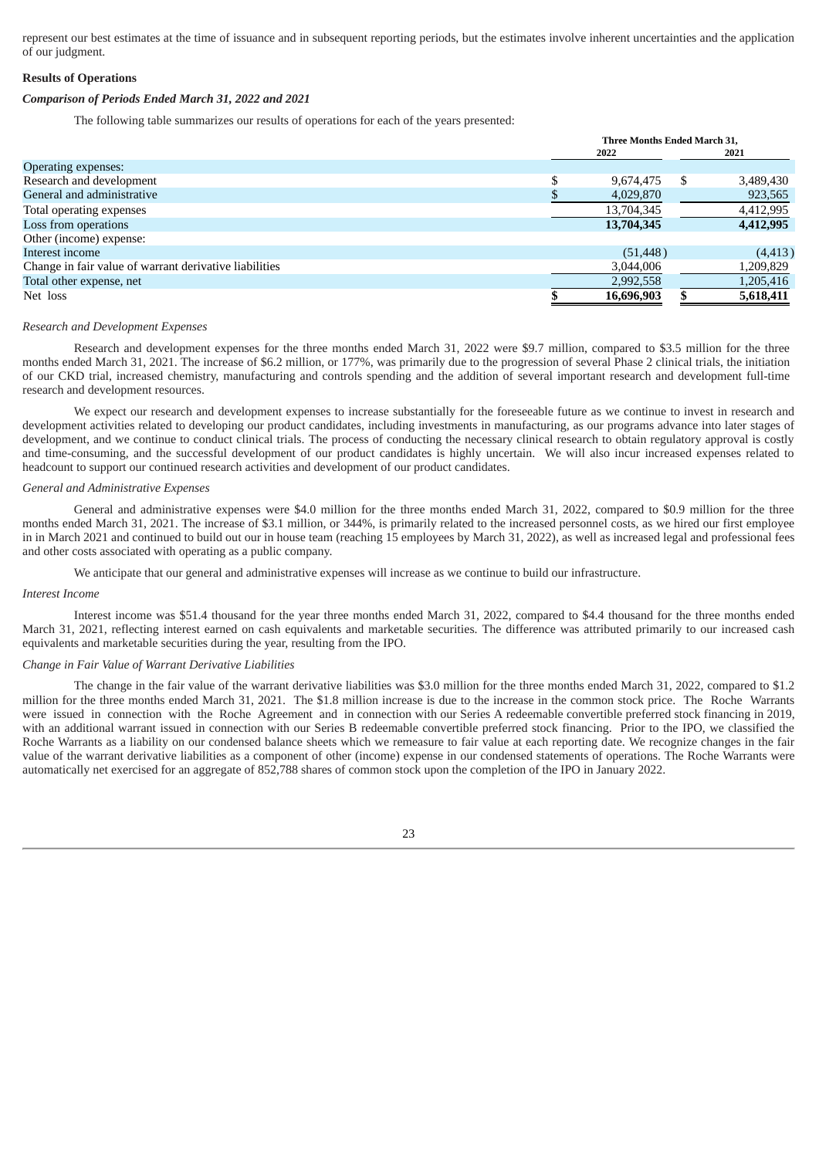represent our best estimates at the time of issuance and in subsequent reporting periods, but the estimates involve inherent uncertainties and the application of our judgment.

# **Results of Operations**

# *Comparison of Periods Ended March 31, 2022 and 2021*

The following table summarizes our results of operations for each of the years presented:

|                                                        | Three Months Ended March 31, |            |                 |
|--------------------------------------------------------|------------------------------|------------|-----------------|
|                                                        |                              | 2022       | 2021            |
| Operating expenses:                                    |                              |            |                 |
| Research and development                               |                              | 9,674,475  | \$<br>3,489,430 |
| General and administrative                             |                              | 4,029,870  | 923,565         |
| Total operating expenses                               |                              | 13,704,345 | 4,412,995       |
| Loss from operations                                   |                              | 13,704,345 | 4,412,995       |
| Other (income) expense:                                |                              |            |                 |
| Interest income                                        |                              | (51, 448)  | (4, 413)        |
| Change in fair value of warrant derivative liabilities |                              | 3,044,006  | 1,209,829       |
| Total other expense, net                               |                              | 2,992,558  | 1,205,416       |
| Net loss                                               |                              | 16,696,903 | 5,618,411       |

#### *Research and Development Expenses*

Research and development expenses for the three months ended March 31, 2022 were \$9.7 million, compared to \$3.5 million for the three months ended March 31, 2021. The increase of \$6.2 million, or 177%, was primarily due to the progression of several Phase 2 clinical trials, the initiation of our CKD trial, increased chemistry, manufacturing and controls spending and the addition of several important research and development full-time research and development resources.

We expect our research and development expenses to increase substantially for the foreseeable future as we continue to invest in research and development activities related to developing our product candidates, including investments in manufacturing, as our programs advance into later stages of development, and we continue to conduct clinical trials. The process of conducting the necessary clinical research to obtain regulatory approval is costly and time-consuming, and the successful development of our product candidates is highly uncertain. We will also incur increased expenses related to headcount to support our continued research activities and development of our product candidates.

#### *General and Administrative Expenses*

General and administrative expenses were \$4.0 million for the three months ended March 31, 2022, compared to \$0.9 million for the three months ended March 31, 2021. The increase of \$3.1 million, or 344%, is primarily related to the increased personnel costs, as we hired our first employee in in March 2021 and continued to build out our in house team (reaching 15 employees by March 31, 2022), as well as increased legal and professional fees and other costs associated with operating as a public company.

We anticipate that our general and administrative expenses will increase as we continue to build our infrastructure.

# *Interest Income*

Interest income was \$51.4 thousand for the year three months ended March 31, 2022, compared to \$4.4 thousand for the three months ended March 31, 2021, reflecting interest earned on cash equivalents and marketable securities. The difference was attributed primarily to our increased cash equivalents and marketable securities during the year, resulting from the IPO.

#### *Change in Fair Value of Warrant Derivative Liabilities*

The change in the fair value of the warrant derivative liabilities was \$3.0 million for the three months ended March 31, 2022, compared to \$1.2 million for the three months ended March 31, 2021. The \$1.8 million increase is due to the increase in the common stock price. The Roche Warrants were issued in connection with the Roche Agreement and in connection with our Series A redeemable convertible preferred stock financing in 2019, with an additional warrant issued in connection with our Series B redeemable convertible preferred stock financing. Prior to the IPO, we classified the Roche Warrants as a liability on our condensed balance sheets which we remeasure to fair value at each reporting date. We recognize changes in the fair value of the warrant derivative liabilities as a component of other (income) expense in our condensed statements of operations. The Roche Warrants were automatically net exercised for an aggregate of 852,788 shares of common stock upon the completion of the IPO in January 2022.

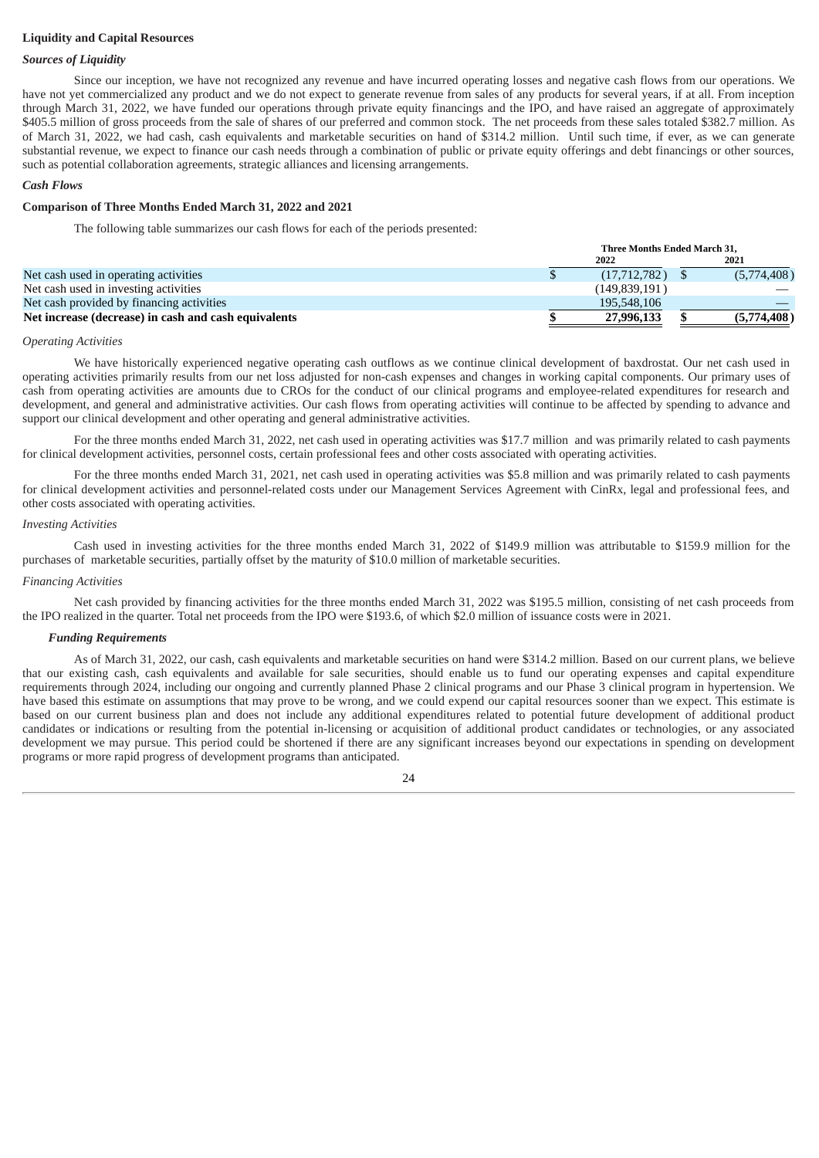# **Liquidity and Capital Resources**

#### *Sources of Liquidity*

Since our inception, we have not recognized any revenue and have incurred operating losses and negative cash flows from our operations. We have not yet commercialized any product and we do not expect to generate revenue from sales of any products for several years, if at all. From inception through March 31, 2022, we have funded our operations through private equity financings and the IPO, and have raised an aggregate of approximately \$405.5 million of gross proceeds from the sale of shares of our preferred and common stock. The net proceeds from these sales totaled \$382.7 million. As of March 31, 2022, we had cash, cash equivalents and marketable securities on hand of \$314.2 million. Until such time, if ever, as we can generate substantial revenue, we expect to finance our cash needs through a combination of public or private equity offerings and debt financings or other sources, such as potential collaboration agreements, strategic alliances and licensing arrangements.

#### *Cash Flows*

#### **Comparison of Three Months Ended March 31, 2022 and 2021**

The following table summarizes our cash flows for each of the periods presented:

|                                                      | <b>Three Months Ended March 31.</b> |  |             |
|------------------------------------------------------|-------------------------------------|--|-------------|
|                                                      | 2022                                |  | 2021        |
| Net cash used in operating activities                | (17, 712, 782)                      |  | (5,774,408) |
| Net cash used in investing activities                | (149, 839, 191)                     |  |             |
| Net cash provided by financing activities            | 195,548,106                         |  |             |
| Net increase (decrease) in cash and cash equivalents | 27,996,133                          |  | (5,774,408) |

# *Operating Activities*

We have historically experienced negative operating cash outflows as we continue clinical development of baxdrostat. Our net cash used in operating activities primarily results from our net loss adjusted for non-cash expenses and changes in working capital components. Our primary uses of cash from operating activities are amounts due to CROs for the conduct of our clinical programs and employee-related expenditures for research and development, and general and administrative activities. Our cash flows from operating activities will continue to be affected by spending to advance and support our clinical development and other operating and general administrative activities.

For the three months ended March 31, 2022, net cash used in operating activities was \$17.7 million and was primarily related to cash payments for clinical development activities, personnel costs, certain professional fees and other costs associated with operating activities.

For the three months ended March 31, 2021, net cash used in operating activities was \$5.8 million and was primarily related to cash payments for clinical development activities and personnel-related costs under our Management Services Agreement with CinRx, legal and professional fees, and other costs associated with operating activities.

#### *Investing Activities*

Cash used in investing activities for the three months ended March 31, 2022 of \$149.9 million was attributable to \$159.9 million for the purchases of marketable securities, partially offset by the maturity of \$10.0 million of marketable securities.

#### *Financing Activities*

Net cash provided by financing activities for the three months ended March 31, 2022 was \$195.5 million, consisting of net cash proceeds from the IPO realized in the quarter. Total net proceeds from the IPO were \$193.6, of which \$2.0 million of issuance costs were in 2021.

#### *Funding Requirements*

As of March 31, 2022, our cash, cash equivalents and marketable securities on hand were \$314.2 million. Based on our current plans, we believe that our existing cash, cash equivalents and available for sale securities, should enable us to fund our operating expenses and capital expenditure requirements through 2024, including our ongoing and currently planned Phase 2 clinical programs and our Phase 3 clinical program in hypertension. We have based this estimate on assumptions that may prove to be wrong, and we could expend our capital resources sooner than we expect. This estimate is based on our current business plan and does not include any additional expenditures related to potential future development of additional product candidates or indications or resulting from the potential in-licensing or acquisition of additional product candidates or technologies, or any associated development we may pursue. This period could be shortened if there are any significant increases beyond our expectations in spending on development programs or more rapid progress of development programs than anticipated.

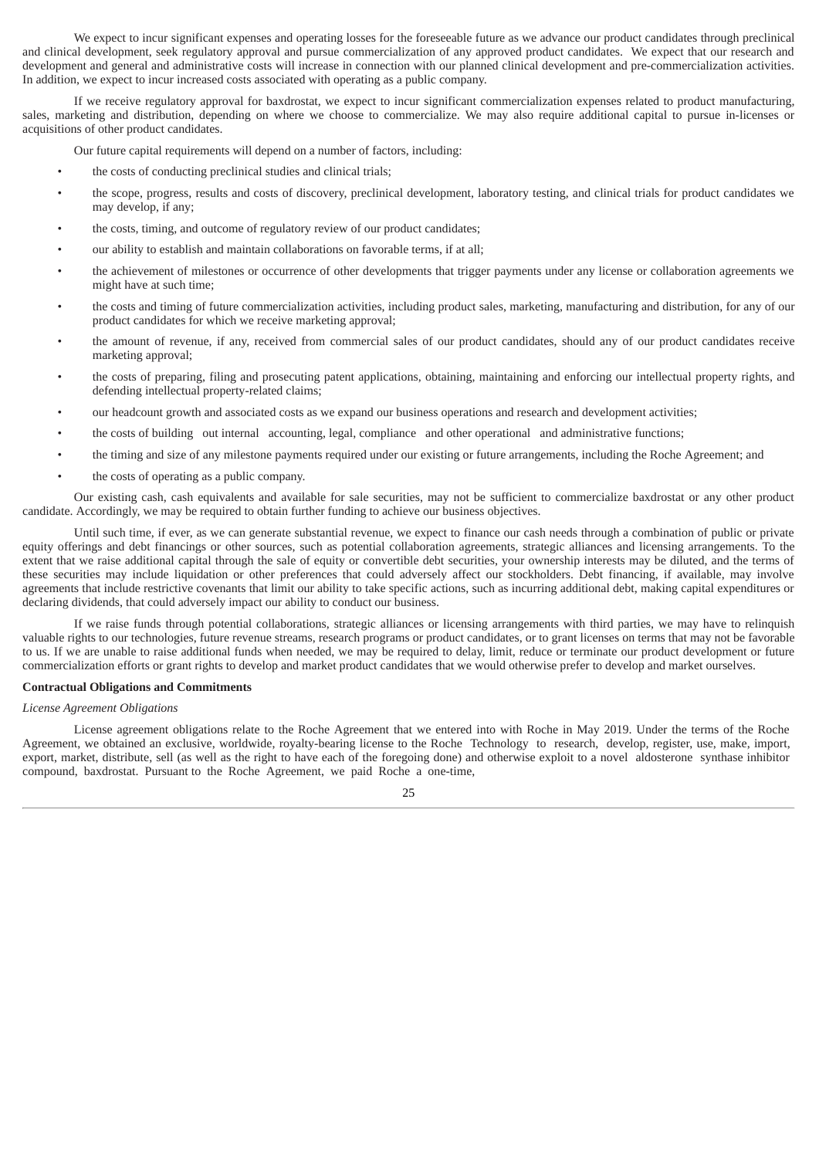We expect to incur significant expenses and operating losses for the foreseeable future as we advance our product candidates through preclinical and clinical development, seek regulatory approval and pursue commercialization of any approved product candidates. We expect that our research and development and general and administrative costs will increase in connection with our planned clinical development and pre-commercialization activities. In addition, we expect to incur increased costs associated with operating as a public company.

If we receive regulatory approval for baxdrostat, we expect to incur significant commercialization expenses related to product manufacturing, sales, marketing and distribution, depending on where we choose to commercialize. We may also require additional capital to pursue in-licenses or acquisitions of other product candidates.

Our future capital requirements will depend on a number of factors, including:

- the costs of conducting preclinical studies and clinical trials;
- the scope, progress, results and costs of discovery, preclinical development, laboratory testing, and clinical trials for product candidates we may develop, if any;
- the costs, timing, and outcome of regulatory review of our product candidates;
- our ability to establish and maintain collaborations on favorable terms, if at all;
- the achievement of milestones or occurrence of other developments that trigger payments under any license or collaboration agreements we might have at such time;
- the costs and timing of future commercialization activities, including product sales, marketing, manufacturing and distribution, for any of our product candidates for which we receive marketing approval;
- the amount of revenue, if any, received from commercial sales of our product candidates, should any of our product candidates receive marketing approval;
- the costs of preparing, filing and prosecuting patent applications, obtaining, maintaining and enforcing our intellectual property rights, and defending intellectual property-related claims;
- our headcount growth and associated costs as we expand our business operations and research and development activities;
- the costs of building out internal accounting, legal, compliance and other operational and administrative functions;
- the timing and size of any milestone payments required under our existing or future arrangements, including the Roche Agreement; and
- the costs of operating as a public company.

Our existing cash, cash equivalents and available for sale securities, may not be sufficient to commercialize baxdrostat or any other product candidate. Accordingly, we may be required to obtain further funding to achieve our business objectives.

Until such time, if ever, as we can generate substantial revenue, we expect to finance our cash needs through a combination of public or private equity offerings and debt financings or other sources, such as potential collaboration agreements, strategic alliances and licensing arrangements. To the extent that we raise additional capital through the sale of equity or convertible debt securities, your ownership interests may be diluted, and the terms of these securities may include liquidation or other preferences that could adversely affect our stockholders. Debt financing, if available, may involve agreements that include restrictive covenants that limit our ability to take specific actions, such as incurring additional debt, making capital expenditures or declaring dividends, that could adversely impact our ability to conduct our business.

If we raise funds through potential collaborations, strategic alliances or licensing arrangements with third parties, we may have to relinquish valuable rights to our technologies, future revenue streams, research programs or product candidates, or to grant licenses on terms that may not be favorable to us. If we are unable to raise additional funds when needed, we may be required to delay, limit, reduce or terminate our product development or future commercialization efforts or grant rights to develop and market product candidates that we would otherwise prefer to develop and market ourselves.

## **Contractual Obligations and Commitments**

#### *License Agreement Obligations*

License agreement obligations relate to the Roche Agreement that we entered into with Roche in May 2019. Under the terms of the Roche Agreement, we obtained an exclusive, worldwide, royalty-bearing license to the Roche Technology to research, develop, register, use, make, import, export, market, distribute, sell (as well as the right to have each of the foregoing done) and otherwise exploit to a novel aldosterone synthase inhibitor compound, baxdrostat. Pursuant to the Roche Agreement, we paid Roche a one-time,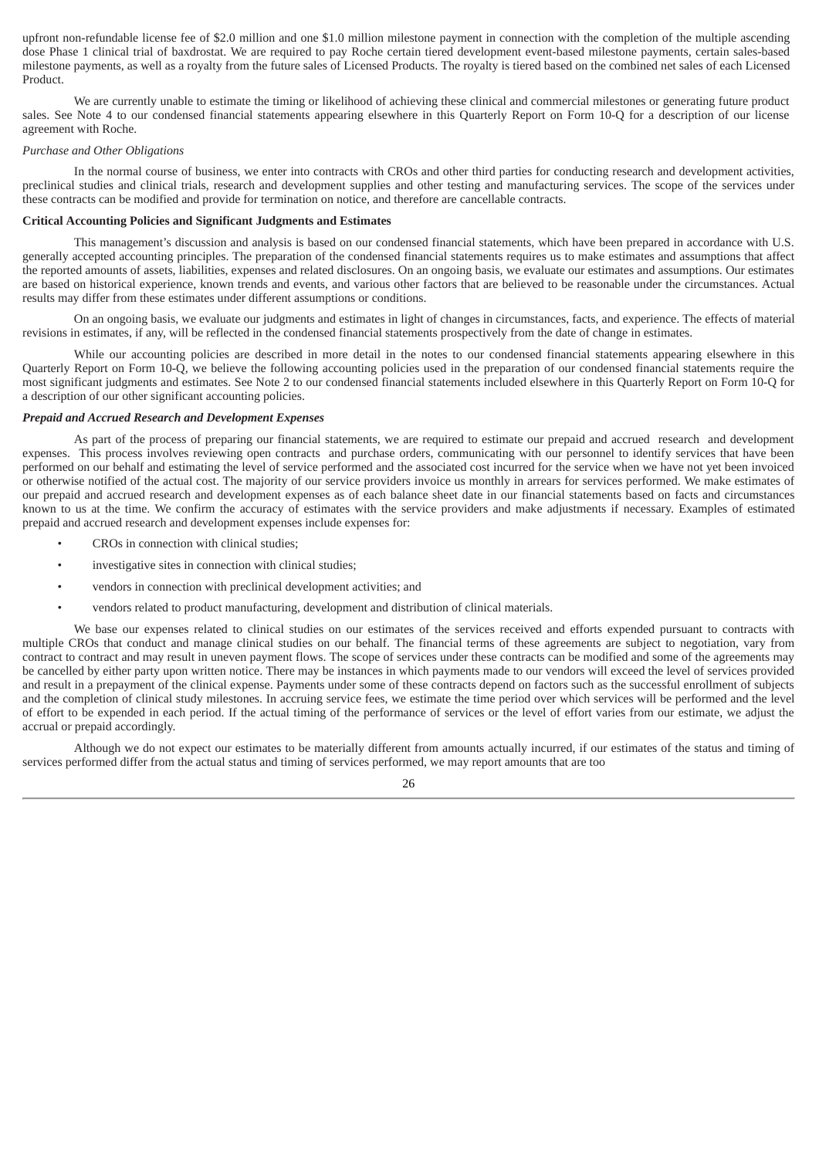upfront non-refundable license fee of \$2.0 million and one \$1.0 million milestone payment in connection with the completion of the multiple ascending dose Phase 1 clinical trial of baxdrostat. We are required to pay Roche certain tiered development event-based milestone payments, certain sales-based milestone payments, as well as a royalty from the future sales of Licensed Products. The royalty is tiered based on the combined net sales of each Licensed Product.

We are currently unable to estimate the timing or likelihood of achieving these clinical and commercial milestones or generating future product sales. See Note 4 to our condensed financial statements appearing elsewhere in this Quarterly Report on Form 10-Q for a description of our license agreement with Roche.

#### *Purchase and Other Obligations*

In the normal course of business, we enter into contracts with CROs and other third parties for conducting research and development activities, preclinical studies and clinical trials, research and development supplies and other testing and manufacturing services. The scope of the services under these contracts can be modified and provide for termination on notice, and therefore are cancellable contracts.

# **Critical Accounting Policies and Significant Judgments and Estimates**

This management's discussion and analysis is based on our condensed financial statements, which have been prepared in accordance with U.S. generally accepted accounting principles. The preparation of the condensed financial statements requires us to make estimates and assumptions that affect the reported amounts of assets, liabilities, expenses and related disclosures. On an ongoing basis, we evaluate our estimates and assumptions. Our estimates are based on historical experience, known trends and events, and various other factors that are believed to be reasonable under the circumstances. Actual results may differ from these estimates under different assumptions or conditions.

On an ongoing basis, we evaluate our judgments and estimates in light of changes in circumstances, facts, and experience. The effects of material revisions in estimates, if any, will be reflected in the condensed financial statements prospectively from the date of change in estimates.

While our accounting policies are described in more detail in the notes to our condensed financial statements appearing elsewhere in this Quarterly Report on Form 10-Q, we believe the following accounting policies used in the preparation of our condensed financial statements require the most significant judgments and estimates. See Note 2 to our condensed financial statements included elsewhere in this Quarterly Report on Form 10-Q for a description of our other significant accounting policies.

# *Prepaid and Accrued Research and Development Expenses*

As part of the process of preparing our financial statements, we are required to estimate our prepaid and accrued research and development expenses. This process involves reviewing open contracts and purchase orders, communicating with our personnel to identify services that have been performed on our behalf and estimating the level of service performed and the associated cost incurred for the service when we have not yet been invoiced or otherwise notified of the actual cost. The majority of our service providers invoice us monthly in arrears for services performed. We make estimates of our prepaid and accrued research and development expenses as of each balance sheet date in our financial statements based on facts and circumstances known to us at the time. We confirm the accuracy of estimates with the service providers and make adjustments if necessary. Examples of estimated prepaid and accrued research and development expenses include expenses for:

- CROs in connection with clinical studies;
- investigative sites in connection with clinical studies;
- vendors in connection with preclinical development activities; and
- vendors related to product manufacturing, development and distribution of clinical materials.

We base our expenses related to clinical studies on our estimates of the services received and efforts expended pursuant to contracts with multiple CROs that conduct and manage clinical studies on our behalf. The financial terms of these agreements are subject to negotiation, vary from contract to contract and may result in uneven payment flows. The scope of services under these contracts can be modified and some of the agreements may be cancelled by either party upon written notice. There may be instances in which payments made to our vendors will exceed the level of services provided and result in a prepayment of the clinical expense. Payments under some of these contracts depend on factors such as the successful enrollment of subjects and the completion of clinical study milestones. In accruing service fees, we estimate the time period over which services will be performed and the level of effort to be expended in each period. If the actual timing of the performance of services or the level of effort varies from our estimate, we adjust the accrual or prepaid accordingly.

Although we do not expect our estimates to be materially different from amounts actually incurred, if our estimates of the status and timing of services performed differ from the actual status and timing of services performed, we may report amounts that are too

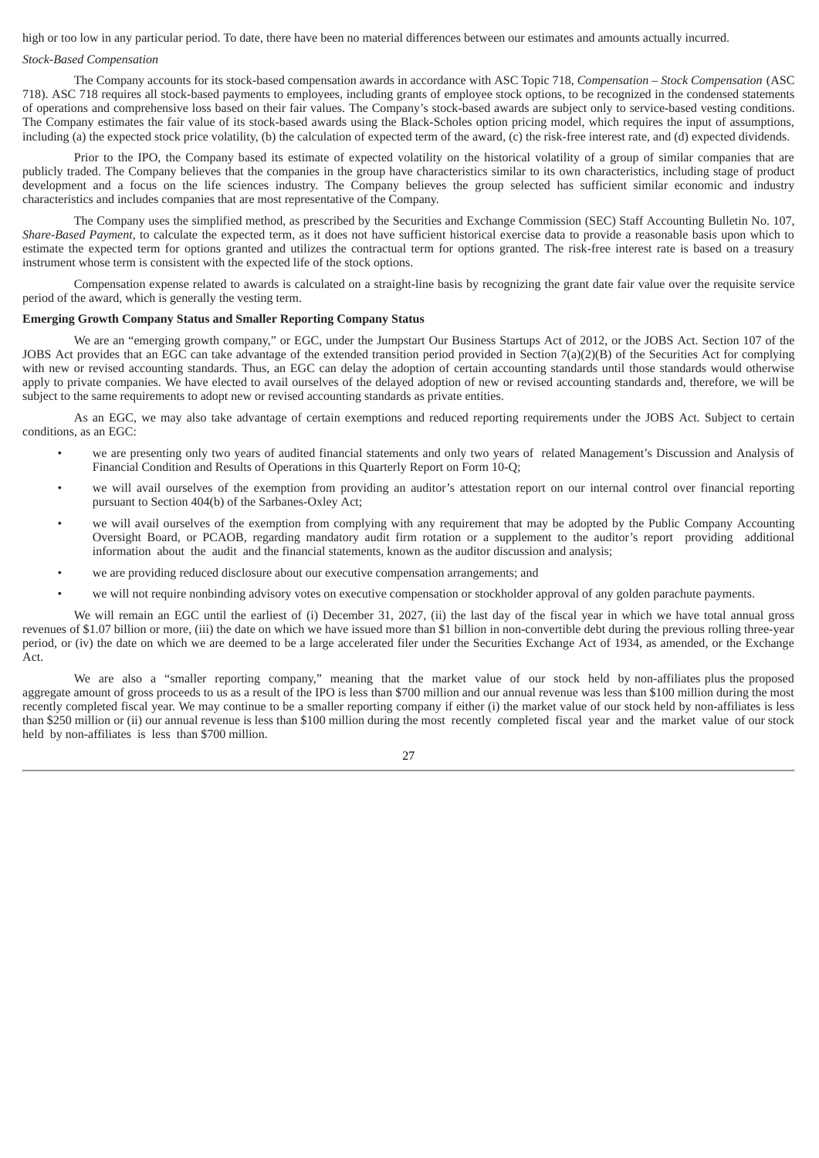high or too low in any particular period. To date, there have been no material differences between our estimates and amounts actually incurred.

#### *Stock-Based Compensation*

The Company accounts for its stock-based compensation awards in accordance with ASC Topic 718, *Compensation – Stock Compensation* (ASC 718). ASC 718 requires all stock-based payments to employees, including grants of employee stock options, to be recognized in the condensed statements of operations and comprehensive loss based on their fair values. The Company's stock-based awards are subject only to service-based vesting conditions. The Company estimates the fair value of its stock-based awards using the Black-Scholes option pricing model, which requires the input of assumptions, including (a) the expected stock price volatility, (b) the calculation of expected term of the award, (c) the risk-free interest rate, and (d) expected dividends.

Prior to the IPO, the Company based its estimate of expected volatility on the historical volatility of a group of similar companies that are publicly traded. The Company believes that the companies in the group have characteristics similar to its own characteristics, including stage of product development and a focus on the life sciences industry. The Company believes the group selected has sufficient similar economic and industry characteristics and includes companies that are most representative of the Company.

The Company uses the simplified method, as prescribed by the Securities and Exchange Commission (SEC) Staff Accounting Bulletin No. 107, *Share-Based Payment*, to calculate the expected term, as it does not have sufficient historical exercise data to provide a reasonable basis upon which to estimate the expected term for options granted and utilizes the contractual term for options granted. The risk-free interest rate is based on a treasury instrument whose term is consistent with the expected life of the stock options.

Compensation expense related to awards is calculated on a straight-line basis by recognizing the grant date fair value over the requisite service period of the award, which is generally the vesting term.

#### **Emerging Growth Company Status and Smaller Reporting Company Status**

We are an "emerging growth company," or EGC, under the Jumpstart Our Business Startups Act of 2012, or the JOBS Act. Section 107 of the JOBS Act provides that an EGC can take advantage of the extended transition period provided in Section 7(a)(2)(B) of the Securities Act for complying with new or revised accounting standards. Thus, an EGC can delay the adoption of certain accounting standards until those standards would otherwise apply to private companies. We have elected to avail ourselves of the delayed adoption of new or revised accounting standards and, therefore, we will be subject to the same requirements to adopt new or revised accounting standards as private entities.

As an EGC, we may also take advantage of certain exemptions and reduced reporting requirements under the JOBS Act. Subject to certain conditions, as an EGC:

- we are presenting only two years of audited financial statements and only two years of related Management's Discussion and Analysis of Financial Condition and Results of Operations in this Quarterly Report on Form 10-Q;
- we will avail ourselves of the exemption from providing an auditor's attestation report on our internal control over financial reporting pursuant to Section 404(b) of the Sarbanes-Oxley Act;
- we will avail ourselves of the exemption from complying with any requirement that may be adopted by the Public Company Accounting Oversight Board, or PCAOB, regarding mandatory audit firm rotation or a supplement to the auditor's report providing additional information about the audit and the financial statements, known as the auditor discussion and analysis;
- we are providing reduced disclosure about our executive compensation arrangements; and
- we will not require nonbinding advisory votes on executive compensation or stockholder approval of any golden parachute payments.

We will remain an EGC until the earliest of (i) December 31, 2027, (ii) the last day of the fiscal year in which we have total annual gross revenues of \$1.07 billion or more, (iii) the date on which we have issued more than \$1 billion in non-convertible debt during the previous rolling three-year period, or (iv) the date on which we are deemed to be a large accelerated filer under the Securities Exchange Act of 1934, as amended, or the Exchange  $\rm \AA ct$ .

We are also a "smaller reporting company," meaning that the market value of our stock held by non-affiliates plus the proposed aggregate amount of gross proceeds to us as a result of the IPO is less than \$700 million and our annual revenue was less than \$100 million during the most recently completed fiscal year. We may continue to be a smaller reporting company if either (i) the market value of our stock held by non-affiliates is less than \$250 million or (ii) our annual revenue is less than \$100 million during the most recently completed fiscal year and the market value of our stock held by non-affiliates is less than \$700 million.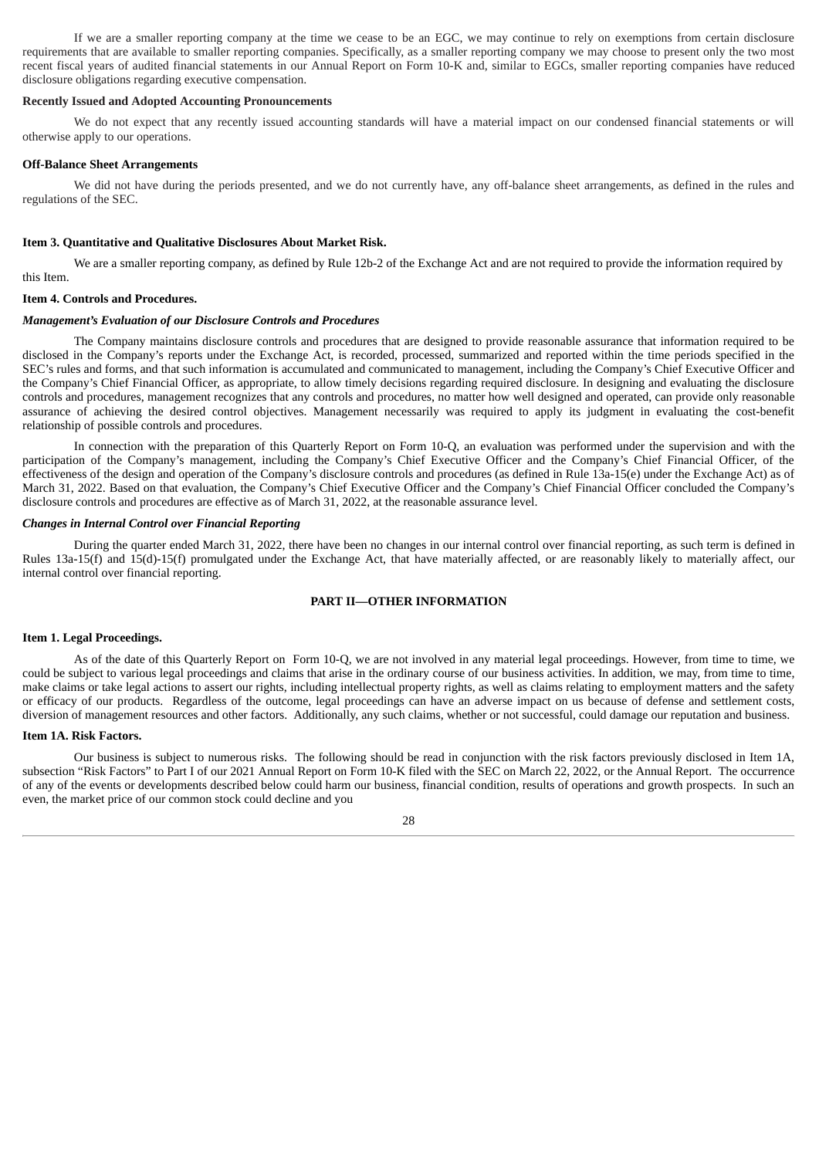If we are a smaller reporting company at the time we cease to be an EGC, we may continue to rely on exemptions from certain disclosure requirements that are available to smaller reporting companies. Specifically, as a smaller reporting company we may choose to present only the two most recent fiscal years of audited financial statements in our Annual Report on Form 10-K and, similar to EGCs, smaller reporting companies have reduced disclosure obligations regarding executive compensation.

# **Recently Issued and Adopted Accounting Pronouncements**

We do not expect that any recently issued accounting standards will have a material impact on our condensed financial statements or will otherwise apply to our operations.

#### **Off-Balance Sheet Arrangements**

We did not have during the periods presented, and we do not currently have, any off-balance sheet arrangements, as defined in the rules and regulations of the SEC.

#### <span id="page-28-0"></span>**Item 3. Quantitative and Qualitative Disclosures About Market Risk.**

We are a smaller reporting company, as defined by Rule 12b-2 of the Exchange Act and are not required to provide the information required by this Item.

#### <span id="page-28-1"></span>**Item 4. Controls and Procedures.**

#### *Management's Evaluation of our Disclosure Controls and Procedures*

The Company maintains disclosure controls and procedures that are designed to provide reasonable assurance that information required to be disclosed in the Company's reports under the Exchange Act, is recorded, processed, summarized and reported within the time periods specified in the SEC's rules and forms, and that such information is accumulated and communicated to management, including the Company's Chief Executive Officer and the Company's Chief Financial Officer, as appropriate, to allow timely decisions regarding required disclosure. In designing and evaluating the disclosure controls and procedures, management recognizes that any controls and procedures, no matter how well designed and operated, can provide only reasonable assurance of achieving the desired control objectives. Management necessarily was required to apply its judgment in evaluating the cost-benefit relationship of possible controls and procedures.

In connection with the preparation of this Quarterly Report on Form 10-Q, an evaluation was performed under the supervision and with the participation of the Company's management, including the Company's Chief Executive Officer and the Company's Chief Financial Officer, of the effectiveness of the design and operation of the Company's disclosure controls and procedures (as defined in Rule 13a-15(e) under the Exchange Act) as of March 31, 2022. Based on that evaluation, the Company's Chief Executive Officer and the Company's Chief Financial Officer concluded the Company's disclosure controls and procedures are effective as of March 31, 2022, at the reasonable assurance level.

#### *Changes in Internal Control over Financial Reporting*

During the quarter ended March 31, 2022, there have been no changes in our internal control over financial reporting, as such term is defined in Rules 13a-15(f) and 15(d)-15(f) promulgated under the Exchange Act, that have materially affected, or are reasonably likely to materially affect, our internal control over financial reporting.

#### **PART II—OTHER INFORMATION**

#### <span id="page-28-3"></span><span id="page-28-2"></span>**Item 1. Legal Proceedings.**

As of the date of this Quarterly Report on Form 10-Q, we are not involved in any material legal proceedings. However, from time to time, we could be subject to various legal proceedings and claims that arise in the ordinary course of our business activities. In addition, we may, from time to time, make claims or take legal actions to assert our rights, including intellectual property rights, as well as claims relating to employment matters and the safety or efficacy of our products. Regardless of the outcome, legal proceedings can have an adverse impact on us because of defense and settlement costs, diversion of management resources and other factors. Additionally, any such claims, whether or not successful, could damage our reputation and business.

#### <span id="page-28-4"></span>**Item 1A. Risk Factors.**

Our business is subject to numerous risks. The following should be read in conjunction with the risk factors previously disclosed in Item 1A, subsection "Risk Factors" to Part I of our 2021 Annual Report on Form 10-K filed with the SEC on March 22, 2022, or the Annual Report. The occurrence of any of the events or developments described below could harm our business, financial condition, results of operations and growth prospects. In such an even, the market price of our common stock could decline and you

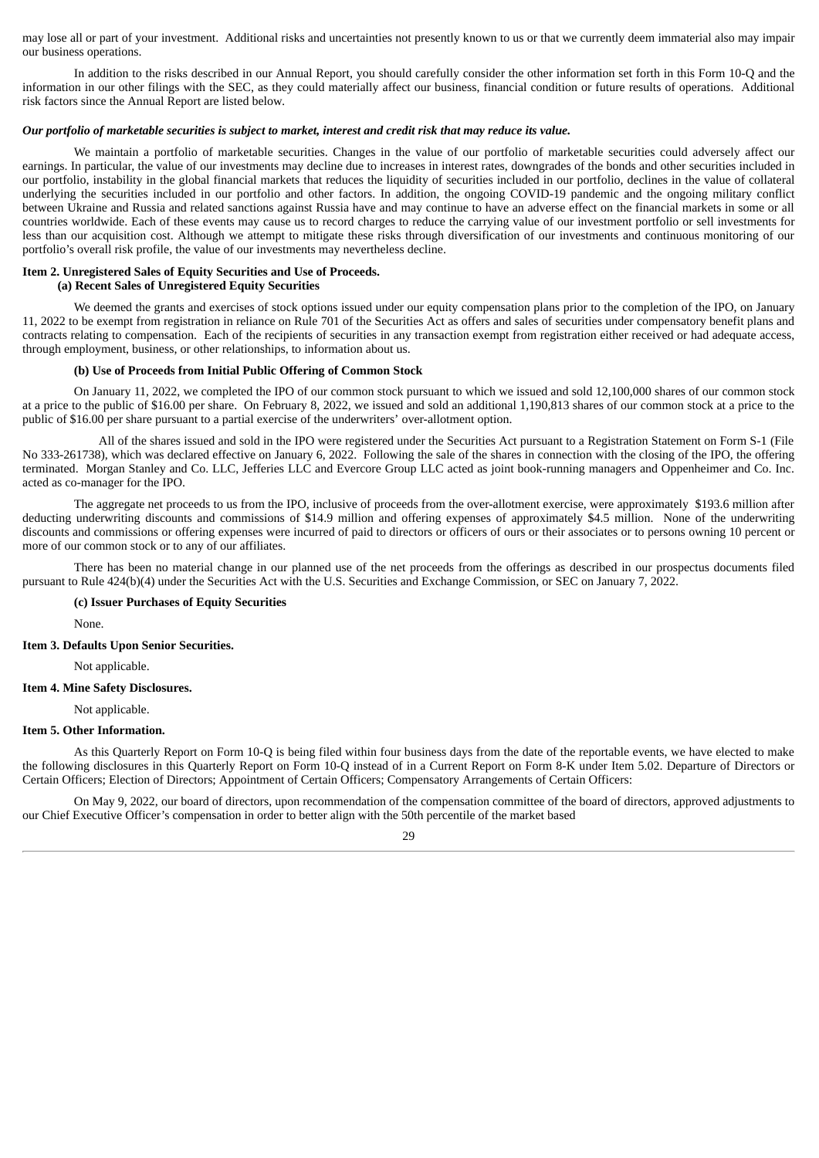may lose all or part of your investment. Additional risks and uncertainties not presently known to us or that we currently deem immaterial also may impair our business operations.

In addition to the risks described in our Annual Report, you should carefully consider the other information set forth in this Form 10-Q and the information in our other filings with the SEC, as they could materially affect our business, financial condition or future results of operations. Additional risk factors since the Annual Report are listed below*.*

# Our portfolio of marketable securities is subject to market, interest and credit risk that may reduce its value.

We maintain a portfolio of marketable securities. Changes in the value of our portfolio of marketable securities could adversely affect our earnings. In particular, the value of our investments may decline due to increases in interest rates, downgrades of the bonds and other securities included in our portfolio, instability in the global financial markets that reduces the liquidity of securities included in our portfolio, declines in the value of collateral underlying the securities included in our portfolio and other factors. In addition, the ongoing COVID-19 pandemic and the ongoing military conflict between Ukraine and Russia and related sanctions against Russia have and may continue to have an adverse effect on the financial markets in some or all countries worldwide. Each of these events may cause us to record charges to reduce the carrying value of our investment portfolio or sell investments for less than our acquisition cost. Although we attempt to mitigate these risks through diversification of our investments and continuous monitoring of our portfolio's overall risk profile, the value of our investments may nevertheless decline.

# <span id="page-29-0"></span>**Item 2. Unregistered Sales of Equity Securities and Use of Proceeds.**

# **(a) Recent Sales of Unregistered Equity Securities**

We deemed the grants and exercises of stock options issued under our equity compensation plans prior to the completion of the IPO, on January 11, 2022 to be exempt from registration in reliance on Rule 701 of the Securities Act as offers and sales of securities under compensatory benefit plans and contracts relating to compensation. Each of the recipients of securities in any transaction exempt from registration either received or had adequate access, through employment, business, or other relationships, to information about us.

#### **(b) Use of Proceeds from Initial Public Offering of Common Stock**

On January 11, 2022, we completed the IPO of our common stock pursuant to which we issued and sold 12,100,000 shares of our common stock at a price to the public of \$16.00 per share. On February 8, 2022, we issued and sold an additional 1,190,813 shares of our common stock at a price to the public of \$16.00 per share pursuant to a partial exercise of the underwriters' over-allotment option.

All of the shares issued and sold in the IPO were registered under the Securities Act pursuant to a Registration Statement on Form S-1 (File No 333-261738), which was declared effective on January 6, 2022. Following the sale of the shares in connection with the closing of the IPO, the offering terminated. Morgan Stanley and Co. LLC, Jefferies LLC and Evercore Group LLC acted as joint book-running managers and Oppenheimer and Co. Inc. acted as co-manager for the IPO.

The aggregate net proceeds to us from the IPO, inclusive of proceeds from the over-allotment exercise, were approximately \$193.6 million after deducting underwriting discounts and commissions of \$14.9 million and offering expenses of approximately \$4.5 million. None of the underwriting discounts and commissions or offering expenses were incurred of paid to directors or officers of ours or their associates or to persons owning 10 percent or more of our common stock or to any of our affiliates.

There has been no material change in our planned use of the net proceeds from the offerings as described in our prospectus documents filed pursuant to Rule 424(b)(4) under the Securities Act with the U.S. Securities and Exchange Commission, or SEC on January 7, 2022.

#### **(c) Issuer Purchases of Equity Securities**

None.

# <span id="page-29-1"></span>**Item 3. Defaults Upon Senior Securities.**

Not applicable.

# <span id="page-29-2"></span>**Item 4. Mine Safety Disclosures.**

Not applicable.

#### <span id="page-29-3"></span>**Item 5. Other Information.**

As this Quarterly Report on Form 10-Q is being filed within four business days from the date of the reportable events, we have elected to make the following disclosures in this Quarterly Report on Form 10-Q instead of in a Current Report on Form 8-K under Item 5.02. Departure of Directors or Certain Officers; Election of Directors; Appointment of Certain Officers; Compensatory Arrangements of Certain Officers:

On May 9, 2022, our board of directors, upon recommendation of the compensation committee of the board of directors, approved adjustments to our Chief Executive Officer's compensation in order to better align with the 50th percentile of the market based

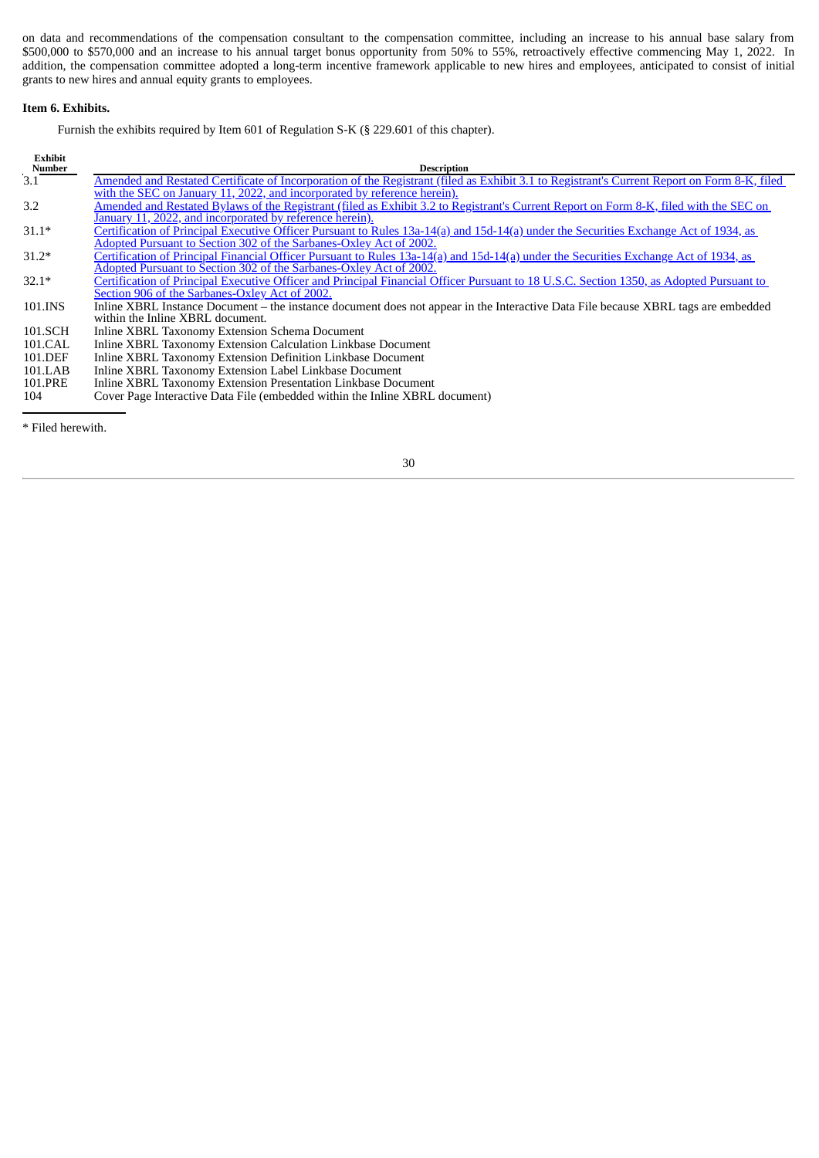on data and recommendations of the compensation consultant to the compensation committee, including an increase to his annual base salary from \$500,000 to \$570,000 and an increase to his annual target bonus opportunity from 50% to 55%, retroactively effective commencing May 1, 2022. In addition, the compensation committee adopted a long-term incentive framework applicable to new hires and employees, anticipated to consist of initial grants to new hires and annual equity grants to employees.

# <span id="page-30-0"></span>**Item 6. Exhibits.**

Furnish the exhibits required by Item 601 of Regulation S-K (§ 229.601 of this chapter).

| <b>Exhibit</b><br>Number | <b>Description</b>                                                                                                                           |
|--------------------------|----------------------------------------------------------------------------------------------------------------------------------------------|
| 3.1                      | Amended and Restated Certificate of Incorporation of the Registrant (filed as Exhibit 3.1 to Registrant's Current Report on Form 8-K, filed  |
|                          | with the SEC on January 11, 2022, and incorporated by reference herein).                                                                     |
| 3.2                      | <u>Amended and Restated Bylaws of the Registrant (filed as Exhibit 3.2 to Registrant's Current Report on Form 8-K, filed with the SEC on</u> |
|                          | January 11, 2022, and incorporated by reference herein).                                                                                     |
| $31.1*$                  | Certification of Principal Executive Officer Pursuant to Rules 13a-14(a) and 15d-14(a) under the Securities Exchange Act of 1934, as         |
|                          | Adopted Pursuant to Section 302 of the Sarbanes-Oxley Act of 2002.                                                                           |
| $31.2*$                  | Certification of Principal Financial Officer Pursuant to Rules 13a-14(a) and 15d-14(a) under the Securities Exchange Act of 1934, as         |
|                          | Adopted Pursuant to Section 302 of the Sarbanes-Oxley Act of 2002.                                                                           |
| $32.1*$                  | Certification of Principal Executive Officer and Principal Financial Officer Pursuant to 18 U.S.C. Section 1350, as Adopted Pursuant to      |
|                          | Section 906 of the Sarbanes-Oxley Act of 2002.                                                                                               |
| 101.INS                  | Inline XBRL Instance Document - the instance document does not appear in the Interactive Data File because XBRL tags are embedded            |
|                          | within the Inline XBRL document.                                                                                                             |
| 101.SCH                  | Inline XBRL Taxonomy Extension Schema Document                                                                                               |
| 101.CAL                  | Inline XBRL Taxonomy Extension Calculation Linkbase Document                                                                                 |
| 101.DEF                  | Inline XBRL Taxonomy Extension Definition Linkbase Document                                                                                  |
| 101.LAB                  | Inline XBRL Taxonomy Extension Label Linkbase Document                                                                                       |
| 101.PRE                  | Inline XBRL Taxonomy Extension Presentation Linkbase Document                                                                                |
| 104                      | Cover Page Interactive Data File (embedded within the Inline XBRL document)                                                                  |
|                          |                                                                                                                                              |

\* Filed herewith.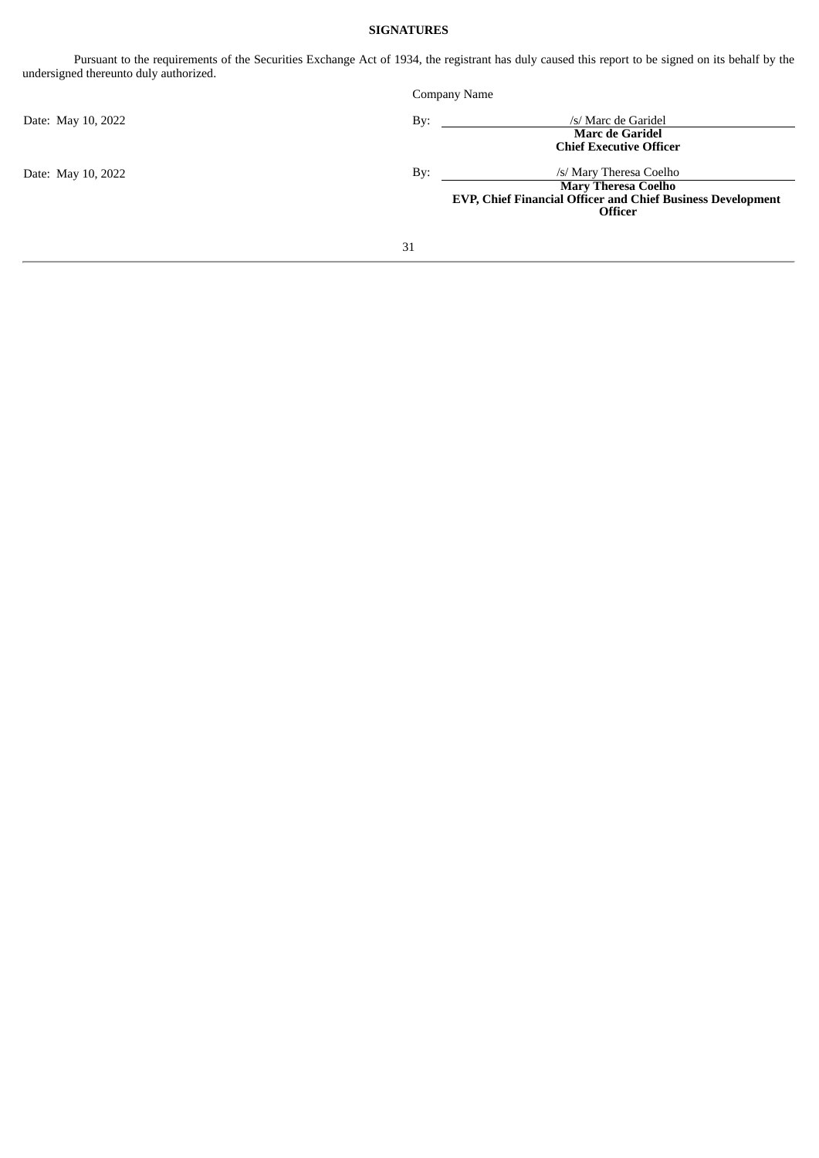# **SIGNATURES**

<span id="page-31-0"></span>Pursuant to the requirements of the Securities Exchange Act of 1934, the registrant has duly caused this report to be signed on its behalf by the undersigned thereunto duly authorized.

|                    | Company Name        |                                                                                                                                        |  |
|--------------------|---------------------|----------------------------------------------------------------------------------------------------------------------------------------|--|
| Date: May 10, 2022 | By: $\qquad \qquad$ | /s/ Marc de Garidel<br><b>Marc de Garidel</b><br><b>Chief Executive Officer</b>                                                        |  |
| Date: May 10, 2022 | By:                 | /s/ Mary Theresa Coelho<br><b>Mary Theresa Coelho</b><br>EVP, Chief Financial Officer and Chief Business Development<br><b>Officer</b> |  |
|                    | 31                  |                                                                                                                                        |  |
|                    |                     |                                                                                                                                        |  |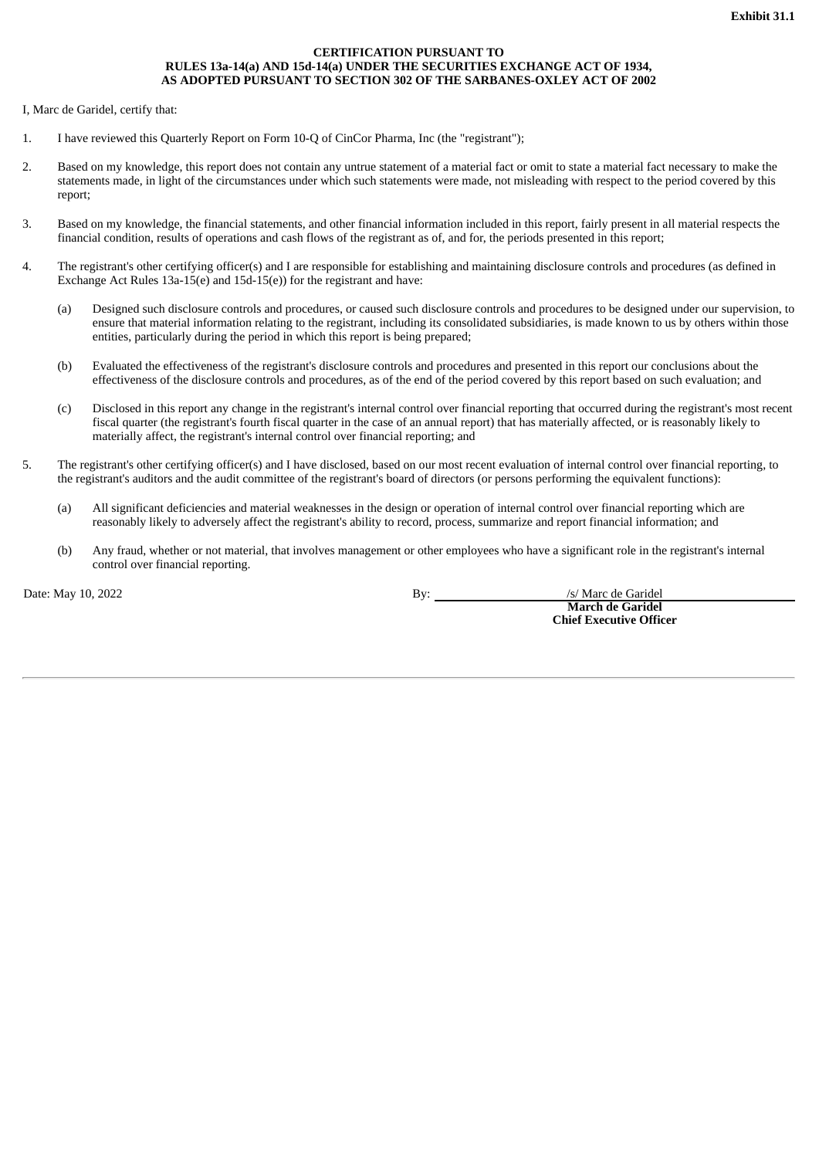# **CERTIFICATION PURSUANT TO RULES 13a-14(a) AND 15d-14(a) UNDER THE SECURITIES EXCHANGE ACT OF 1934, AS ADOPTED PURSUANT TO SECTION 302 OF THE SARBANES-OXLEY ACT OF 2002**

<span id="page-32-0"></span>I, Marc de Garidel, certify that:

- 1. I have reviewed this Quarterly Report on Form 10-Q of CinCor Pharma, Inc (the "registrant");
- 2. Based on my knowledge, this report does not contain any untrue statement of a material fact or omit to state a material fact necessary to make the statements made, in light of the circumstances under which such statements were made, not misleading with respect to the period covered by this report;
- 3. Based on my knowledge, the financial statements, and other financial information included in this report, fairly present in all material respects the financial condition, results of operations and cash flows of the registrant as of, and for, the periods presented in this report;
- 4. The registrant's other certifying officer(s) and I are responsible for establishing and maintaining disclosure controls and procedures (as defined in Exchange Act Rules 13a-15(e) and 15d-15(e)) for the registrant and have:
	- (a) Designed such disclosure controls and procedures, or caused such disclosure controls and procedures to be designed under our supervision, to ensure that material information relating to the registrant, including its consolidated subsidiaries, is made known to us by others within those entities, particularly during the period in which this report is being prepared;
	- (b) Evaluated the effectiveness of the registrant's disclosure controls and procedures and presented in this report our conclusions about the effectiveness of the disclosure controls and procedures, as of the end of the period covered by this report based on such evaluation; and
	- (c) Disclosed in this report any change in the registrant's internal control over financial reporting that occurred during the registrant's most recent fiscal quarter (the registrant's fourth fiscal quarter in the case of an annual report) that has materially affected, or is reasonably likely to materially affect, the registrant's internal control over financial reporting; and
- 5. The registrant's other certifying officer(s) and I have disclosed, based on our most recent evaluation of internal control over financial reporting, to the registrant's auditors and the audit committee of the registrant's board of directors (or persons performing the equivalent functions):
	- (a) All significant deficiencies and material weaknesses in the design or operation of internal control over financial reporting which are reasonably likely to adversely affect the registrant's ability to record, process, summarize and report financial information; and
	- (b) Any fraud, whether or not material, that involves management or other employees who have a significant role in the registrant's internal control over financial reporting.

Date: May 10, 2022 **By:** /s/ Marc de Garidel **March de Garidel Chief Executive Officer**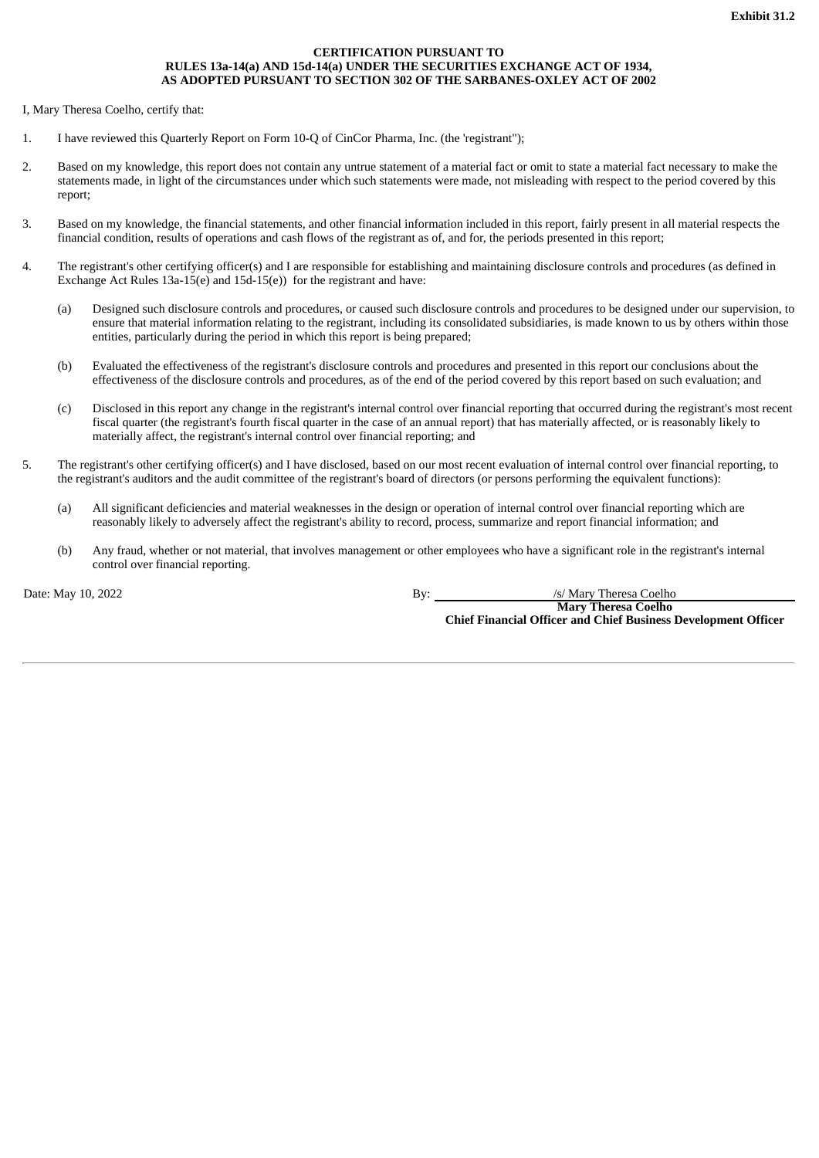# **CERTIFICATION PURSUANT TO RULES 13a-14(a) AND 15d-14(a) UNDER THE SECURITIES EXCHANGE ACT OF 1934, AS ADOPTED PURSUANT TO SECTION 302 OF THE SARBANES-OXLEY ACT OF 2002**

<span id="page-33-0"></span>I, Mary Theresa Coelho, certify that:

- 1. I have reviewed this Quarterly Report on Form 10-Q of CinCor Pharma, Inc. (the 'registrant");
- 2. Based on my knowledge, this report does not contain any untrue statement of a material fact or omit to state a material fact necessary to make the statements made, in light of the circumstances under which such statements were made, not misleading with respect to the period covered by this report;
- 3. Based on my knowledge, the financial statements, and other financial information included in this report, fairly present in all material respects the financial condition, results of operations and cash flows of the registrant as of, and for, the periods presented in this report;
- 4. The registrant's other certifying officer(s) and I are responsible for establishing and maintaining disclosure controls and procedures (as defined in Exchange Act Rules 13a-15(e) and 15d-15(e)) for the registrant and have:
	- (a) Designed such disclosure controls and procedures, or caused such disclosure controls and procedures to be designed under our supervision, to ensure that material information relating to the registrant, including its consolidated subsidiaries, is made known to us by others within those entities, particularly during the period in which this report is being prepared;
	- (b) Evaluated the effectiveness of the registrant's disclosure controls and procedures and presented in this report our conclusions about the effectiveness of the disclosure controls and procedures, as of the end of the period covered by this report based on such evaluation; and
	- (c) Disclosed in this report any change in the registrant's internal control over financial reporting that occurred during the registrant's most recent fiscal quarter (the registrant's fourth fiscal quarter in the case of an annual report) that has materially affected, or is reasonably likely to materially affect, the registrant's internal control over financial reporting; and
- 5. The registrant's other certifying officer(s) and I have disclosed, based on our most recent evaluation of internal control over financial reporting, to the registrant's auditors and the audit committee of the registrant's board of directors (or persons performing the equivalent functions):
	- (a) All significant deficiencies and material weaknesses in the design or operation of internal control over financial reporting which are reasonably likely to adversely affect the registrant's ability to record, process, summarize and report financial information; and
	- (b) Any fraud, whether or not material, that involves management or other employees who have a significant role in the registrant's internal control over financial reporting.

Date: May 10, 2022 **By:** /s/ Mary Theresa Coelho **Mary Theresa Coelho Chief Financial Officer and Chief Business Development Officer**